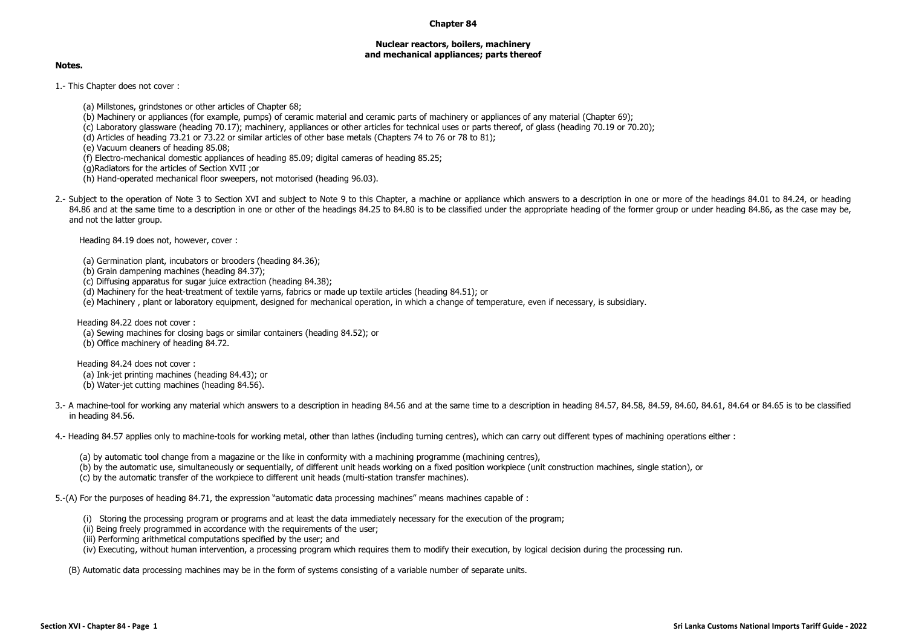## **Chapter 84**

## **Nuclear reactors, boilers, machinery and mechanical appliances; parts thereof**

## **Notes.**

1.- This Chapter does not cover :

(a) Millstones, grindstones or other articles of Chapter 68;

(b) Machinery or appliances (for example, pumps) of ceramic material and ceramic parts of machinery or appliances of any material (Chapter 69);

(c) Laboratory glassware (heading 70.17); machinery, appliances or other articles for technical uses or parts thereof, of glass (heading 70.19 or 70.20);

(d) Articles of heading 73.21 or 73.22 or similar articles of other base metals (Chapters 74 to 76 or 78 to 81);

(e) Vacuum cleaners of heading 85.08;

(f) Electro-mechanical domestic appliances of heading 85.09; digital cameras of heading 85.25;

(g)Radiators for the articles of Section XVII ;or

(h) Hand-operated mechanical floor sweepers, not motorised (heading 96.03).

2.- Subject to the operation of Note 3 to Section XVI and subject to Note 9 to this Chapter, a machine or appliance which answers to a description in one or more of the headings 84.01 to 84.24, or heading 84.86 and at the same time to a description in one or other of the headings 84.25 to 84.80 is to be classified under the appropriate heading of the former group or under heading 84.86, as the case may be, and not the latter group.

Heading 84.19 does not, however, cover :

(a) Germination plant, incubators or brooders (heading 84.36);

(b) Grain dampening machines (heading 84.37);

(c) Diffusing apparatus for sugar juice extraction (heading 84.38);

(d) Machinery for the heat-treatment of textile yarns, fabrics or made up textile articles (heading 84.51); or

(e) Machinery , plant or laboratory equipment, designed for mechanical operation, in which a change of temperature, even if necessary, is subsidiary subsidiary.

Heading 84.22 does not cover : (a) Sewing machines for closing bags or similar containers (heading 84.52); or (b) Office machinery of heading 84.72.

Heading 84.24 does not cover : (a) Ink-jet printing machines (heading 84.43); or

(b) Water-jet cutting machines (heading 84.56).

3.- A machine-tool for working any material which answers to a description in heading 84.56 and at the same time to a description in heading 84.57, 84.58, 84.59, 84.60, 84.61, 84.64 or 84.65 is to be classified in heading 84.56.

4.- Heading 84.57 applies only to machine-tools for working metal, other than lathes (including turning centres), which can carry out different types of machining operations either :

(a) by automatic tool change from a magazine or the like in conformity with a machining programme (machining centres),

(b) by the automatic use, simultaneously or sequentially, of different unit heads working on a fixed position workpiece (unit construction machines, single station), or

(c) by the automatic transfer of the workpiece to different unit heads (multi-station transfer machines).

5.-(A) For the purposes of heading 84.71, the expression "automatic data processing machines" means machines capable of :

(i) Storing the processing program or programs and at least the data immediately necessary for the execution of the program;

(ii) Being freely programmed in accordance with the requirements of the user;

(iii) Performing arithmetical computations specified by the user; and

(iv) Executing, without human intervention, a processing program which requires them to modify their execution, by logical decision during the processing run.

(B) Automatic data processing machines may be in the form of systems consisting of a variable number of separate units.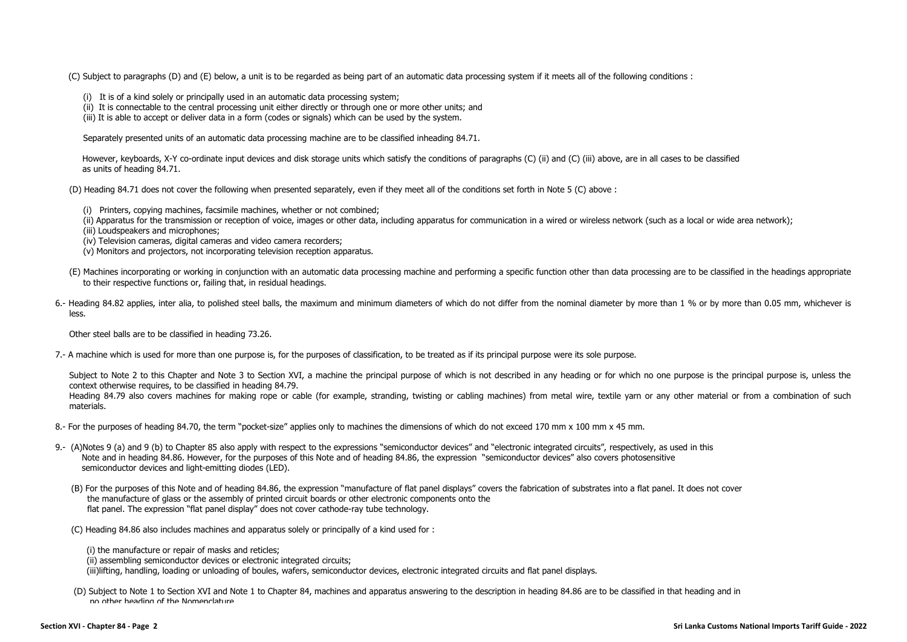(C) Subject to paragraphs (D) and (E) below, a unit is to be regarded as being part of an automatic data processing system if it meets all of the following conditions :

- (i) It is of a kind solely or principally used in an automatic data processing system;
- (ii) It is connectable to the central processing unit either directly or through one or more other units; and
- (iii) It is able to accept or deliver data in a form (codes or signals) which can be used by the system.

Separately presented units of an automatic data processing machine are to be classified inheading 84.71.

However, keyboards, X-Y co-ordinate input devices and disk storage units which satisfy the conditions of paragraphs (C) (ii) and (C) (iii) above, are in all cases to be classified as units of heading 84.71.

(D) Heading 84.71 does not cover the following when presented separately, even if they meet all of the conditions set forth in Note 5 (C) above :

- (i) Printers, copying machines, facsimile machines, whether or not combined;
- (ii) Apparatus for the transmission or reception of voice, images or other data, including apparatus for communication in a wired or wireless network (such as a local or wide area network);

(iii) Loudspeakers and microphones;

- (iv) Television cameras, digital cameras and video camera recorders;
- (v) Monitors and projectors, not incorporating television reception apparatus.
- (E) Machines incorporating or working in conjunction with an automatic data processing machine and performing a specific function other than data processing are to be classified in the headings appropriate to their respective functions or, failing that, in residual headings.
- 6.- Heading 84.82 applies, inter alia, to polished steel balls, the maximum and minimum diameters of which do not differ from the nominal diameter by more than 1 % or by more than 0.05 mm, whichever is less.

Other steel balls are to be classified in heading 73.26.

7.- A machine which is used for more than one purpose is, for the purposes of classification, to be treated as if its principal purpose were its sole purpose.

Subject to Note 2 to this Chapter and Note 3 to Section XVI, a machine the principal purpose of which is not described in any heading or for which no one purpose is the principal purpose is, unless the context otherwise requires, to be classified in heading 84.79.

Heading 84.79 also covers machines for making rope or cable (for example, stranding, twisting or cabling machines) from metal wire, textile yarn or any other material or from a combination of such materials.

- 8.- For the purposes of heading 84.70, the term "pocket-size" applies only to machines the dimensions of which do not exceed 170 mm x 100 mm x 45 mm.
- 9.- (A)Notes 9 (a) and 9 (b) to Chapter 85 also apply with respect to the expressions "semiconductor devices" and "electronic integrated circuits", respectively, as used in this Note and in heading 84.86. However, for the purposes of this Note and of heading 84.86, the expression "semiconductor devices" also covers photosensitive semiconductor devices and light-emitting diodes (LED).
	- (B) For the purposes of this Note and of heading 84.86, the expression "manufacture of flat panel displays" covers the fabrication of substrates into a flat panel. It does not cover the manufacture of glass or the assembly of printed circuit boards or other electronic components onto the flat panel. The expression "flat panel display" does not cover cathode-ray tube technology.
	- (C) Heading 84.86 also includes machines and apparatus solely or principally of a kind used for :

(i) the manufacture or repair of masks and reticles;

(ii) assembling semiconductor devices or electronic integrated circuits;

(iii)lifting, handling, loading or unloading of boules, wafers, semiconductor devices, electronic integrated circuits and flat panel displays.

(D) Subject to Note 1 to Section XVI and Note 1 to Chapter 84, machines and apparatus answering to the description in heading 84.86 are to be classified in that heading and in no other heading of the Nomenclature.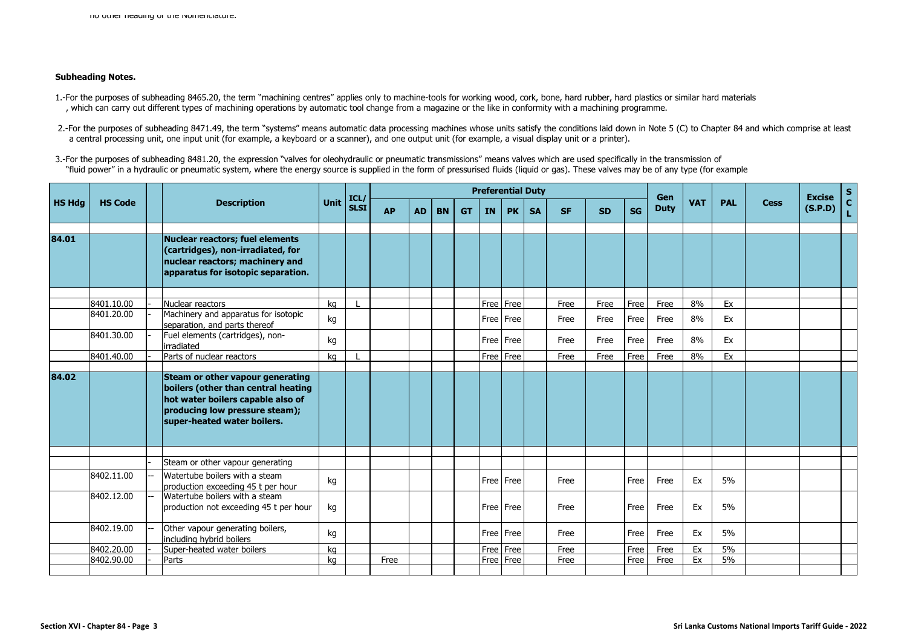## **Subheading Notes.**

- 1.-For the purposes of subheading 8465.20, the term "machining centres" applies only to machine-tools for working wood, cork, bone, hard rubber, hard plastics or similar hard materials , which can carry out different types of machining operations by automatic tool change from a magazine or the like in conformity with a machining programme.
- 2.-For the purposes of subheading 8471.49, the term "systems" means automatic data processing machines whose units satisfy the conditions laid down in Note 5 (C) to Chapter 84 and which comprise at least a central processing unit, one input unit (for example, a keyboard or a scanner), and one output unit (for example, a visual display unit or a printer).
- 3.-For the purposes of subheading 8481.20, the expression "valves for oleohydraulic or pneumatic transmissions" means valves which are used specifically in the transmission of "fluid power" in a hydraulic or pneumatic system, where the energy source is supplied in the form of pressurised fluids (liquid or gas). These valves may be of any type (for example

| <b>HS Hdg</b><br><b>HS Code</b><br><b>Description</b><br><b>PAL</b><br><b>Cess</b><br><b>SLSI</b><br><b>Duty</b><br>(S.P.D)<br><b>SG</b><br><b>AP</b><br><b>AD</b><br><b>BN</b><br><b>PK</b><br><b>SA</b><br><b>GT</b><br><b>IN</b><br><b>SF</b><br><b>SD</b><br>84.01<br><b>Nuclear reactors; fuel elements</b><br>(cartridges), non-irradiated, for<br>nuclear reactors; machinery and<br>apparatus for isotopic separation.<br>8401.10.00<br>Free Free<br>8%<br>Ex<br>Nuclear reactors<br>Free<br>Free<br>Free<br>kg<br>Free<br>Machinery and apparatus for isotopic<br>8401.20.00<br>8%<br>kg<br>Free   Free<br>Free<br>Free<br>Ex<br>Free<br>Free<br>separation, and parts thereof<br>8401.30.00<br>Fuel elements (cartridges), non-<br>8%<br>Free Free<br>Free<br>Free<br>Free<br>Ex<br>kg<br>Free<br>irradiated<br>8401.40.00<br>Parts of nuclear reactors<br>Free Free<br>8%<br>Ex<br>Free<br>Free<br>Free<br>kg<br>Free<br>84.02<br>Steam or other vapour generating<br>boilers (other than central heating<br>hot water boilers capable also of<br>producing low pressure steam);<br>super-heated water boilers.<br>Steam or other vapour generating<br>Watertube boilers with a steam<br>8402.11.00<br>Free<br>5%<br>kg<br>Free Free<br>Free<br>Free<br>Ex<br>production exceeding 45 t per hour<br>Watertube boilers with a steam<br>8402.12.00<br>Ex<br>5%<br>Free Free<br>Free<br>Free<br>Free<br>production not exceeding 45 t per hour<br>kg<br>8402.19.00<br>Other vapour generating boilers,<br>Free<br>5%<br>Free   Free<br>Free<br>Ex<br>kg<br>Free<br>including hybrid boilers<br>5%<br>8402.20.00<br>Free Free<br>Free<br>Free<br>Ex<br>Super-heated water boilers<br>ka<br>Free<br>5%<br>8402.90.00<br>Free<br>Free Free<br>Ex<br>Free<br>Free<br>Free<br>Parts<br>kg |  |  |      | <b>Preferential Duty</b><br>ICL/ |  |  |  |  |  |  |  |  | Gen |            |  | <b>Excise</b> | S.           |
|----------------------------------------------------------------------------------------------------------------------------------------------------------------------------------------------------------------------------------------------------------------------------------------------------------------------------------------------------------------------------------------------------------------------------------------------------------------------------------------------------------------------------------------------------------------------------------------------------------------------------------------------------------------------------------------------------------------------------------------------------------------------------------------------------------------------------------------------------------------------------------------------------------------------------------------------------------------------------------------------------------------------------------------------------------------------------------------------------------------------------------------------------------------------------------------------------------------------------------------------------------------------------------------------------------------------------------------------------------------------------------------------------------------------------------------------------------------------------------------------------------------------------------------------------------------------------------------------------------------------------------------------------------------------------------------------------------------------------------------------------------------------------------------------|--|--|------|----------------------------------|--|--|--|--|--|--|--|--|-----|------------|--|---------------|--------------|
|                                                                                                                                                                                                                                                                                                                                                                                                                                                                                                                                                                                                                                                                                                                                                                                                                                                                                                                                                                                                                                                                                                                                                                                                                                                                                                                                                                                                                                                                                                                                                                                                                                                                                                                                                                                              |  |  | Unit |                                  |  |  |  |  |  |  |  |  |     | <b>VAT</b> |  |               | $\mathbf{C}$ |
|                                                                                                                                                                                                                                                                                                                                                                                                                                                                                                                                                                                                                                                                                                                                                                                                                                                                                                                                                                                                                                                                                                                                                                                                                                                                                                                                                                                                                                                                                                                                                                                                                                                                                                                                                                                              |  |  |      |                                  |  |  |  |  |  |  |  |  |     |            |  |               |              |
|                                                                                                                                                                                                                                                                                                                                                                                                                                                                                                                                                                                                                                                                                                                                                                                                                                                                                                                                                                                                                                                                                                                                                                                                                                                                                                                                                                                                                                                                                                                                                                                                                                                                                                                                                                                              |  |  |      |                                  |  |  |  |  |  |  |  |  |     |            |  |               |              |
|                                                                                                                                                                                                                                                                                                                                                                                                                                                                                                                                                                                                                                                                                                                                                                                                                                                                                                                                                                                                                                                                                                                                                                                                                                                                                                                                                                                                                                                                                                                                                                                                                                                                                                                                                                                              |  |  |      |                                  |  |  |  |  |  |  |  |  |     |            |  |               |              |
|                                                                                                                                                                                                                                                                                                                                                                                                                                                                                                                                                                                                                                                                                                                                                                                                                                                                                                                                                                                                                                                                                                                                                                                                                                                                                                                                                                                                                                                                                                                                                                                                                                                                                                                                                                                              |  |  |      |                                  |  |  |  |  |  |  |  |  |     |            |  |               |              |
|                                                                                                                                                                                                                                                                                                                                                                                                                                                                                                                                                                                                                                                                                                                                                                                                                                                                                                                                                                                                                                                                                                                                                                                                                                                                                                                                                                                                                                                                                                                                                                                                                                                                                                                                                                                              |  |  |      |                                  |  |  |  |  |  |  |  |  |     |            |  |               |              |
|                                                                                                                                                                                                                                                                                                                                                                                                                                                                                                                                                                                                                                                                                                                                                                                                                                                                                                                                                                                                                                                                                                                                                                                                                                                                                                                                                                                                                                                                                                                                                                                                                                                                                                                                                                                              |  |  |      |                                  |  |  |  |  |  |  |  |  |     |            |  |               |              |
|                                                                                                                                                                                                                                                                                                                                                                                                                                                                                                                                                                                                                                                                                                                                                                                                                                                                                                                                                                                                                                                                                                                                                                                                                                                                                                                                                                                                                                                                                                                                                                                                                                                                                                                                                                                              |  |  |      |                                  |  |  |  |  |  |  |  |  |     |            |  |               |              |
|                                                                                                                                                                                                                                                                                                                                                                                                                                                                                                                                                                                                                                                                                                                                                                                                                                                                                                                                                                                                                                                                                                                                                                                                                                                                                                                                                                                                                                                                                                                                                                                                                                                                                                                                                                                              |  |  |      |                                  |  |  |  |  |  |  |  |  |     |            |  |               |              |
|                                                                                                                                                                                                                                                                                                                                                                                                                                                                                                                                                                                                                                                                                                                                                                                                                                                                                                                                                                                                                                                                                                                                                                                                                                                                                                                                                                                                                                                                                                                                                                                                                                                                                                                                                                                              |  |  |      |                                  |  |  |  |  |  |  |  |  |     |            |  |               |              |
|                                                                                                                                                                                                                                                                                                                                                                                                                                                                                                                                                                                                                                                                                                                                                                                                                                                                                                                                                                                                                                                                                                                                                                                                                                                                                                                                                                                                                                                                                                                                                                                                                                                                                                                                                                                              |  |  |      |                                  |  |  |  |  |  |  |  |  |     |            |  |               |              |
|                                                                                                                                                                                                                                                                                                                                                                                                                                                                                                                                                                                                                                                                                                                                                                                                                                                                                                                                                                                                                                                                                                                                                                                                                                                                                                                                                                                                                                                                                                                                                                                                                                                                                                                                                                                              |  |  |      |                                  |  |  |  |  |  |  |  |  |     |            |  |               |              |
|                                                                                                                                                                                                                                                                                                                                                                                                                                                                                                                                                                                                                                                                                                                                                                                                                                                                                                                                                                                                                                                                                                                                                                                                                                                                                                                                                                                                                                                                                                                                                                                                                                                                                                                                                                                              |  |  |      |                                  |  |  |  |  |  |  |  |  |     |            |  |               |              |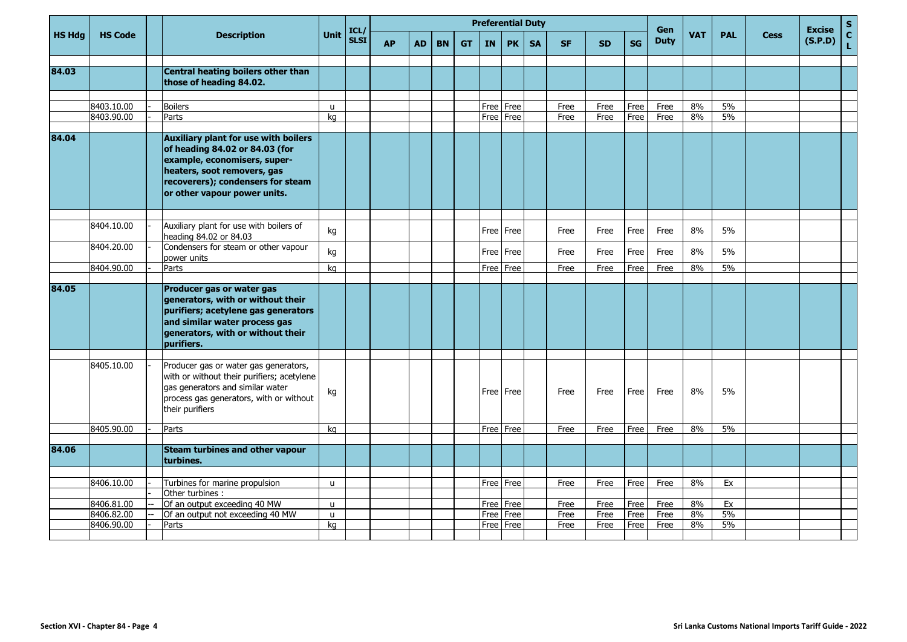|               |                          |                                                                                                                                                                                                                   |                   | ICL/        |           |           |           |           |           | <b>Preferential Duty</b>   |           |              |              |              | Gen          |            |            |             | <b>Excise</b> | $\mathsf{s}$       |
|---------------|--------------------------|-------------------------------------------------------------------------------------------------------------------------------------------------------------------------------------------------------------------|-------------------|-------------|-----------|-----------|-----------|-----------|-----------|----------------------------|-----------|--------------|--------------|--------------|--------------|------------|------------|-------------|---------------|--------------------|
| <b>HS Hdg</b> | <b>HS Code</b>           | <b>Description</b>                                                                                                                                                                                                | <b>Unit</b>       | <b>SLSI</b> | <b>AP</b> | <b>AD</b> | <b>BN</b> | <b>GT</b> | <b>IN</b> | <b>PK</b>                  | <b>SA</b> | <b>SF</b>    | SD.          | <b>SG</b>    | <b>Duty</b>  | <b>VAT</b> | <b>PAL</b> | <b>Cess</b> | (S.P.D)       | $\mathbf{C}$<br>L, |
| 84.03         |                          | Central heating boilers other than<br>those of heading 84.02.                                                                                                                                                     |                   |             |           |           |           |           |           |                            |           |              |              |              |              |            |            |             |               |                    |
|               |                          |                                                                                                                                                                                                                   |                   |             |           |           |           |           |           |                            |           |              |              |              |              |            |            |             |               |                    |
|               | 8403.10.00               | <b>Boilers</b>                                                                                                                                                                                                    | u                 |             |           |           |           |           |           | Free Free                  |           | Free         | Free         | Free         | Free         | 8%         | 5%         |             |               |                    |
|               | 8403.90.00               | Parts                                                                                                                                                                                                             | kg                |             |           |           |           |           |           | Free Free                  |           | Free         | Free         | Free         | Free         | 8%         | 5%         |             |               |                    |
| 84.04         |                          | <b>Auxiliary plant for use with boilers</b><br>of heading 84.02 or 84.03 (for<br>example, economisers, super-<br>heaters, soot removers, gas<br>recoverers); condensers for steam<br>or other vapour power units. |                   |             |           |           |           |           |           |                            |           |              |              |              |              |            |            |             |               |                    |
|               | 8404.10.00               | Auxiliary plant for use with boilers of                                                                                                                                                                           |                   |             |           |           |           |           |           |                            |           |              |              |              |              |            |            |             |               |                    |
|               |                          | heading 84.02 or 84.03                                                                                                                                                                                            | kg                |             |           |           |           |           |           | Free   Free                |           | Free         | Free         | Free         | Free         | 8%         | 5%         |             |               |                    |
|               | 8404.20.00               | Condensers for steam or other vapour<br>power units                                                                                                                                                               | kg                |             |           |           |           |           |           | Free Free                  |           | Free         | Free         | Free         | Free         | 8%         | 5%         |             |               |                    |
|               | 8404.90.00               | Parts                                                                                                                                                                                                             | ka                |             |           |           |           |           |           | Free   Free                |           | Free         | Free         | Free         | Free         | 8%         | 5%         |             |               |                    |
|               |                          |                                                                                                                                                                                                                   |                   |             |           |           |           |           |           |                            |           |              |              |              |              |            |            |             |               |                    |
| 84.05         |                          | Producer gas or water gas<br>generators, with or without their<br>purifiers; acetylene gas generators<br>and similar water process gas<br>generators, with or without their<br>purifiers.                         |                   |             |           |           |           |           |           |                            |           |              |              |              |              |            |            |             |               |                    |
|               |                          |                                                                                                                                                                                                                   |                   |             |           |           |           |           |           |                            |           |              |              |              |              |            |            |             |               |                    |
|               | 8405.10.00               | Producer gas or water gas generators,<br>with or without their purifiers; acetylene<br>gas generators and similar water<br>process gas generators, with or without<br>their purifiers                             | kg                |             |           |           |           |           |           | Free   Free                |           | Free         | Free         | Free         | Free         | 8%         | 5%         |             |               |                    |
|               | 8405.90.00               | Parts                                                                                                                                                                                                             | kg                |             |           |           |           |           |           | Free Free                  |           | Free         | Free         | Free         | Free         | 8%         | 5%         |             |               |                    |
|               |                          |                                                                                                                                                                                                                   |                   |             |           |           |           |           |           |                            |           |              |              |              |              |            |            |             |               |                    |
| 84.06         |                          | <b>Steam turbines and other vapour</b><br>turbines.                                                                                                                                                               |                   |             |           |           |           |           |           |                            |           |              |              |              |              |            |            |             |               |                    |
|               |                          |                                                                                                                                                                                                                   |                   |             |           |           |           |           |           |                            |           |              |              |              |              |            |            |             |               |                    |
|               | 8406.10.00               | Turbines for marine propulsion                                                                                                                                                                                    | u                 |             |           |           |           |           |           | Free Free                  |           | Free         | Free         | Free         | Free         | 8%         | Ex         |             |               |                    |
|               |                          | Other turbines :<br>Of an output exceeding 40 MW                                                                                                                                                                  |                   |             |           |           |           |           |           |                            |           |              |              |              |              | 8%         | Ex         |             |               |                    |
|               | 8406.81.00<br>8406.82.00 | Of an output not exceeding 40 MW                                                                                                                                                                                  | $\mathbf{u}$<br>u |             |           |           |           |           |           | Free   Free<br>Free   Free |           | Free<br>Free | Free<br>Free | Free<br>Free | Free<br>Free | 8%         | 5%         |             |               |                    |
|               | 8406.90.00               | Parts                                                                                                                                                                                                             | kq                |             |           |           |           |           |           | Free Free                  |           | Free         | Free         | Free         | Free         | 8%         | 5%         |             |               |                    |
|               |                          |                                                                                                                                                                                                                   |                   |             |           |           |           |           |           |                            |           |              |              |              |              |            |            |             |               |                    |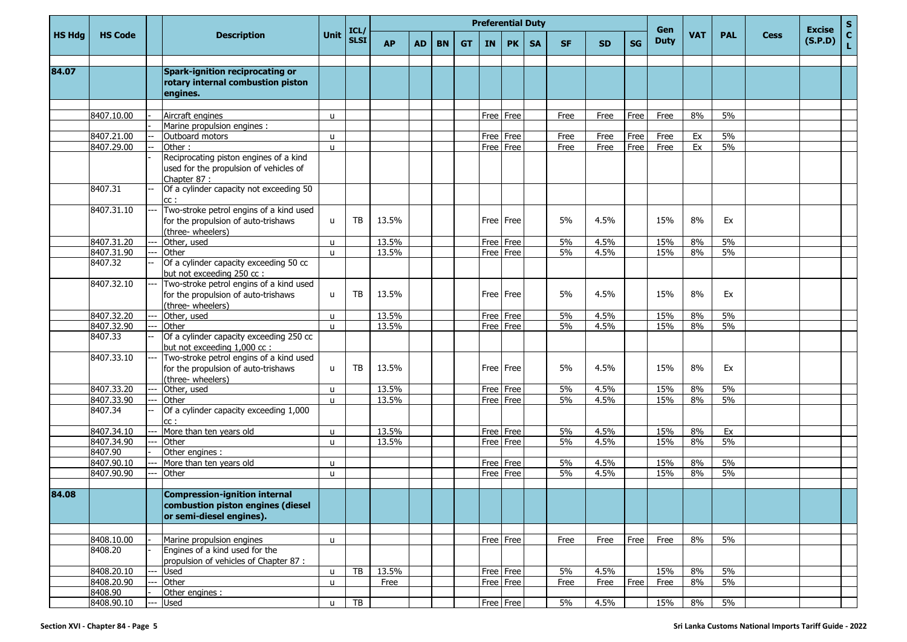|               |                |      |                                                                                                       |              |                     |           |           |           |           | <b>Preferential Duty</b> |           |           |           |           |           |                    |            |            |             | <b>Excise</b> | S                  |
|---------------|----------------|------|-------------------------------------------------------------------------------------------------------|--------------|---------------------|-----------|-----------|-----------|-----------|--------------------------|-----------|-----------|-----------|-----------|-----------|--------------------|------------|------------|-------------|---------------|--------------------|
| <b>HS Hdg</b> | <b>HS Code</b> |      | <b>Description</b>                                                                                    | <b>Unit</b>  | ICL/<br><b>SLSI</b> | <b>AP</b> | <b>AD</b> | <b>BN</b> | <b>GT</b> | IN                       | <b>PK</b> | <b>SA</b> | <b>SF</b> | <b>SD</b> | <b>SG</b> | Gen<br><b>Duty</b> | <b>VAT</b> | <b>PAL</b> | <b>Cess</b> | (S.P.D)       | $\mathbf{C}$<br>L. |
| 84.07         |                |      | Spark-ignition reciprocating or<br>rotary internal combustion piston<br>engines.                      |              |                     |           |           |           |           |                          |           |           |           |           |           |                    |            |            |             |               |                    |
|               | 8407.10.00     |      | Aircraft engines                                                                                      | u            |                     |           |           |           |           | Free                     | Free      |           | Free      | Free      | Free      | Free               | 8%         | 5%         |             |               |                    |
|               |                |      | Marine propulsion engines :                                                                           |              |                     |           |           |           |           |                          |           |           |           |           |           |                    |            |            |             |               |                    |
|               | 8407.21.00     |      | Outboard motors                                                                                       | $\mathbf{u}$ |                     |           |           |           |           | Free                     | Free      |           | Free      | Free      | Free      | Free               | Ex         | 5%         |             |               |                    |
|               | 8407.29.00     |      | Other:                                                                                                | $\mathbf{u}$ |                     |           |           |           |           | Free                     | Free      |           | Free      | Free      | Free      | Free               | Ex         | 5%         |             |               |                    |
|               |                |      | Reciprocating piston engines of a kind<br>used for the propulsion of vehicles of<br>Chapter 87:       |              |                     |           |           |           |           |                          |           |           |           |           |           |                    |            |            |             |               |                    |
|               | 8407.31        |      | Of a cylinder capacity not exceeding 50<br>cc:                                                        |              |                     |           |           |           |           |                          |           |           |           |           |           |                    |            |            |             |               |                    |
|               | 8407.31.10     | ---  | Two-stroke petrol engins of a kind used<br>for the propulsion of auto-trishaws<br>(three- wheelers)   | u            | TB                  | 13.5%     |           |           |           |                          | Free Free |           | 5%        | 4.5%      |           | 15%                | 8%         | Ex         |             |               |                    |
|               | 8407.31.20     | ---  | Other, used                                                                                           | u            |                     | 13.5%     |           |           |           | Free                     | Free      |           | 5%        | 4.5%      |           | 15%                | 8%         | 5%         |             |               |                    |
|               | 8407.31.90     |      | Other                                                                                                 | u            |                     | 13.5%     |           |           |           |                          | Free Free |           | 5%        | 4.5%      |           | 15%                | 8%         | 5%         |             |               |                    |
|               | 8407.32        |      | Of a cylinder capacity exceeding 50 cc<br>but not exceeding 250 cc :                                  |              |                     |           |           |           |           |                          |           |           |           |           |           |                    |            |            |             |               |                    |
|               | 8407.32.10     | ---  | Two-stroke petrol engins of a kind used<br>for the propulsion of auto-trishaws<br>(three- wheelers)   | $\mathbf{u}$ | <b>TB</b>           | 13.5%     |           |           |           |                          | Free Free |           | 5%        | 4.5%      |           | 15%                | 8%         | Ex         |             |               |                    |
|               | 8407.32.20     | ---  | Other, used                                                                                           | u            |                     | 13.5%     |           |           |           | Free                     | Free      |           | 5%        | 4.5%      |           | 15%                | 8%         | 5%         |             |               |                    |
|               | 8407.32.90     | ---  | Other                                                                                                 | $\mathbf{u}$ |                     | 13.5%     |           |           |           | Free                     | Free      |           | 5%        | 4.5%      |           | 15%                | 8%         | 5%         |             |               |                    |
|               | 8407.33        |      | Of a cylinder capacity exceeding 250 cc<br>but not exceeding 1,000 cc :                               |              |                     |           |           |           |           |                          |           |           |           |           |           |                    |            |            |             |               |                    |
|               | 8407.33.10     | $--$ | Two-stroke petrol engins of a kind used<br>for the propulsion of auto-trishaws<br>(three- wheelers)   | u            | <b>TB</b>           | 13.5%     |           |           |           |                          | Free Free |           | 5%        | 4.5%      |           | 15%                | 8%         | Ex         |             |               |                    |
|               | 8407.33.20     |      | Other, used                                                                                           | u            |                     | 13.5%     |           |           |           | Free                     | Free      |           | 5%        | 4.5%      |           | 15%                | 8%         | 5%         |             |               |                    |
|               | 8407.33.90     |      | Other                                                                                                 | u            |                     | 13.5%     |           |           |           |                          | Free Free |           | 5%        | 4.5%      |           | 15%                | 8%         | 5%         |             |               |                    |
|               | 8407.34        |      | Of a cylinder capacity exceeding 1,000<br>cc:                                                         |              |                     |           |           |           |           |                          |           |           |           |           |           |                    |            |            |             |               |                    |
|               | 8407.34.10     |      | More than ten years old                                                                               | u            |                     | 13.5%     |           |           |           | Free                     | Free      |           | 5%        | 4.5%      |           | 15%                | 8%         | Ex         |             |               |                    |
|               | 8407.34.90     |      | Other                                                                                                 | u            |                     | 13.5%     |           |           |           | Free                     | Free      |           | 5%        | 4.5%      |           | 15%                | 8%         | 5%         |             |               |                    |
|               | 8407.90        |      | Other engines :                                                                                       |              |                     |           |           |           |           |                          |           |           |           |           |           |                    |            |            |             |               |                    |
|               | 8407.90.10     |      | More than ten years old                                                                               | u            |                     |           |           |           |           |                          | Free Free |           | 5%        | 4.5%      |           | 15%                | 8%         | 5%         |             |               |                    |
|               | 8407.90.90     |      | Other                                                                                                 | u            |                     |           |           |           |           | Free Free                |           |           | 5%        | 4.5%      |           | 15%                | 8%         | 5%         |             |               |                    |
| 84.08         |                |      | <b>Compression-ignition internal</b><br>combustion piston engines (diesel<br>or semi-diesel engines). |              |                     |           |           |           |           |                          |           |           |           |           |           |                    |            |            |             |               |                    |
|               |                |      |                                                                                                       |              |                     |           |           |           |           |                          |           |           |           |           |           |                    |            |            |             |               |                    |
|               | 8408.10.00     |      | Marine propulsion engines                                                                             | u            |                     |           |           |           |           |                          | Free Free |           | Free      | Free      | Free      | Free               | 8%         | $5\%$      |             |               |                    |
|               | 8408.20        |      | Engines of a kind used for the<br>propulsion of vehicles of Chapter 87 :                              |              |                     |           |           |           |           |                          |           |           |           |           |           |                    |            |            |             |               |                    |
|               | 8408.20.10     |      | <b>Used</b>                                                                                           | u            | TB                  | 13.5%     |           |           |           |                          | Free Free |           | 5%        | 4.5%      |           | 15%                | 8%         | 5%         |             |               |                    |
|               | 8408.20.90     |      | Other                                                                                                 | $\mathsf{u}$ |                     | Free      |           |           |           |                          | Free Free |           | Free      | Free      | Free      | Free               | 8%         | 5%         |             |               |                    |
|               | 8408.90        |      | Other engines :                                                                                       |              |                     |           |           |           |           |                          |           |           |           |           |           |                    |            |            |             |               |                    |
|               | 8408.90.10     |      | <b>Used</b>                                                                                           | u            | TB                  |           |           |           |           |                          | Free Free |           | 5%        | 4.5%      |           | 15%                | 8%         | $5\%$      |             |               |                    |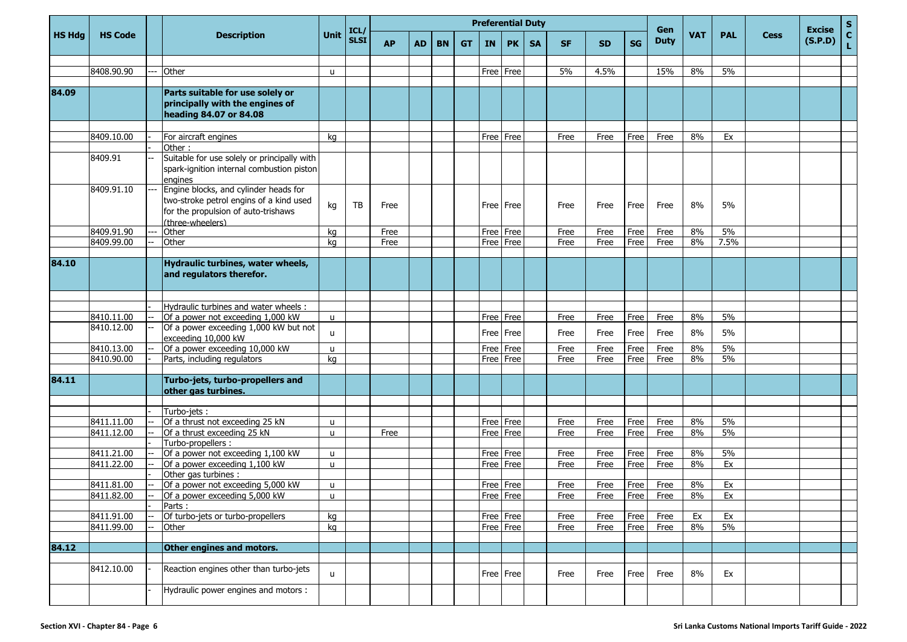|               |                |                                        |                                                                                                                                             |              |                     |           |           |           |           |           |           | <b>Preferential Duty</b> |           |           |      |                    |            |            |             |                          | S.                 |
|---------------|----------------|----------------------------------------|---------------------------------------------------------------------------------------------------------------------------------------------|--------------|---------------------|-----------|-----------|-----------|-----------|-----------|-----------|--------------------------|-----------|-----------|------|--------------------|------------|------------|-------------|--------------------------|--------------------|
| <b>HS Hdg</b> | <b>HS Code</b> |                                        | <b>Description</b>                                                                                                                          | <b>Unit</b>  | ICL/<br><b>SLSI</b> | <b>AP</b> | <b>AD</b> | <b>BN</b> | <b>GT</b> | <b>IN</b> | <b>PK</b> | <b>SA</b>                | <b>SF</b> | <b>SD</b> | SG   | Gen<br><b>Duty</b> | <b>VAT</b> | <b>PAL</b> | <b>Cess</b> | <b>Excise</b><br>(S.P.D) | $\mathbf{C}$<br>L. |
|               |                |                                        |                                                                                                                                             |              |                     |           |           |           |           |           |           |                          |           |           |      |                    |            |            |             |                          |                    |
|               | 8408.90.90     | ---                                    | Other                                                                                                                                       | u            |                     |           |           |           |           | Free      | Free      |                          | 5%        | 4.5%      |      | 15%                | 8%         | 5%         |             |                          |                    |
| 84.09         |                |                                        | Parts suitable for use solely or<br>principally with the engines of<br>heading 84.07 or 84.08                                               |              |                     |           |           |           |           |           |           |                          |           |           |      |                    |            |            |             |                          |                    |
|               | 8409.10.00     |                                        | For aircraft engines                                                                                                                        | kg           |                     |           |           |           |           |           | Free Free |                          | Free      | Free      | Free | Free               | 8%         | Ex         |             |                          |                    |
|               |                |                                        | Other:                                                                                                                                      |              |                     |           |           |           |           |           |           |                          |           |           |      |                    |            |            |             |                          |                    |
|               | 8409.91        |                                        | Suitable for use solely or principally with<br>spark-ignition internal combustion piston<br>engines                                         |              |                     |           |           |           |           |           |           |                          |           |           |      |                    |            |            |             |                          |                    |
|               | 8409.91.10     | $\scriptstyle\cdots\scriptstyle\cdots$ | Engine blocks, and cylinder heads for<br>two-stroke petrol engins of a kind used<br>for the propulsion of auto-trishaws<br>(three-wheelers) | kg           | <b>TB</b>           | Free      |           |           |           | Free Free |           |                          | Free      | Free      | Free | Free               | 8%         | 5%         |             |                          |                    |
|               | 8409.91.90     | ---                                    | Other                                                                                                                                       | kg           |                     | Free      |           |           |           | Free      | Free      |                          | Free      | Free      | Free | Free               | 8%         | 5%         |             |                          |                    |
|               | 8409.99.00     |                                        | Other                                                                                                                                       | kg           |                     | Free      |           |           |           | Free      | Free      |                          | Free      | Free      | Free | Free               | 8%         | 7.5%       |             |                          |                    |
|               |                |                                        |                                                                                                                                             |              |                     |           |           |           |           |           |           |                          |           |           |      |                    |            |            |             |                          |                    |
| 84.10         |                |                                        | Hydraulic turbines, water wheels,<br>and regulators therefor.                                                                               |              |                     |           |           |           |           |           |           |                          |           |           |      |                    |            |            |             |                          |                    |
|               |                |                                        |                                                                                                                                             |              |                     |           |           |           |           |           |           |                          |           |           |      |                    |            |            |             |                          |                    |
|               |                |                                        | Hydraulic turbines and water wheels :                                                                                                       |              |                     |           |           |           |           |           |           |                          |           |           |      |                    |            |            |             |                          |                    |
|               | 8410.11.00     |                                        | Of a power not exceeding 1,000 kW                                                                                                           | u            |                     |           |           |           |           | Free      | Free      |                          | Free      | Free      | Free | Free               | 8%         | 5%         |             |                          |                    |
|               | 8410.12.00     | --                                     | Of a power exceeding 1,000 kW but not<br>exceeding 10,000 kW                                                                                | u            |                     |           |           |           |           | Free      | Free      |                          | Free      | Free      | Free | Free               | 8%         | 5%         |             |                          |                    |
|               | 8410.13.00     |                                        | Of a power exceeding 10,000 kW                                                                                                              | $\mathsf{u}$ |                     |           |           |           |           | Free      | Free      |                          | Free      | Free      | Free | Free               | 8%         | 5%         |             |                          |                    |
|               | 8410.90.00     |                                        | Parts, including regulators                                                                                                                 | kg           |                     |           |           |           |           | Free      | Free      |                          | Free      | Free      | Free | Free               | 8%         | 5%         |             |                          |                    |
| 84.11         |                |                                        | Turbo-jets, turbo-propellers and<br>other gas turbines.                                                                                     |              |                     |           |           |           |           |           |           |                          |           |           |      |                    |            |            |             |                          |                    |
|               |                |                                        |                                                                                                                                             |              |                     |           |           |           |           |           |           |                          |           |           |      |                    |            |            |             |                          |                    |
|               | 8411.11.00     |                                        | Turbo-jets:<br>Of a thrust not exceeding 25 kN                                                                                              | $\mathsf{u}$ |                     |           |           |           |           | Free      | Free      |                          | Free      | Free      | Free | Free               | 8%         | 5%         |             |                          |                    |
|               | 8411.12.00     |                                        | Of a thrust exceeding 25 kN                                                                                                                 | u            |                     | Free      |           |           |           | Free      | Free      |                          | Free      | Free      | Free | Free               | 8%         | 5%         |             |                          |                    |
|               |                |                                        | Turbo-propellers :                                                                                                                          |              |                     |           |           |           |           |           |           |                          |           |           |      |                    |            |            |             |                          |                    |
|               | 8411.21.00     |                                        | Of a power not exceeding 1,100 kW                                                                                                           | u            |                     |           |           |           |           | Free      | Free      |                          | Free      | Free      | Free | Free               | 8%         | 5%         |             |                          |                    |
|               | 8411.22.00     |                                        | Of a power exceeding 1,100 kW                                                                                                               | u            |                     |           |           |           |           | Free      | Free      |                          | Free      | Free      | Free | Free               | 8%         | Ex         |             |                          |                    |
|               |                |                                        | Other gas turbines :                                                                                                                        |              |                     |           |           |           |           |           |           |                          |           |           |      |                    |            |            |             |                          |                    |
|               | 8411.81.00     |                                        | Of a power not exceeding 5,000 kW                                                                                                           | u            |                     |           |           |           |           | Free      | Free      |                          | Free      | Free      | Free | Free               | 8%         | Ex         |             |                          |                    |
|               | 8411.82.00     |                                        | Of a power exceeding 5,000 kW                                                                                                               | u            |                     |           |           |           |           |           | Free Free |                          | Free      | Free      | Free | Free               | 8%         | Ex         |             |                          |                    |
|               |                |                                        | Parts:                                                                                                                                      |              |                     |           |           |           |           |           |           |                          |           |           |      |                    |            |            |             |                          |                    |
|               | 8411.91.00     |                                        | Of turbo-jets or turbo-propellers                                                                                                           | kg           |                     |           |           |           |           |           | Free Free |                          | Free      | Free      | Free | Free               | Ex         | Ex         |             |                          |                    |
|               | 8411.99.00     | $\overline{\phantom{a}}$               | Other                                                                                                                                       | kg           |                     |           |           |           |           |           | Free Free |                          | Free      | Free      | Free | Free               | 8%         | 5%         |             |                          |                    |
|               |                |                                        |                                                                                                                                             |              |                     |           |           |           |           |           |           |                          |           |           |      |                    |            |            |             |                          |                    |
| 84.12         |                |                                        | Other engines and motors.                                                                                                                   |              |                     |           |           |           |           |           |           |                          |           |           |      |                    |            |            |             |                          |                    |
|               | 8412.10.00     |                                        | Reaction engines other than turbo-jets                                                                                                      | $\mathsf{u}$ |                     |           |           |           |           |           | Free Free |                          | Free      | Free      | Free | Free               | 8%         | Ex         |             |                          |                    |
|               |                |                                        | Hydraulic power engines and motors :                                                                                                        |              |                     |           |           |           |           |           |           |                          |           |           |      |                    |            |            |             |                          |                    |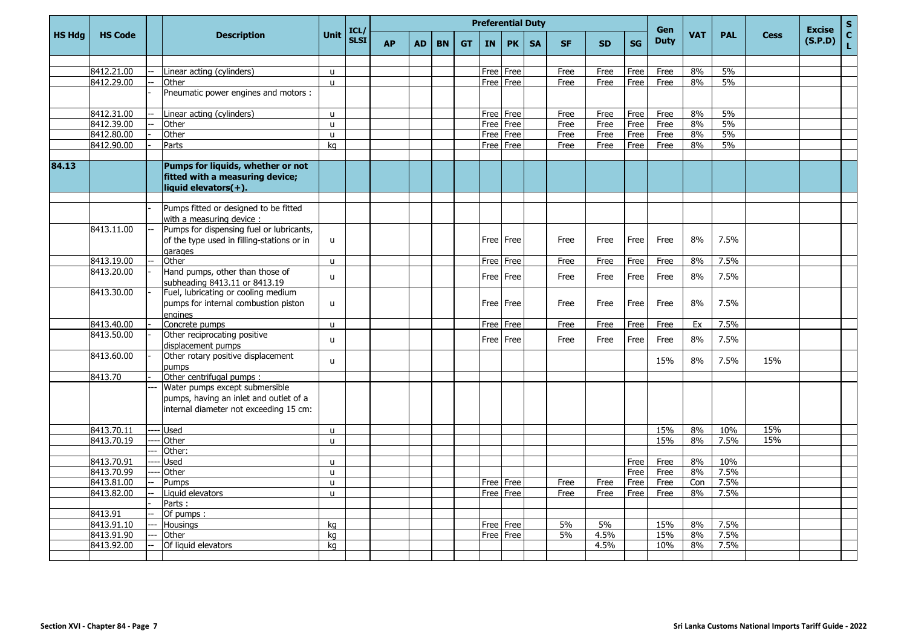|               |                |     |                                                                                                                    |              |                     |           |           |           |           |           | <b>Preferential Duty</b> |           |           |           |           | <b>Gen</b>  |            |            |             | <b>Excise</b> | $\mathsf{s}$       |
|---------------|----------------|-----|--------------------------------------------------------------------------------------------------------------------|--------------|---------------------|-----------|-----------|-----------|-----------|-----------|--------------------------|-----------|-----------|-----------|-----------|-------------|------------|------------|-------------|---------------|--------------------|
| <b>HS Hdg</b> | <b>HS Code</b> |     | <b>Description</b>                                                                                                 | <b>Unit</b>  | ICL/<br><b>SLSI</b> | <b>AP</b> | <b>AD</b> | <b>BN</b> | <b>GT</b> | <b>IN</b> | <b>PK</b>                | <b>SA</b> | <b>SF</b> | <b>SD</b> | <b>SG</b> | <b>Duty</b> | <b>VAT</b> | <b>PAL</b> | <b>Cess</b> | (S.P.D)       | $\mathbf{C}$<br>Ĺ. |
|               |                |     |                                                                                                                    |              |                     |           |           |           |           |           |                          |           |           |           |           |             |            |            |             |               |                    |
|               | 8412.21.00     |     | Linear acting (cylinders)                                                                                          | u            |                     |           |           |           |           |           | Free Free                |           | Free      | Free      | Free      | Free        | 8%         | 5%         |             |               |                    |
|               | 8412.29.00     |     | Other                                                                                                              | $\mathbf{u}$ |                     |           |           |           |           |           | Free   Free              |           | Free      | Free      | Free      | Free        | 8%         | 5%         |             |               |                    |
|               |                |     | Pneumatic power engines and motors :                                                                               |              |                     |           |           |           |           |           |                          |           |           |           |           |             |            |            |             |               |                    |
|               | 8412.31.00     |     | Linear acting (cylinders)                                                                                          | <b>u</b>     |                     |           |           |           |           |           | Free Free                |           | Free      | Free      | Free      | Free        | 8%         | 5%         |             |               |                    |
|               | 8412.39.00     |     | Other                                                                                                              | u            |                     |           |           |           |           |           | Free   Free              |           | Free      | Free      | Free      | Free        | 8%         | 5%         |             |               |                    |
|               | 8412.80.00     |     | Other                                                                                                              | $\mathsf{u}$ |                     |           |           |           |           |           | Free   Free              |           | Free      | Free      | Free      | Free        | 8%         | 5%         |             |               |                    |
|               | 8412.90.00     |     | Parts                                                                                                              | ka           |                     |           |           |           |           |           | Free   Free              |           | Free      | Free      | Free      | Free        | 8%         | 5%         |             |               |                    |
| 84.13         |                |     | Pumps for liquids, whether or not<br>fitted with a measuring device;<br>liquid elevators(+).                       |              |                     |           |           |           |           |           |                          |           |           |           |           |             |            |            |             |               |                    |
|               |                |     |                                                                                                                    |              |                     |           |           |           |           |           |                          |           |           |           |           |             |            |            |             |               |                    |
|               |                |     | Pumps fitted or designed to be fitted<br>with a measuring device :                                                 |              |                     |           |           |           |           |           |                          |           |           |           |           |             |            |            |             |               |                    |
|               | 8413.11.00     |     | Pumps for dispensing fuel or lubricants,<br>of the type used in filling-stations or in<br>garages                  | u            |                     |           |           |           |           |           | Free   Free              |           | Free      | Free      | Free      | Free        | 8%         | 7.5%       |             |               |                    |
|               | 8413.19.00     |     | Other                                                                                                              | u            |                     |           |           |           |           |           | Free Free                |           | Free      | Free      | Free      | Free        | 8%         | 7.5%       |             |               |                    |
|               | 8413.20.00     |     | Hand pumps, other than those of<br>subheading 8413.11 or 8413.19                                                   | $\mathsf{u}$ |                     |           |           |           |           |           | Free l Free              |           | Free      | Free      | Free      | Free        | 8%         | 7.5%       |             |               |                    |
|               | 8413.30.00     |     | Fuel, lubricating or cooling medium<br>pumps for internal combustion piston<br>engines                             | u            |                     |           |           |           |           |           | Free   Free              |           | Free      | Free      | Free      | Free        | 8%         | 7.5%       |             |               |                    |
|               | 8413.40.00     |     | Concrete pumps                                                                                                     | u            |                     |           |           |           |           |           | Free l Free              |           | Free      | Free      | Free      | Free        | Ex         | 7.5%       |             |               |                    |
|               | 8413.50.00     |     | Other reciprocating positive<br>displacement pumps                                                                 | u            |                     |           |           |           |           |           | Free Free                |           | Free      | Free      | Free      | Free        | 8%         | 7.5%       |             |               |                    |
|               | 8413.60.00     |     | Other rotary positive displacement<br>pumps                                                                        | $\mathbf{u}$ |                     |           |           |           |           |           |                          |           |           |           |           | 15%         | 8%         | 7.5%       | 15%         |               |                    |
|               | 8413.70        |     | Other centrifugal pumps :                                                                                          |              |                     |           |           |           |           |           |                          |           |           |           |           |             |            |            |             |               |                    |
|               |                |     | Water pumps except submersible<br>pumps, having an inlet and outlet of a<br>internal diameter not exceeding 15 cm: |              |                     |           |           |           |           |           |                          |           |           |           |           |             |            |            |             |               |                    |
|               | 8413.70.11     |     | <b>Used</b>                                                                                                        | u            |                     |           |           |           |           |           |                          |           |           |           |           | 15%         | 8%         | 10%        | 15%         |               |                    |
|               | 8413.70.19     |     | Other                                                                                                              | $\mathsf{u}$ |                     |           |           |           |           |           |                          |           |           |           |           | 15%         | 8%         | 7.5%       | 15%         |               |                    |
|               |                |     | Other:                                                                                                             |              |                     |           |           |           |           |           |                          |           |           |           |           |             |            |            |             |               |                    |
|               | 8413.70.91     |     | <b>Used</b>                                                                                                        | u            |                     |           |           |           |           |           |                          |           |           |           | Free      | Free        | 8%         | 10%        |             |               |                    |
|               | 8413.70.99     |     | Other                                                                                                              | u            |                     |           |           |           |           |           |                          |           |           |           | Free      | Free        | 8%         | 7.5%       |             |               |                    |
|               | 8413.81.00     |     | Pumps                                                                                                              | u            |                     |           |           |           |           |           | Free Free                |           | Free      | Free      | Free      | Free        | Con        | 7.5%       |             |               |                    |
|               | 8413.82.00     |     | Liquid elevators                                                                                                   | u            |                     |           |           |           |           |           | Free   Free              |           | Free      | Free      | Free      | Free        | 8%         | 7.5%       |             |               |                    |
|               |                |     | Parts:                                                                                                             |              |                     |           |           |           |           |           |                          |           |           |           |           |             |            |            |             |               |                    |
|               | 8413.91        |     | Of pumps:                                                                                                          |              |                     |           |           |           |           |           |                          |           |           |           |           |             |            |            |             |               |                    |
|               | 8413.91.10     | $-$ | <b>Housings</b>                                                                                                    | kg           |                     |           |           |           |           |           | Free Free                |           | 5%        | 5%        |           | 15%         | 8%         | 7.5%       |             |               |                    |
|               | 8413.91.90     |     | Other                                                                                                              | kg           |                     |           |           |           |           | Free      | Free                     |           | 5%        | 4.5%      |           | 15%         | 8%         | 7.5%       |             |               |                    |
|               | 8413.92.00     |     | Of liquid elevators                                                                                                | kg           |                     |           |           |           |           |           |                          |           |           | 4.5%      |           | 10%         | 8%         | 7.5%       |             |               |                    |
|               |                |     |                                                                                                                    |              |                     |           |           |           |           |           |                          |           |           |           |           |             |            |            |             |               |                    |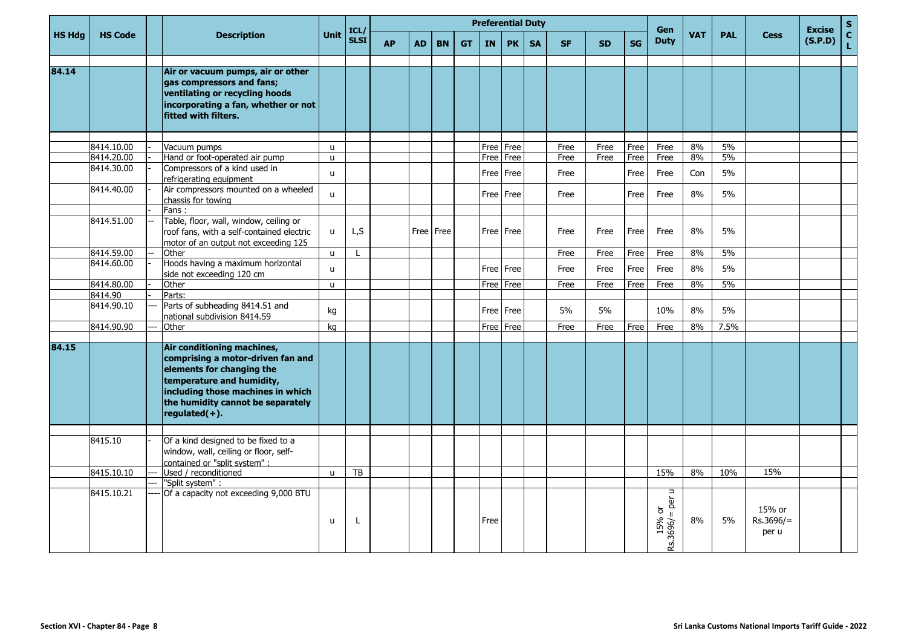|               |                |                                                                                                                                                                                                                      |              | ICL/        |           |           |           |           |           | <b>Preferential Duty</b> |           |           |           |           | Gen                                                             |            |            |                              | <b>Excise</b> | $\mathbf{s}$                    |
|---------------|----------------|----------------------------------------------------------------------------------------------------------------------------------------------------------------------------------------------------------------------|--------------|-------------|-----------|-----------|-----------|-----------|-----------|--------------------------|-----------|-----------|-----------|-----------|-----------------------------------------------------------------|------------|------------|------------------------------|---------------|---------------------------------|
| <b>HS Hdg</b> | <b>HS Code</b> | <b>Description</b>                                                                                                                                                                                                   | Unit         | <b>SLSI</b> | <b>AP</b> | <b>AD</b> | <b>BN</b> | <b>GT</b> | <b>IN</b> | <b>PK</b>                | <b>SA</b> | <b>SF</b> | <b>SD</b> | <b>SG</b> | <b>Duty</b>                                                     | <b>VAT</b> | <b>PAL</b> | <b>Cess</b>                  | (S.P.D)       | $\frac{\mathsf{c}}{\mathsf{L}}$ |
| 84.14         |                | Air or vacuum pumps, air or other<br>gas compressors and fans;<br>ventilating or recycling hoods<br>incorporating a fan, whether or not<br>fitted with filters.                                                      |              |             |           |           |           |           |           |                          |           |           |           |           |                                                                 |            |            |                              |               |                                 |
|               |                |                                                                                                                                                                                                                      |              |             |           |           |           |           |           |                          |           |           |           |           |                                                                 |            |            |                              |               |                                 |
|               | 8414.10.00     | Vacuum pumps                                                                                                                                                                                                         | u            |             |           |           |           |           |           | Free   Free              |           | Free      | Free      | Free      | Free                                                            | 8%         | 5%         |                              |               |                                 |
|               | 8414.20.00     | Hand or foot-operated air pump                                                                                                                                                                                       | u            |             |           |           |           |           |           | Free   Free              |           | Free      | Free      | Free      | Free                                                            | 8%         | 5%         |                              |               |                                 |
|               | 8414.30.00     | Compressors of a kind used in<br>refrigerating equipment                                                                                                                                                             | u            |             |           |           |           |           |           | Free   Free              |           | Free      |           | Free      | Free                                                            | Con        | 5%         |                              |               |                                 |
|               | 8414.40.00     | Air compressors mounted on a wheeled                                                                                                                                                                                 |              |             |           |           |           |           |           |                          |           |           |           |           |                                                                 |            |            |                              |               |                                 |
|               |                | chassis for towing                                                                                                                                                                                                   | $\mathbf{u}$ |             |           |           |           |           |           | Free Free                |           | Free      |           | Free      | Free                                                            | 8%         | 5%         |                              |               |                                 |
|               |                | Fans:                                                                                                                                                                                                                |              |             |           |           |           |           |           |                          |           |           |           |           |                                                                 |            |            |                              |               |                                 |
|               | 8414.51.00     | Table, floor, wall, window, ceiling or<br>roof fans, with a self-contained electric<br>motor of an output not exceeding 125                                                                                          | u            | L,S         |           |           | Free Free |           |           | Free Free                |           | Free      | Free      | Free      | Free                                                            | 8%         | 5%         |                              |               |                                 |
|               | 8414.59.00     | Other                                                                                                                                                                                                                | <b>u</b>     |             |           |           |           |           |           |                          |           | Free      | Free      | Free      | Free                                                            | 8%         | 5%         |                              |               |                                 |
|               | 8414.60.00     | Hoods having a maximum horizontal<br>side not exceeding 120 cm                                                                                                                                                       | u            |             |           |           |           |           |           | Free   Free              |           | Free      | Free      | Free      | Free                                                            | 8%         | 5%         |                              |               |                                 |
|               | 8414.80.00     | Other                                                                                                                                                                                                                | <b>u</b>     |             |           |           |           |           |           | Free   Free              |           | Free      | Free      | Free      | Free                                                            | 8%         | 5%         |                              |               |                                 |
|               | 8414.90        | Parts:                                                                                                                                                                                                               |              |             |           |           |           |           |           |                          |           |           |           |           |                                                                 |            |            |                              |               |                                 |
|               | 8414.90.10     | Parts of subheading 8414.51 and<br>national subdivision 8414.59                                                                                                                                                      | kg           |             |           |           |           |           |           | Free Free                |           | 5%        | 5%        |           | 10%                                                             | 8%         | 5%         |                              |               |                                 |
|               | 8414.90.90     | Other                                                                                                                                                                                                                | kg           |             |           |           |           |           |           | Free   Free              |           | Free      | Free      | Free      | Free                                                            | 8%         | 7.5%       |                              |               |                                 |
|               |                |                                                                                                                                                                                                                      |              |             |           |           |           |           |           |                          |           |           |           |           |                                                                 |            |            |                              |               |                                 |
| 84.15         |                | Air conditioning machines,<br>comprising a motor-driven fan and<br>elements for changing the<br>temperature and humidity,<br>including those machines in which<br>the humidity cannot be separately<br>regulated(+). |              |             |           |           |           |           |           |                          |           |           |           |           |                                                                 |            |            |                              |               |                                 |
|               |                |                                                                                                                                                                                                                      |              |             |           |           |           |           |           |                          |           |           |           |           |                                                                 |            |            |                              |               |                                 |
|               | 8415.10        | Of a kind designed to be fixed to a<br>window, wall, ceiling or floor, self-<br>contained or "split system" :                                                                                                        |              |             |           |           |           |           |           |                          |           |           |           |           |                                                                 |            |            |                              |               |                                 |
|               | 8415.10.10     | Used / reconditioned                                                                                                                                                                                                 | $\mathsf{u}$ | TB          |           |           |           |           |           |                          |           |           |           |           | 15%                                                             | 8%         | 10%        | 15%                          |               |                                 |
|               |                | "Split system" :                                                                                                                                                                                                     |              |             |           |           |           |           |           |                          |           |           |           |           |                                                                 |            |            |                              |               |                                 |
|               | 8415.10.21     | Of a capacity not exceeding 9,000 BTU                                                                                                                                                                                | u            | L           |           |           |           |           | Free      |                          |           |           |           |           | μ<br>per<br>$\overleftarrow{\mathrm{o}}$<br>15% or<br>Rs.3696/= | 8%         | 5%         | 15% or<br>Rs.3696/=<br>per u |               |                                 |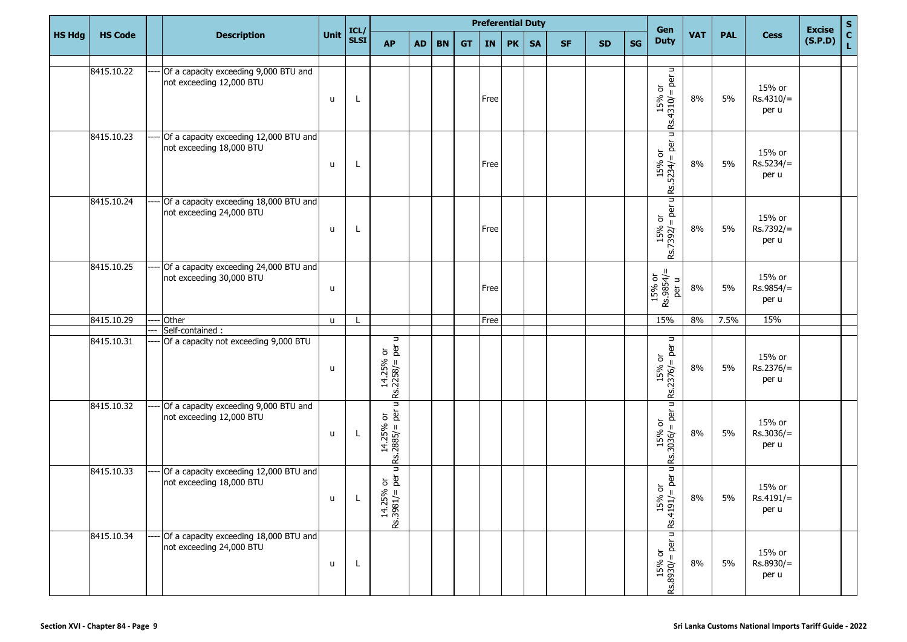|               |                |                                                                    |              | ICL/         |                                                                                 |           |           |           | <b>Preferential Duty</b> |           |           |           |           |           | Gen                                                                        |            |            |                                | <b>Excise</b> |             |
|---------------|----------------|--------------------------------------------------------------------|--------------|--------------|---------------------------------------------------------------------------------|-----------|-----------|-----------|--------------------------|-----------|-----------|-----------|-----------|-----------|----------------------------------------------------------------------------|------------|------------|--------------------------------|---------------|-------------|
| <b>HS Hdg</b> | <b>HS Code</b> | <b>Description</b>                                                 | Unit         | <b>SLSI</b>  | <b>AP</b>                                                                       | <b>AD</b> | <b>BN</b> | <b>GT</b> | <b>IN</b>                | <b>PK</b> | <b>SA</b> | <b>SF</b> | <b>SD</b> | <b>SG</b> | <b>Duty</b>                                                                | <b>VAT</b> | <b>PAL</b> | <b>Cess</b>                    | (S.P.D)       | S<br>C<br>L |
|               |                |                                                                    |              |              |                                                                                 |           |           |           |                          |           |           |           |           |           |                                                                            |            |            |                                |               |             |
|               | 8415.10.22     | Of a capacity exceeding 9,000 BTU and<br>not exceeding 12,000 BTU  | $\mathsf{u}$ | L            |                                                                                 |           |           |           | Free                     |           |           |           |           |           | Rs.4310/ = per u<br>$\overleftarrow{\mathrm{o}}$<br>15%                    | 8%         | 5%         | 15% or<br>$Rs.4310/=$<br>per u |               |             |
|               | 8415.10.23     | Of a capacity exceeding 12,000 BTU and<br>not exceeding 18,000 BTU | $\mathsf{u}$ | L            |                                                                                 |           |           |           | Free                     |           |           |           |           |           | μ<br>$ Rs.5234  = p$ er u                                                  | 8%         | 5%         | 15% or<br>$Rs.5234/=$<br>per u |               |             |
|               | 8415.10.24     | Of a capacity exceeding 18,000 BTU and<br>not exceeding 24,000 BTU | u            | L            |                                                                                 |           |           |           | Free                     |           |           |           |           |           | Ξ<br>$15%$ or<br>Rs.7392/= per u                                           | 8%         | 5%         | 15% or<br>Rs.7392/=<br>per u   |               |             |
|               | 8415.10.25     | Of a capacity exceeding 24,000 BTU and<br>not exceeding 30,000 BTU | u            |              |                                                                                 |           |           |           | Free                     |           |           |           |           |           | $15\%$ or<br>Rs.9854/=<br>per u                                            | 8%         | 5%         | 15% or<br>Rs.9854/=<br>per u   |               |             |
|               | 8415.10.29     | Other                                                              | u            |              |                                                                                 |           |           |           | Free                     |           |           |           |           |           | 15%                                                                        | 8%         | 7.5%       | 15%                            |               |             |
|               | 8415.10.31     | Self-contained :                                                   |              |              | Ч                                                                               |           |           |           |                          |           |           |           |           |           | u                                                                          |            |            |                                |               |             |
|               |                | Of a capacity not exceeding 9,000 BTU                              | u            |              | $\begin{vmatrix} 14.25\% & \text{or} \\$ IS.2258/ = per u                       |           |           |           |                          |           |           |           |           |           | è<br>$\overleftarrow{\sigma}$<br>$\mathbf{H}$<br>$15%$<br>Rs.2376/=        | 8%         | 5%         | 15% or<br>$Rs.2376/=$<br>per u |               |             |
|               | 8415.10.32     | Of a capacity exceeding 9,000 BTU and<br>not exceeding 12,000 BTU  | $\sf u$      | L            | Ξ<br>៦<br>ក្នុ<br>$14.25%$<br>Rs.2885/ =                                        |           |           |           |                          |           |           |           |           |           | u<br>per<br>$\overleftarrow{\sigma}$<br>$\mathbf{H}$<br>$15%$<br>RS:3036/= | 8%         | 5%         | 15% or<br>$Rs.3036/=$<br>per u |               |             |
|               | 8415.10.33     | Of a capacity exceeding 12,000 BTU and<br>not exceeding 18,000 BTU | $\mathbf{u}$ | $\mathbf{I}$ | Ξ<br>៦ ខិ<br>$\begin{bmatrix} 14.25\% \\ \text{Rs.}3981/\text{m} \end{bmatrix}$ |           |           |           |                          |           |           |           |           |           | Ξ<br>è<br>৯<br>$\frac{1}{2}$<br>15%<br>Rs.4191/=                           | 8%         | 5%         | 15% or<br>Rs.4191/=<br>per u   |               |             |
|               | 8415.10.34     | Of a capacity exceeding 18,000 BTU and<br>not exceeding 24,000 BTU | u            | L            |                                                                                 |           |           |           |                          |           |           |           |           |           | μ<br>$=$ per<br>$15%$ or<br>Rs.8930/= po                                   | 8%         | 5%         | 15% or<br>Rs.8930/=<br>per u   |               |             |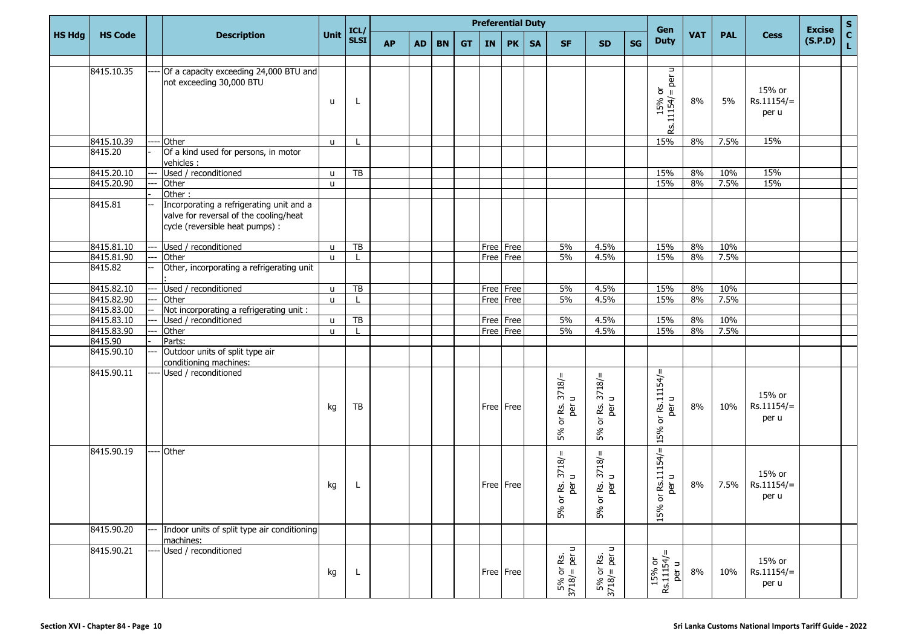|               |                |                                                                                                                       |              |                     |           |           |           |           |           |           | <b>Preferential Duty</b> |                                                                         |                                                             |           | Gen                                                                                    |            |            |                                       | <b>Excise</b> | $S_{C}$ |
|---------------|----------------|-----------------------------------------------------------------------------------------------------------------------|--------------|---------------------|-----------|-----------|-----------|-----------|-----------|-----------|--------------------------|-------------------------------------------------------------------------|-------------------------------------------------------------|-----------|----------------------------------------------------------------------------------------|------------|------------|---------------------------------------|---------------|---------|
| <b>HS Hdg</b> | <b>HS Code</b> | <b>Description</b>                                                                                                    | Unit         | ICL/<br><b>SLSI</b> | <b>AP</b> | <b>AD</b> | <b>BN</b> | <b>GT</b> | IN        | <b>PK</b> | <b>SA</b>                | <b>SF</b>                                                               | <b>SD</b>                                                   | <b>SG</b> | <b>Duty</b>                                                                            | <b>VAT</b> | <b>PAL</b> | <b>Cess</b>                           | (S.P.D)       | L.      |
|               | 8415.10.35     | Of a capacity exceeding 24,000 BTU and<br>not exceeding 30,000 BTU                                                    | u            | L                   |           |           |           |           |           |           |                          |                                                                         |                                                             |           | $\Rightarrow$<br>per<br>$\overleftarrow{\mathrm{o}}$<br>$\mathbf{I}$<br>15%<br>.11154/ | 8%         | 5%         | 15% or<br>$Rs.11154/=$<br>per u       |               |         |
|               |                |                                                                                                                       |              |                     |           |           |           |           |           |           |                          |                                                                         |                                                             |           | æ.                                                                                     |            |            |                                       |               |         |
|               | 8415.10.39     | Other<br>----                                                                                                         | $\mathsf{u}$ |                     |           |           |           |           |           |           |                          |                                                                         |                                                             |           | 15%                                                                                    | 8%         | 7.5%       | 15%                                   |               |         |
|               | 8415.20        | Of a kind used for persons, in motor<br>vehicles :                                                                    |              |                     |           |           |           |           |           |           |                          |                                                                         |                                                             |           |                                                                                        |            |            |                                       |               |         |
|               | 8415.20.10     | Used / reconditioned<br>---                                                                                           | $\mathsf{u}$ | TB                  |           |           |           |           |           |           |                          |                                                                         |                                                             |           | 15%                                                                                    | 8%         | 10%        | 15%                                   |               |         |
|               | 8415.20.90     | Other                                                                                                                 | u            |                     |           |           |           |           |           |           |                          |                                                                         |                                                             |           | 15%                                                                                    | 8%         | 7.5%       | 15%                                   |               |         |
|               |                | Other:                                                                                                                |              |                     |           |           |           |           |           |           |                          |                                                                         |                                                             |           |                                                                                        |            |            |                                       |               |         |
|               | 8415.81        | Incorporating a refrigerating unit and a<br>valve for reversal of the cooling/heat<br>cycle (reversible heat pumps) : |              |                     |           |           |           |           |           |           |                          |                                                                         |                                                             |           |                                                                                        |            |            |                                       |               |         |
|               | 8415.81.10     | Used / reconditioned<br>--                                                                                            | $\mathsf{u}$ | $\overline{TB}$     |           |           |           |           | Free Free |           |                          | 5%                                                                      | 4.5%                                                        |           | 15%                                                                                    | 8%         | 10%        |                                       |               |         |
|               | 8415.81.90     | Other<br>$--$                                                                                                         | $\mathsf{u}$ |                     |           |           |           |           |           | Free Free |                          | 5%                                                                      | 4.5%                                                        |           | 15%                                                                                    | 8%         | 7.5%       |                                       |               |         |
|               | 8415.82        | Other, incorporating a refrigerating unit                                                                             |              |                     |           |           |           |           |           |           |                          |                                                                         |                                                             |           |                                                                                        |            |            |                                       |               |         |
|               | 8415.82.10     | Used / reconditioned                                                                                                  | $\mathsf{u}$ | TB                  |           |           |           |           |           | Free Free |                          | 5%                                                                      | 4.5%                                                        |           | 15%                                                                                    | 8%         | 10%        |                                       |               |         |
|               | 8415.82.90     | Other<br>---                                                                                                          | $\mathsf{u}$ |                     |           |           |           |           |           | Free Free |                          | 5%                                                                      | 4.5%                                                        |           | 15%                                                                                    | 8%         | 7.5%       |                                       |               |         |
|               | 8415.83.00     | Not incorporating a refrigerating unit :                                                                              |              |                     |           |           |           |           |           |           |                          |                                                                         |                                                             |           |                                                                                        |            |            |                                       |               |         |
|               | 8415.83.10     | Used / reconditioned                                                                                                  | u            | TB                  |           |           |           |           |           | Free Free |                          | 5%                                                                      | 4.5%                                                        |           | 15%                                                                                    | 8%         | 10%        |                                       |               |         |
|               | 8415.83.90     | Other                                                                                                                 | $\mathsf{u}$ | L                   |           |           |           |           |           | Free Free |                          | 5%                                                                      | 4.5%                                                        |           | 15%                                                                                    | 8%         | 7.5%       |                                       |               |         |
|               | 8415.90        | Parts:                                                                                                                |              |                     |           |           |           |           |           |           |                          |                                                                         |                                                             |           |                                                                                        |            |            |                                       |               |         |
|               | 8415.90.10     | Outdoor units of split type air<br>---<br>conditioning machines:                                                      |              |                     |           |           |           |           |           |           |                          |                                                                         |                                                             |           |                                                                                        |            |            |                                       |               |         |
|               | 8415.90.11     | Used / reconditioned                                                                                                  | kg           | TB                  |           |           |           |           |           | Free Free |                          | 5% or Rs. 3718/=<br>$\overline{\phantom{a}}$<br>è                       | $3718/$ =<br>යි මු<br>$\overleftarrow{\mathrm{o}}$<br>5%    |           | H<br>Rs.11154<br>$\Rightarrow$<br>è<br>$\overleftarrow{\mathrm{o}}$<br>15%             | 8%         | 10%        | 15% or<br>$Rs.11154/=$<br>per u       |               |         |
|               | 8415.90.19     | Other<br>----                                                                                                         | kg           | L                   |           |           |           |           |           | Free Free |                          | 3718/<br>$\Rightarrow$<br>Rs.<br>ğ<br>$\rm \overleftarrow{\rm o}$<br>5% | $3718/ =$<br>RS.<br>è<br>$\overleftarrow{\mathrm{o}}$<br>5% |           | $\mathbf{H}$<br>Rs.11154/<br>$\Rightarrow$<br>፟፟፟፟፼<br>৯<br>15%                        | 8%         |            | 15% or<br>$7.5\%$ Rs.11154/=<br>per u |               |         |
|               | 8415.90.20     | Indoor units of split type air conditioning<br>$---$<br>machines:                                                     |              |                     |           |           |           |           |           |           |                          |                                                                         |                                                             |           |                                                                                        |            |            |                                       |               |         |
|               | 8415.90.21     | Used / reconditioned                                                                                                  | kg           | L                   |           |           |           |           |           | Free Free |                          | $\Rightarrow$<br>$5\%$ or Rs.<br>3718/= per u                           | $\Rightarrow$<br>$5\%$ or Rs.<br>3718/= per u               |           | $15% \text{ or}$<br>Rs.11154/=<br>per u                                                | 8%         | 10%        | 15% or<br>$Rs.11154/=$<br>per u       |               |         |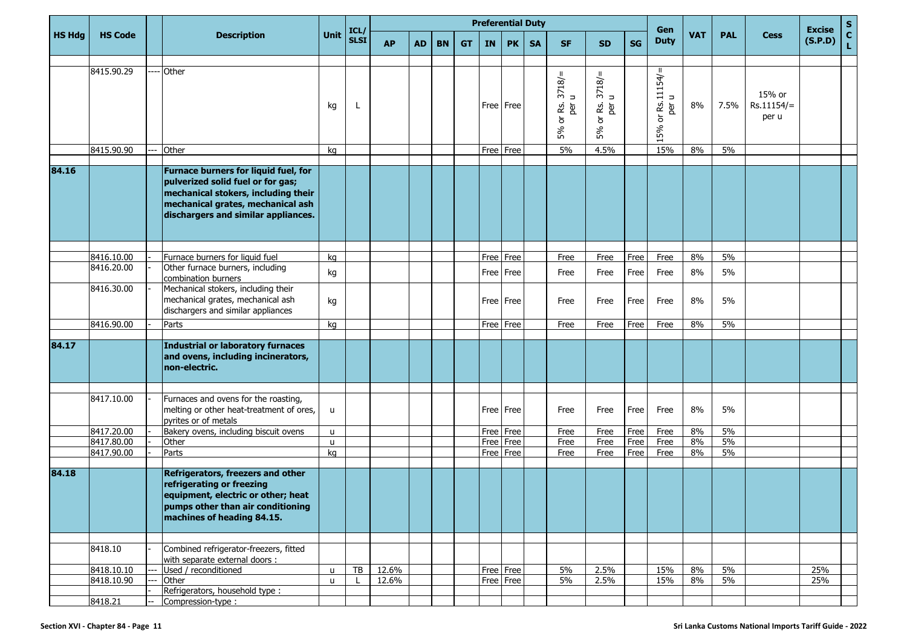|               |                |                                                                                                                                                                                              |              |                     |           |    |           |           |           | <b>Preferential Duty</b> |           |                                                     |                                   |           | Gen                               |            |            |                                 | <b>Excise</b> | S             |
|---------------|----------------|----------------------------------------------------------------------------------------------------------------------------------------------------------------------------------------------|--------------|---------------------|-----------|----|-----------|-----------|-----------|--------------------------|-----------|-----------------------------------------------------|-----------------------------------|-----------|-----------------------------------|------------|------------|---------------------------------|---------------|---------------|
| <b>HS Hdg</b> | <b>HS Code</b> | <b>Description</b>                                                                                                                                                                           | Unit         | ICL/<br><b>SLSI</b> | <b>AP</b> | AD | <b>BN</b> | <b>GT</b> | <b>IN</b> | <b>PK</b>                | <b>SA</b> | <b>SF</b>                                           | <b>SD</b>                         | <b>SG</b> | <b>Duty</b>                       | <b>VAT</b> | <b>PAL</b> | <b>Cess</b>                     | (S.P.D)       | $\frac{c}{L}$ |
|               |                |                                                                                                                                                                                              |              |                     |           |    |           |           |           |                          |           |                                                     |                                   |           |                                   |            |            |                                 |               |               |
|               | 8415.90.29     | Other                                                                                                                                                                                        | kg           | L                   |           |    |           |           |           | Free Free                |           | 3718/2<br>& g<br>$\overleftarrow{\mathrm{o}}$<br>5% | 3718/2<br><u>යි</u> මූ<br>ð<br>5% |           | or $Rs.11154 / =$<br>per u<br>15% | 8%         | 7.5%       | 15% or<br>$Rs.11154/=$<br>per u |               |               |
|               | 8415.90.90     | Other                                                                                                                                                                                        | kg           |                     |           |    |           |           |           | Free Free                |           | 5%                                                  | 4.5%                              |           | 15%                               | 8%         | 5%         |                                 |               |               |
| 84.16         |                | Furnace burners for liquid fuel, for<br>pulverized solid fuel or for gas;<br>mechanical stokers, including their<br>mechanical grates, mechanical ash<br>dischargers and similar appliances. |              |                     |           |    |           |           |           |                          |           |                                                     |                                   |           |                                   |            |            |                                 |               |               |
|               |                |                                                                                                                                                                                              |              |                     |           |    |           |           |           |                          |           |                                                     |                                   |           |                                   |            |            |                                 |               |               |
|               | 8416.10.00     | Furnace burners for liquid fuel                                                                                                                                                              | kg           |                     |           |    |           |           |           | Free Free                |           | Free                                                | Free                              | Free      | Free                              | 8%         | 5%         |                                 |               |               |
|               | 8416.20.00     | Other furnace burners, including<br>combination burners                                                                                                                                      | kg           |                     |           |    |           |           |           | Free Free                |           | Free                                                | Free                              | Free      | Free                              | 8%         | 5%         |                                 |               |               |
|               | 8416.30.00     | Mechanical stokers, including their<br>mechanical grates, mechanical ash<br>dischargers and similar appliances                                                                               | kg           |                     |           |    |           |           |           | Free Free                |           | Free                                                | Free                              | Free      | Free                              | 8%         | 5%         |                                 |               |               |
|               | 8416.90.00     | Parts                                                                                                                                                                                        | kg           |                     |           |    |           |           | Free Free |                          |           | Free                                                | Free                              | Free      | Free                              | 8%         | 5%         |                                 |               |               |
| 84.17         |                | <b>Industrial or laboratory furnaces</b><br>and ovens, including incinerators,<br>non-electric.                                                                                              |              |                     |           |    |           |           |           |                          |           |                                                     |                                   |           |                                   |            |            |                                 |               |               |
|               | 8417.10.00     | Furnaces and ovens for the roasting,<br>melting or other heat-treatment of ores,<br>pyrites or of metals                                                                                     | u            |                     |           |    |           |           |           | Free   Free              |           | Free                                                | Free                              | Free      | Free                              | 8%         | 5%         |                                 |               |               |
|               | 8417.20.00     | Bakery ovens, including biscuit ovens                                                                                                                                                        | u            |                     |           |    |           |           |           | Free Free                |           | Free                                                | Free                              | Free      | Free                              | 8%         | 5%         |                                 |               |               |
|               | 8417.80.00     | Other                                                                                                                                                                                        | $\mathsf{u}$ |                     |           |    |           |           |           | Free Free                |           | Free                                                | Free                              | Free      | Free                              | 8%         | 5%         |                                 |               |               |
|               | 8417.90.00     | Parts                                                                                                                                                                                        | kg           |                     |           |    |           |           |           | Free Free                |           | Free                                                | Free                              | Free      | Free                              | 8%         | 5%         |                                 |               |               |
| 84.18         |                | Refrigerators, freezers and other<br>refrigerating or freezing<br>equipment, electric or other; heat<br>pumps other than air conditioning<br>machines of heading 84.15.                      |              |                     |           |    |           |           |           |                          |           |                                                     |                                   |           |                                   |            |            |                                 |               |               |
|               |                |                                                                                                                                                                                              |              |                     |           |    |           |           |           |                          |           |                                                     |                                   |           |                                   |            |            |                                 |               |               |
|               | 8418.10        | Combined refrigerator-freezers, fitted<br>with separate external doors :                                                                                                                     |              |                     |           |    |           |           |           |                          |           |                                                     |                                   |           |                                   |            |            |                                 |               |               |
|               | 8418.10.10     | Used / reconditioned                                                                                                                                                                         | u            | TB                  | 12.6%     |    |           |           |           | Free Free                |           | 5%                                                  | 2.5%                              |           | 15%                               | 8%         | 5%         |                                 | 25%           |               |
|               | 8418.10.90     | Other<br>Refrigerators, household type :                                                                                                                                                     | u            |                     | 12.6%     |    |           |           |           | Free Free                |           | 5%                                                  | 2.5%                              |           | 15%                               | 8%         | $5\%$      |                                 | 25%           |               |
|               | 8418.21        | Compression-type:                                                                                                                                                                            |              |                     |           |    |           |           |           |                          |           |                                                     |                                   |           |                                   |            |            |                                 |               |               |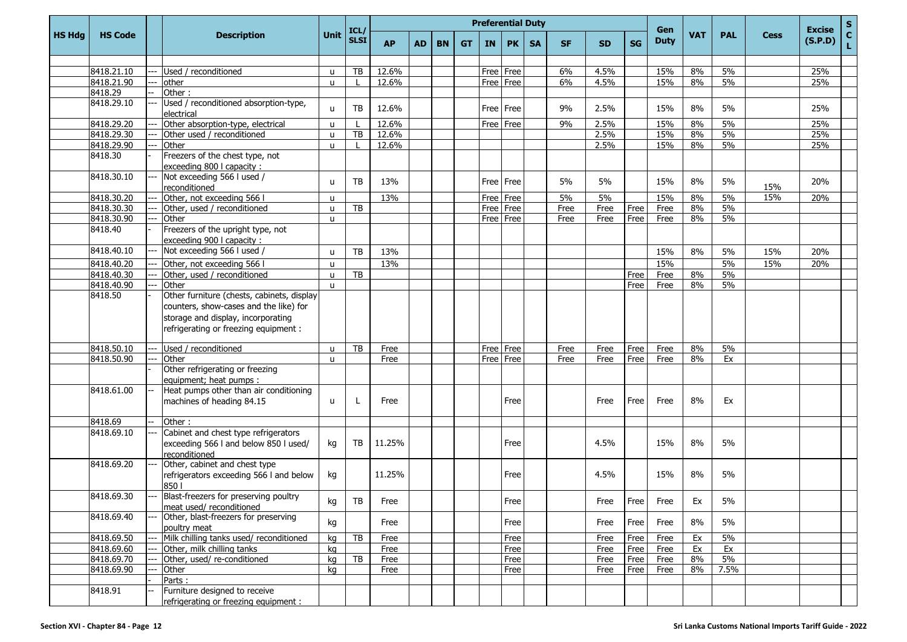|               |                       |                                                                                                                       |              |                        |           |           |           |           |           | <b>Preferential Duty</b> |           |           |           |      | Gen         |            |            |             | <b>Excise</b> | ${\sf s}$    |
|---------------|-----------------------|-----------------------------------------------------------------------------------------------------------------------|--------------|------------------------|-----------|-----------|-----------|-----------|-----------|--------------------------|-----------|-----------|-----------|------|-------------|------------|------------|-------------|---------------|--------------|
| <b>HS Hdg</b> | <b>HS Code</b>        | <b>Description</b>                                                                                                    | Unit         | ICL/<br><b>SLSI</b>    | <b>AP</b> | <b>AD</b> | <b>BN</b> | <b>GT</b> | <b>IN</b> | <b>PK</b>                | <b>SA</b> | <b>SF</b> | <b>SD</b> | SG   | <b>Duty</b> | <b>VAT</b> | <b>PAL</b> | <b>Cess</b> | (S.P.D)       | $\mathbf{C}$ |
|               |                       |                                                                                                                       |              |                        |           |           |           |           |           |                          |           |           |           |      |             |            |            |             |               |              |
|               | 8418.21.10            | Used / reconditioned                                                                                                  | u            | TB                     | 12.6%     |           |           |           |           | Free Free                |           | 6%        | 4.5%      |      | 15%         | 8%         | 5%         |             | 25%           |              |
|               | 8418.21.90            | other                                                                                                                 | u            |                        | 12.6%     |           |           |           |           | Free Free                |           | 6%        | 4.5%      |      | 15%         | 8%         | 5%         |             | 25%           |              |
|               | 8418.29               | Other:                                                                                                                |              |                        |           |           |           |           |           |                          |           |           |           |      |             |            |            |             |               |              |
|               | 8418.29.10            | Used / reconditioned absorption-type,<br>electrical                                                                   | u            | TB                     | 12.6%     |           |           |           |           | Free Free                |           | 9%        | 2.5%      |      | 15%         | 8%         | 5%         |             | 25%           |              |
|               | 8418.29.20            | Other absorption-type, electrical                                                                                     | u            |                        | 12.6%     |           |           |           |           | Free Free                |           | 9%        | 2.5%      |      | 15%         | 8%         | 5%         |             | 25%           |              |
|               | 8418.29.30            | Other used / reconditioned                                                                                            | u            | TB                     | 12.6%     |           |           |           |           |                          |           |           | 2.5%      |      | 15%         | 8%         | 5%         |             | 25%           |              |
|               | 8418.29.90            | Other                                                                                                                 | u            |                        | 12.6%     |           |           |           |           |                          |           |           | 2.5%      |      | 15%         | 8%         | 5%         |             | 25%           |              |
|               | 8418.30               | Freezers of the chest type, not<br>exceeding 800 I capacity :                                                         |              |                        |           |           |           |           |           |                          |           |           |           |      |             |            |            |             |               |              |
|               | 8418.30.10            | Not exceeding 566 l used /<br>reconditioned                                                                           | u            | TB                     | 13%       |           |           |           |           | Free Free                |           | 5%        | 5%        |      | 15%         | 8%         | 5%         | 15%         | 20%           |              |
|               | 8418.30.20            | Other, not exceeding 566 I                                                                                            | u            |                        | 13%       |           |           |           |           | Free Free                |           | 5%        | 5%        |      | 15%         | 8%         | 5%         | 15%         | 20%           |              |
|               | 8418.30.30            | Other, used / reconditioned                                                                                           | u            | TB                     |           |           |           |           |           | Free Free                |           | Free      | Free      | Free | Free        | 8%         | 5%         |             |               |              |
|               | 8418.30.90            | Other                                                                                                                 | u            |                        |           |           |           |           |           | Free Free                |           | Free      | Free      | Free | Free        | 8%         | 5%         |             |               |              |
|               | 8418.40               | Freezers of the upright type, not<br>exceeding 900   capacity :                                                       |              |                        |           |           |           |           |           |                          |           |           |           |      |             |            |            |             |               |              |
|               | 8418.40.10            | Not exceeding 566 I used /                                                                                            | u            | TB                     | 13%       |           |           |           |           |                          |           |           |           |      | 15%         | 8%         | 5%         | 15%         | 20%           |              |
|               | 8418.40.20            | Other, not exceeding 566 I                                                                                            | u            |                        | 13%       |           |           |           |           |                          |           |           |           |      | 15%         |            | 5%         | 15%         | 20%           |              |
|               | 8418.40.30            | Other, used / reconditioned                                                                                           | u            | TB                     |           |           |           |           |           |                          |           |           |           | Free | Free        | 8%         | 5%         |             |               |              |
|               | 8418.40.90<br>8418.50 | Other<br>Other furniture (chests, cabinets, display                                                                   | $\mathbf{u}$ |                        |           |           |           |           |           |                          |           |           |           | Free | Free        | 8%         | 5%         |             |               |              |
|               |                       | counters, show-cases and the like) for<br>storage and display, incorporating<br>refrigerating or freezing equipment : |              |                        |           |           |           |           |           |                          |           |           |           |      |             |            |            |             |               |              |
|               | 8418.50.10            | Used / reconditioned                                                                                                  | u            | TB                     | Free      |           |           |           |           | Free Free                |           | Free      | Free      | Free | Free        | 8%         | 5%         |             |               |              |
|               | 8418.50.90            | Other                                                                                                                 | $\mathbf{u}$ |                        | Free      |           |           |           |           | Free Free                |           | Free      | Free      | Free | Free        | 8%         | Ex         |             |               |              |
|               |                       | Other refrigerating or freezing<br>equipment; heat pumps :                                                            |              |                        |           |           |           |           |           |                          |           |           |           |      |             |            |            |             |               |              |
|               | 8418.61.00            | Heat pumps other than air conditioning<br>machines of heading 84.15                                                   | u            | L                      | Free      |           |           |           |           | Free                     |           |           | Free      | Free | Free        | 8%         | Ex         |             |               |              |
|               | 8418.69               | Other:                                                                                                                |              |                        |           |           |           |           |           |                          |           |           |           |      |             |            |            |             |               |              |
|               | 8418.69.10            | Cabinet and chest type refrigerators<br>exceeding 566 I and below 850 I used/<br>reconditioned                        | kg           | TB                     | 11.25%    |           |           |           |           | Free                     |           |           | 4.5%      |      | 15%         | 8%         | 5%         |             |               |              |
|               | 8418.69.20            | Other, cabinet and chest type<br>refrigerators exceeding 566 I and below<br>850                                       | kg           |                        | 11.25%    |           |           |           |           | Free                     |           |           | 4.5%      |      | 15%         | 8%         | 5%         |             |               |              |
|               | $\sqrt{84}18.69.30$   | Blast-freezers for preserving poultry<br>meat used/ reconditioned                                                     | кg           | $\mathsf{T}\mathsf{B}$ | Free      |           |           |           |           | Free                     |           |           | Free      |      | Free Free   | Ex         | 5%         |             |               |              |
|               | 8418.69.40            | Other, blast-freezers for preserving<br>poultry meat                                                                  | kg           |                        | Free      |           |           |           |           | Free                     |           |           | Free      | Free | Free        | 8%         | 5%         |             |               |              |
|               | 8418.69.50            | Milk chilling tanks used/ reconditioned                                                                               | kg           | TB                     | Free      |           |           |           |           | Free                     |           |           | Free      | Free | Free        | Ex         | 5%         |             |               |              |
|               | 8418.69.60            | Other, milk chilling tanks                                                                                            | kg           |                        | Free      |           |           |           |           | Free                     |           |           | Free      | Free | Free        | Ex         | Ex         |             |               |              |
|               | 8418.69.70            | Other, used/re-conditioned                                                                                            | kg           | TB                     | Free      |           |           |           |           | Free                     |           |           | Free      | Free | Free        | 8%         | $5\%$      |             |               |              |
|               | 8418.69.90            | Other                                                                                                                 | kq           |                        | Free      |           |           |           |           | Free                     |           |           | Free      | Free | Free        | 8%         | 7.5%       |             |               |              |
|               |                       | Parts:                                                                                                                |              |                        |           |           |           |           |           |                          |           |           |           |      |             |            |            |             |               |              |
|               | 8418.91               | Furniture designed to receive<br>refrigerating or freezing equipment :                                                |              |                        |           |           |           |           |           |                          |           |           |           |      |             |            |            |             |               |              |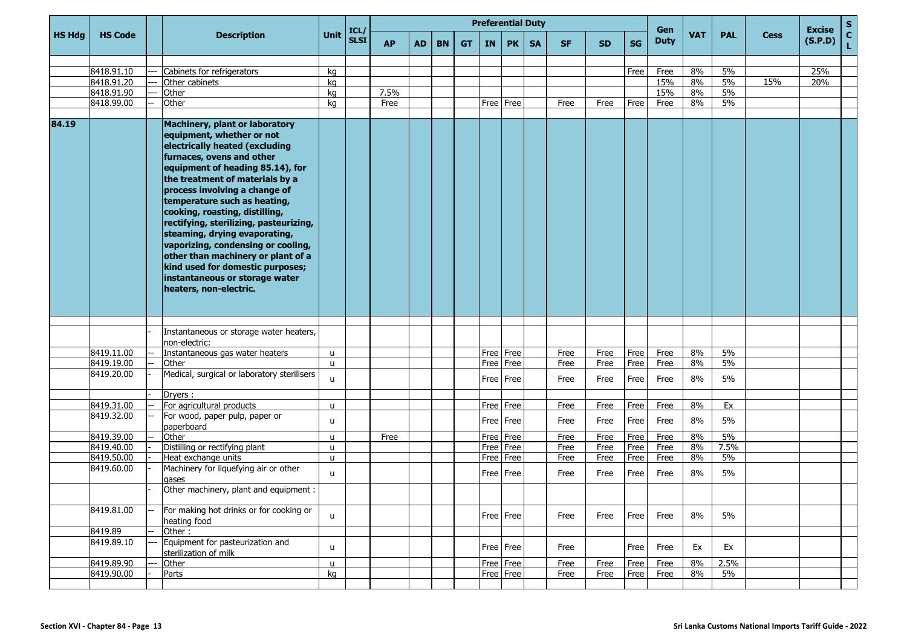|               |                |                                                                                                                                                                                                                                                                                                                                                                                                                                                                                                                                                             |      |                     |           |    |           |           |           | <b>Preferential Duty</b> |           |           |           |           | Gen         |            |            |             | <b>Excise</b> | ${\bf S}$          |
|---------------|----------------|-------------------------------------------------------------------------------------------------------------------------------------------------------------------------------------------------------------------------------------------------------------------------------------------------------------------------------------------------------------------------------------------------------------------------------------------------------------------------------------------------------------------------------------------------------------|------|---------------------|-----------|----|-----------|-----------|-----------|--------------------------|-----------|-----------|-----------|-----------|-------------|------------|------------|-------------|---------------|--------------------|
| <b>HS Hdg</b> | <b>HS Code</b> | <b>Description</b>                                                                                                                                                                                                                                                                                                                                                                                                                                                                                                                                          | Unit | ICL/<br><b>SLSI</b> | <b>AP</b> | AD | <b>BN</b> | <b>GT</b> | <b>IN</b> | <b>PK</b>                | <b>SA</b> | <b>SF</b> | <b>SD</b> | <b>SG</b> | <b>Duty</b> | <b>VAT</b> | <b>PAL</b> | <b>Cess</b> | (S.P.D)       | $\mathbf{C}$<br>Ĺ. |
|               |                |                                                                                                                                                                                                                                                                                                                                                                                                                                                                                                                                                             |      |                     |           |    |           |           |           |                          |           |           |           |           |             |            |            |             |               |                    |
|               | 8418.91.10     | Cabinets for refrigerators                                                                                                                                                                                                                                                                                                                                                                                                                                                                                                                                  | kg   |                     |           |    |           |           |           |                          |           |           |           | Free      | Free        | 8%         | 5%         |             | 25%           |                    |
|               | 8418.91.20     | Other cabinets                                                                                                                                                                                                                                                                                                                                                                                                                                                                                                                                              | kg   |                     |           |    |           |           |           |                          |           |           |           |           | 15%         | 8%         | 5%         | 15%         | 20%           |                    |
|               | 8418.91.90     | Other                                                                                                                                                                                                                                                                                                                                                                                                                                                                                                                                                       | kg   |                     | 7.5%      |    |           |           |           |                          |           |           |           |           | 15%         | 8%         | 5%         |             |               |                    |
|               | 8418.99.00     | Other                                                                                                                                                                                                                                                                                                                                                                                                                                                                                                                                                       | kg   |                     | Free      |    |           |           |           | Free   Free              |           | Free      | Free      | Free      | Free        | 8%         | 5%         |             |               |                    |
| 84.19         |                | Machinery, plant or laboratory<br>equipment, whether or not<br>electrically heated (excluding<br>furnaces, ovens and other<br>equipment of heading 85.14), for<br>the treatment of materials by a<br>process involving a change of<br>temperature such as heating,<br>cooking, roasting, distilling,<br>rectifying, sterilizing, pasteurizing,<br>steaming, drying evaporating,<br>vaporizing, condensing or cooling,<br>other than machinery or plant of a<br>kind used for domestic purposes;<br>instantaneous or storage water<br>heaters, non-electric. |      |                     |           |    |           |           |           |                          |           |           |           |           |             |            |            |             |               |                    |
|               |                |                                                                                                                                                                                                                                                                                                                                                                                                                                                                                                                                                             |      |                     |           |    |           |           |           |                          |           |           |           |           |             |            |            |             |               |                    |
|               |                | Instantaneous or storage water heaters,<br>non-electric:                                                                                                                                                                                                                                                                                                                                                                                                                                                                                                    |      |                     |           |    |           |           |           |                          |           |           |           |           |             |            |            |             |               |                    |
|               | 8419.11.00     | Instantaneous gas water heaters                                                                                                                                                                                                                                                                                                                                                                                                                                                                                                                             | u    |                     |           |    |           |           |           | Free Free                |           | Free      | Free      | Free      | Free        | 8%         | 5%         |             |               |                    |
|               | 8419.19.00     | Other                                                                                                                                                                                                                                                                                                                                                                                                                                                                                                                                                       | u    |                     |           |    |           |           |           | Free   Free              |           | Free      | Free      | Free      | Free        | 8%         | 5%         |             |               |                    |
|               | 8419.20.00     | Medical, surgical or laboratory sterilisers                                                                                                                                                                                                                                                                                                                                                                                                                                                                                                                 | u    |                     |           |    |           |           |           | Free   Free              |           | Free      | Free      | Free      | Free        | 8%         | 5%         |             |               |                    |
|               |                | Dryers:                                                                                                                                                                                                                                                                                                                                                                                                                                                                                                                                                     |      |                     |           |    |           |           |           |                          |           |           |           |           |             |            |            |             |               |                    |
|               | 8419.31.00     | For agricultural products                                                                                                                                                                                                                                                                                                                                                                                                                                                                                                                                   | u    |                     |           |    |           |           |           | Free Free                |           | Free      | Free      | Free      | Free        | 8%         | Ex         |             |               |                    |
|               | 8419.32.00     | For wood, paper pulp, paper or<br>paperboard                                                                                                                                                                                                                                                                                                                                                                                                                                                                                                                | u    |                     |           |    |           |           |           | Free   Free              |           | Free      | Free      | Free      | Free        | 8%         | 5%         |             |               |                    |
|               | 8419.39.00     | Other                                                                                                                                                                                                                                                                                                                                                                                                                                                                                                                                                       | u    |                     | Free      |    |           |           |           | Free Free                |           | Free      | Free      | Free      | Free        | 8%         | 5%         |             |               |                    |
|               | 8419.40.00     | Distilling or rectifying plant                                                                                                                                                                                                                                                                                                                                                                                                                                                                                                                              | u    |                     |           |    |           |           |           | Free   Free              |           | Free      | Free      | Free      | Free        | 8%         | 7.5%       |             |               |                    |
|               | 8419.50.00     | Heat exchange units                                                                                                                                                                                                                                                                                                                                                                                                                                                                                                                                         | u    |                     |           |    |           |           |           | Free Free                |           | Free      | Free      | Free      | Free        | 8%         | 5%         |             |               |                    |
|               | 8419.60.00     | Machinery for liquefying air or other<br>gases                                                                                                                                                                                                                                                                                                                                                                                                                                                                                                              | u    |                     |           |    |           |           |           | Free   Free              |           | Free      | Free      | Free      | Free        | 8%         | 5%         |             |               |                    |
|               |                | Other machinery, plant and equipment :                                                                                                                                                                                                                                                                                                                                                                                                                                                                                                                      |      |                     |           |    |           |           |           |                          |           |           |           |           |             |            |            |             |               |                    |
|               | 8419.81.00     | For making hot drinks or for cooking or<br>heating food                                                                                                                                                                                                                                                                                                                                                                                                                                                                                                     | u    |                     |           |    |           |           |           | Free Free                |           | Free      | Free      | Free      | Free        | 8%         | 5%         |             |               |                    |
|               | 8419.89        | Other:                                                                                                                                                                                                                                                                                                                                                                                                                                                                                                                                                      |      |                     |           |    |           |           |           |                          |           |           |           |           |             |            |            |             |               |                    |
|               | 8419.89.10     | Equipment for pasteurization and<br>sterilization of milk                                                                                                                                                                                                                                                                                                                                                                                                                                                                                                   | u    |                     |           |    |           |           |           | Free   Free              |           | Free      |           | Free      | Free        | Ex         | Ex         |             |               |                    |
|               | 8419.89.90     | Other                                                                                                                                                                                                                                                                                                                                                                                                                                                                                                                                                       | u    |                     |           |    |           |           |           | Free Free                |           | Free      | Free      | Free      | Free        | 8%         | 2.5%       |             |               |                    |
|               | 8419.90.00     | Parts                                                                                                                                                                                                                                                                                                                                                                                                                                                                                                                                                       | kg   |                     |           |    |           |           |           | Free Free                |           | Free      | Free      | Free      | Free        | 8%         | 5%         |             |               |                    |
|               |                |                                                                                                                                                                                                                                                                                                                                                                                                                                                                                                                                                             |      |                     |           |    |           |           |           |                          |           |           |           |           |             |            |            |             |               |                    |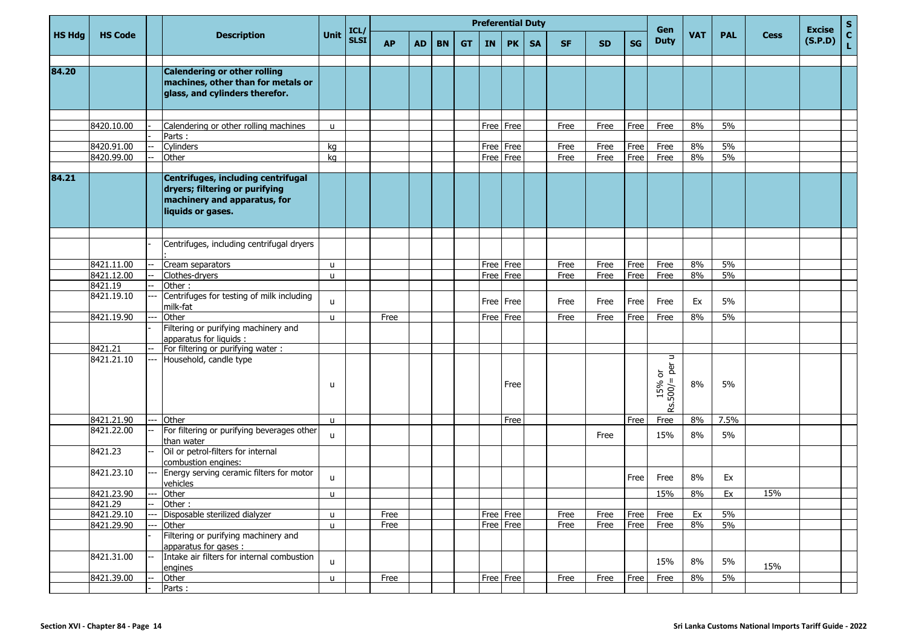|               |                          |                          |                                                                                                                           |                   |                     |              |           |           |           | <b>Preferential Duty</b> |                        |           |              |              |              |                                                 |            |            |             |                          | $\mathbf{s}$       |
|---------------|--------------------------|--------------------------|---------------------------------------------------------------------------------------------------------------------------|-------------------|---------------------|--------------|-----------|-----------|-----------|--------------------------|------------------------|-----------|--------------|--------------|--------------|-------------------------------------------------|------------|------------|-------------|--------------------------|--------------------|
| <b>HS Hdg</b> | <b>HS Code</b>           |                          | <b>Description</b>                                                                                                        | <b>Unit</b>       | ICL/<br><b>SLSI</b> | <b>AP</b>    | <b>AD</b> | <b>BN</b> | <b>GT</b> | IN                       | <b>PK</b>              | <b>SA</b> | <b>SF</b>    | <b>SD</b>    | <b>SG</b>    | Gen<br><b>Duty</b>                              | <b>VAT</b> | <b>PAL</b> | <b>Cess</b> | <b>Excise</b><br>(S.P.D) | $\mathbf{C}$<br>L. |
| 84.20         |                          |                          | Calendering or other rolling<br>machines, other than for metals or<br>glass, and cylinders therefor.                      |                   |                     |              |           |           |           |                          |                        |           |              |              |              |                                                 |            |            |             |                          |                    |
|               | 8420.10.00               |                          | Calendering or other rolling machines<br>Parts:                                                                           | u                 |                     |              |           |           |           | Free   Free              |                        |           | Free         | Free         | Free         | Free                                            | 8%         | 5%         |             |                          |                    |
|               | 8420.91.00<br>8420.99.00 |                          | Cylinders<br>Other                                                                                                        | kg<br>kg          |                     |              |           |           |           | Free                     | Free<br>Free Free      |           | Free<br>Free | Free<br>Free | Free<br>Free | Free<br>Free                                    | 8%<br>8%   | 5%<br>5%   |             |                          |                    |
| 84.21         |                          |                          | Centrifuges, including centrifugal<br>dryers; filtering or purifying<br>machinery and apparatus, for<br>liquids or gases. |                   |                     |              |           |           |           |                          |                        |           |              |              |              |                                                 |            |            |             |                          |                    |
|               |                          |                          | Centrifuges, including centrifugal dryers                                                                                 |                   |                     |              |           |           |           |                          |                        |           |              |              |              |                                                 |            |            |             |                          |                    |
|               | 8421.11.00<br>8421.12.00 |                          | Cream separators<br>Clothes-dryers                                                                                        | u<br>u            |                     |              |           |           |           | Free<br>Free             | Free<br>Free           |           | Free<br>Free | Free<br>Free | Free<br>Free | Free<br>Free                                    | 8%<br>8%   | 5%<br>5%   |             |                          |                    |
|               | 8421.19<br>8421.19.10    |                          | Other:<br>Centrifuges for testing of milk including<br>milk-fat                                                           | u                 |                     |              |           |           |           | Free                     | Free                   |           | Free         | Free         | Free         | Free                                            | Ex         | 5%         |             |                          |                    |
|               | 8421.19.90               |                          | Other<br>Filtering or purifying machinery and<br>apparatus for liquids :                                                  | u                 |                     | Free         |           |           |           | Free   Free              |                        |           | Free         | Free         | Free         | Free                                            | 8%         | 5%         |             |                          |                    |
|               | 8421.21<br>8421.21.10    |                          | For filtering or purifying water:<br>Household, candle type                                                               | u                 |                     |              |           |           |           |                          | Free                   |           |              |              |              | $\Rightarrow$<br>per<br>৯<br>500/<br>15%<br>RS. | 8%         | 5%         |             |                          |                    |
|               | 8421.21.90               | ---                      | Other                                                                                                                     | u                 |                     |              |           |           |           |                          | Free                   |           |              |              | Free         | Free                                            | 8%         | 7.5%       |             |                          |                    |
|               | 8421.22.00               |                          | For filtering or purifying beverages other<br>than water                                                                  | u                 |                     |              |           |           |           |                          |                        |           |              | Free         |              | 15%                                             | 8%         | 5%         |             |                          |                    |
|               | 8421.23<br>8421.23.10    |                          | Oil or petrol-filters for internal<br>combustion engines:<br>Energy serving ceramic filters for motor                     | u                 |                     |              |           |           |           |                          |                        |           |              |              | Free         | Free                                            | 8%         | Ex         |             |                          |                    |
|               | 8421.23.90               | $---$                    | vehicles<br>Other                                                                                                         | u                 |                     |              |           |           |           |                          |                        |           |              |              |              | 15%                                             | 8%         | Ex         | 15%         |                          |                    |
|               | 8421.29                  | $\overline{\phantom{a}}$ | Other:                                                                                                                    |                   |                     |              |           |           |           |                          |                        |           |              |              |              |                                                 |            |            |             |                          |                    |
|               | 8421.29.10<br>8421.29.90 |                          | Disposable sterilized dialyzer<br>Other<br>Filtering or purifying machinery and                                           | u<br>$\mathsf{u}$ |                     | Free<br>Free |           |           |           |                          | Free Free<br>Free Free |           | Free<br>Free | Free<br>Free | Free<br>Free | Free<br>Free                                    | Ex<br>8%   | 5%<br>5%   |             |                          |                    |
|               | 8421.31.00               | --                       | apparatus for gases :<br>Intake air filters for internal combustion<br>engines                                            | u                 |                     |              |           |           |           |                          |                        |           |              |              |              | 15%                                             | 8%         | 5%         | 15%         |                          |                    |
|               | 8421.39.00               |                          | Other<br>Parts:                                                                                                           | u                 |                     | Free         |           |           |           |                          | Free Free              |           | Free         | Free         | Free         | Free                                            | $8\%$      | 5%         |             |                          |                    |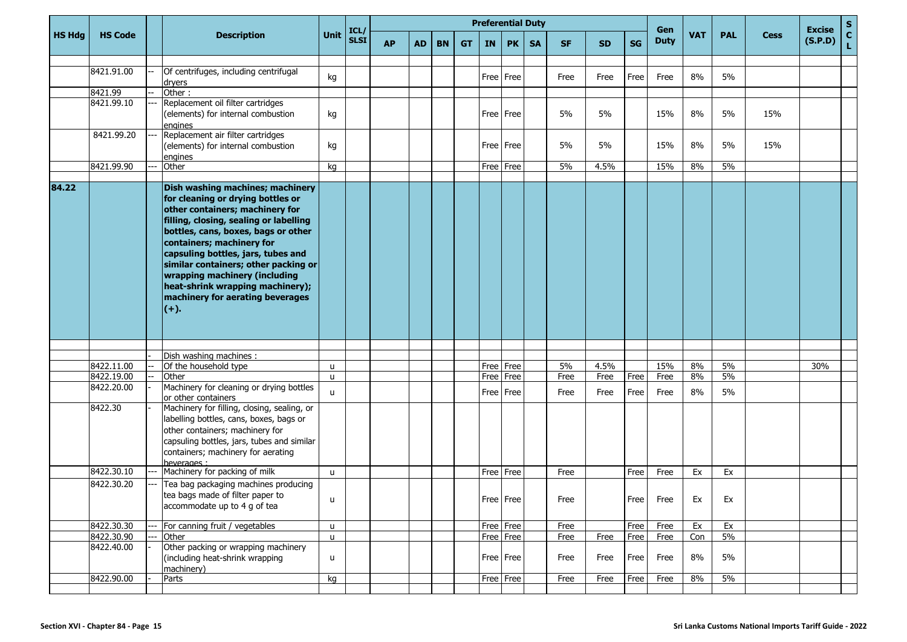|               |                |       |                                                                                                                                                                                                                                                                                                                                                                                                                        |              |              |           |           |           |           |      |           | <b>Preferential Duty</b> |           |           |           | Gen         |            |            |             | <b>Excise</b> | $\mathbf{s}$       |
|---------------|----------------|-------|------------------------------------------------------------------------------------------------------------------------------------------------------------------------------------------------------------------------------------------------------------------------------------------------------------------------------------------------------------------------------------------------------------------------|--------------|--------------|-----------|-----------|-----------|-----------|------|-----------|--------------------------|-----------|-----------|-----------|-------------|------------|------------|-------------|---------------|--------------------|
| <b>HS Hdg</b> | <b>HS Code</b> |       | <b>Description</b>                                                                                                                                                                                                                                                                                                                                                                                                     | <b>Unit</b>  | ICL/<br>SLSI | <b>AP</b> | <b>AD</b> | <b>BN</b> | <b>GT</b> | IN   | <b>PK</b> | <b>SA</b>                | <b>SF</b> | <b>SD</b> | <b>SG</b> | <b>Duty</b> | <b>VAT</b> | <b>PAL</b> | <b>Cess</b> | (S.P.D)       | $\mathbf{C}$<br>Ĺ. |
|               | 8421.91.00     |       | Of centrifuges, including centrifugal<br>dryers                                                                                                                                                                                                                                                                                                                                                                        | kg           |              |           |           |           |           |      | Free Free |                          | Free      | Free      | Free      | Free        | 8%         | 5%         |             |               |                    |
|               | 8421.99        |       | Other:                                                                                                                                                                                                                                                                                                                                                                                                                 |              |              |           |           |           |           |      |           |                          |           |           |           |             |            |            |             |               |                    |
|               | 8421.99.10     | $---$ | Replacement oil filter cartridges<br>(elements) for internal combustion<br>engines                                                                                                                                                                                                                                                                                                                                     | kg           |              |           |           |           |           |      | Free Free |                          | 5%        | 5%        |           | 15%         | 8%         | 5%         | 15%         |               |                    |
|               | 8421.99.20     |       | Replacement air filter cartridges<br>(elements) for internal combustion<br>engines                                                                                                                                                                                                                                                                                                                                     | kg           |              |           |           |           |           |      | Free Free |                          | 5%        | 5%        |           | 15%         | 8%         | 5%         | 15%         |               |                    |
|               | 8421.99.90     |       | Other                                                                                                                                                                                                                                                                                                                                                                                                                  | kg           |              |           |           |           |           | Free | Free      |                          | 5%        | 4.5%      |           | 15%         | 8%         | 5%         |             |               |                    |
|               |                |       |                                                                                                                                                                                                                                                                                                                                                                                                                        |              |              |           |           |           |           |      |           |                          |           |           |           |             |            |            |             |               |                    |
| 84.22         |                |       | Dish washing machines; machinery<br>for cleaning or drying bottles or<br>other containers; machinery for<br>filling, closing, sealing or labelling<br>bottles, cans, boxes, bags or other<br>containers; machinery for<br>capsuling bottles, jars, tubes and<br>similar containers; other packing or<br>wrapping machinery (including<br>heat-shrink wrapping machinery);<br>machinery for aerating beverages<br>$(+)$ |              |              |           |           |           |           |      |           |                          |           |           |           |             |            |            |             |               |                    |
|               |                |       | Dish washing machines:                                                                                                                                                                                                                                                                                                                                                                                                 |              |              |           |           |           |           |      |           |                          |           |           |           |             |            |            |             |               |                    |
|               | 8422.11.00     |       | Of the household type                                                                                                                                                                                                                                                                                                                                                                                                  | u            |              |           |           |           |           |      | Free Free |                          | 5%        | 4.5%      |           | 15%         | 8%         | 5%         |             | 30%           |                    |
|               | 8422.19.00     |       | Other                                                                                                                                                                                                                                                                                                                                                                                                                  | u            |              |           |           |           |           | Free | Free      |                          | Free      | Free      | Free      | Free        | 8%         | 5%         |             |               |                    |
|               | 8422.20.00     |       | Machinery for cleaning or drying bottles<br>or other containers                                                                                                                                                                                                                                                                                                                                                        | u            |              |           |           |           |           |      | Free Free |                          | Free      | Free      | Free      | Free        | 8%         | 5%         |             |               |                    |
|               | 8422.30        |       | Machinery for filling, closing, sealing, or<br>labelling bottles, cans, boxes, bags or<br>other containers; machinery for<br>capsuling bottles, jars, tubes and similar<br>containers; machinery for aerating<br>beverages :                                                                                                                                                                                           |              |              |           |           |           |           |      |           |                          |           |           |           |             |            |            |             |               |                    |
|               | 8422.30.10     |       | Machinery for packing of milk                                                                                                                                                                                                                                                                                                                                                                                          | u            |              |           |           |           |           |      | Free Free |                          | Free      |           | Free      | Free        | Ex         | Ex         |             |               |                    |
|               | 8422.30.20     | ---   | Tea bag packaging machines producing<br>tea bags made of filter paper to<br>accommodate up to 4 g of tea                                                                                                                                                                                                                                                                                                               | u            |              |           |           |           |           |      | Free Free |                          | Free      |           | Free      | Free        | Ex         | Ex         |             |               |                    |
|               | 8422.30.30     | ---   | For canning fruit / vegetables                                                                                                                                                                                                                                                                                                                                                                                         | u            |              |           |           |           |           |      | Free Free |                          | Free      |           | Free      | Free        | Ex         | Ex         |             |               |                    |
|               | 8422.30.90     |       | Other                                                                                                                                                                                                                                                                                                                                                                                                                  | $\mathsf{u}$ |              |           |           |           |           |      | Free Free |                          | Free      | Free      | Free      | Free        | Con        | $5\%$      |             |               |                    |
|               | 8422.40.00     |       | Other packing or wrapping machinery<br>(including heat-shrink wrapping<br>machinery)                                                                                                                                                                                                                                                                                                                                   | u            |              |           |           |           |           |      | Free Free |                          | Free      | Free      | Free      | Free        | 8%         | 5%         |             |               |                    |
|               | 8422.90.00     |       | Parts                                                                                                                                                                                                                                                                                                                                                                                                                  | kg           |              |           |           |           |           |      | Free Free |                          | Free      | Free      | Free      | Free        | 8%         | $5\%$      |             |               |                    |
|               |                |       |                                                                                                                                                                                                                                                                                                                                                                                                                        |              |              |           |           |           |           |      |           |                          |           |           |           |             |            |            |             |               |                    |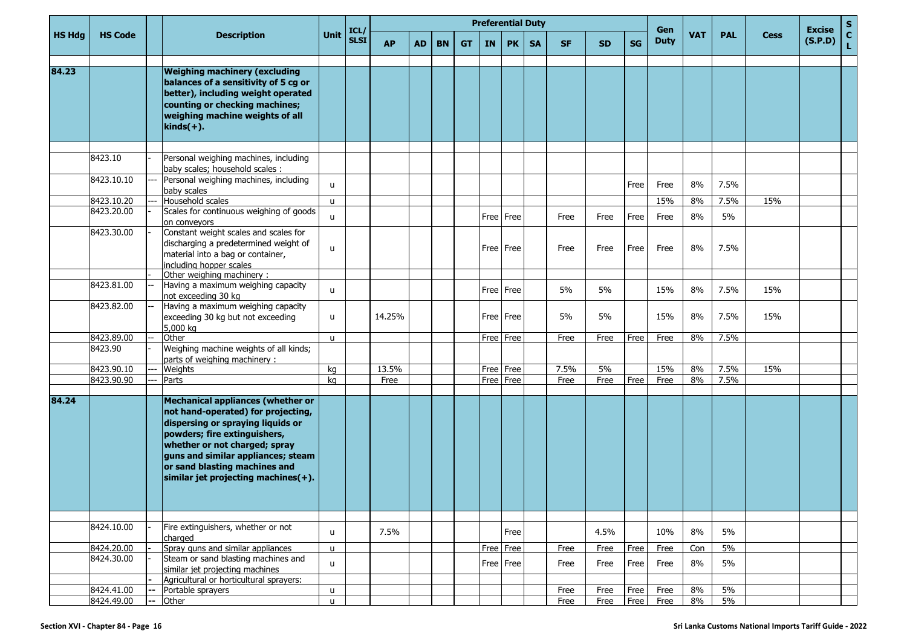|               |                          |              |                                                                                                                                                                                                                                                                                             |                   |                     |           |           |           |           |      | <b>Preferential Duty</b> |           |              |              |              |                    |            |             |             |                          | $\mathbf{s}$       |
|---------------|--------------------------|--------------|---------------------------------------------------------------------------------------------------------------------------------------------------------------------------------------------------------------------------------------------------------------------------------------------|-------------------|---------------------|-----------|-----------|-----------|-----------|------|--------------------------|-----------|--------------|--------------|--------------|--------------------|------------|-------------|-------------|--------------------------|--------------------|
| <b>HS Hdg</b> | <b>HS Code</b>           |              | <b>Description</b>                                                                                                                                                                                                                                                                          | <b>Unit</b>       | ICL/<br><b>SLSI</b> | <b>AP</b> | <b>AD</b> | <b>BN</b> | <b>GT</b> | IN   | <b>PK</b>                | <b>SA</b> | <b>SF</b>    | <b>SD</b>    | <b>SG</b>    | Gen<br><b>Duty</b> | <b>VAT</b> | <b>PAL</b>  | <b>Cess</b> | <b>Excise</b><br>(S.P.D) | $\mathbf{C}$<br>Ĺ. |
| 84.23         |                          |              | <b>Weighing machinery (excluding</b><br>balances of a sensitivity of 5 cg or<br>better), including weight operated<br>counting or checking machines;<br>weighing machine weights of all<br>$\overline{\text{kinds}(+)}$ .                                                                   |                   |                     |           |           |           |           |      |                          |           |              |              |              |                    |            |             |             |                          |                    |
|               |                          |              |                                                                                                                                                                                                                                                                                             |                   |                     |           |           |           |           |      |                          |           |              |              |              |                    |            |             |             |                          |                    |
|               | 8423.10                  |              | Personal weighing machines, including<br>baby scales; household scales :                                                                                                                                                                                                                    |                   |                     |           |           |           |           |      |                          |           |              |              |              |                    |            |             |             |                          |                    |
|               | 8423.10.10               | ---          | Personal weighing machines, including<br>baby scales                                                                                                                                                                                                                                        | u                 |                     |           |           |           |           |      |                          |           |              |              | Free         | Free               | 8%         | 7.5%        |             |                          |                    |
|               | 8423.10.20               |              | Household scales                                                                                                                                                                                                                                                                            | u                 |                     |           |           |           |           |      |                          |           |              |              |              | 15%                | 8%         | 7.5%        | 15%         |                          |                    |
|               | 8423.20.00               |              | Scales for continuous weighing of goods<br>on conveyors                                                                                                                                                                                                                                     | u                 |                     |           |           |           |           |      | Free Free                |           | Free         | Free         | Free         | Free               | 8%         | 5%          |             |                          |                    |
|               | 8423.30.00               |              | Constant weight scales and scales for<br>discharging a predetermined weight of<br>material into a bag or container,<br>including hopper scales<br>Other weighing machinery:                                                                                                                 | <b>u</b>          |                     |           |           |           |           |      | Free Free                |           | Free         | Free         | Free         | Free               | 8%         | 7.5%        |             |                          |                    |
|               | 8423.81.00               |              | Having a maximum weighing capacity                                                                                                                                                                                                                                                          |                   |                     |           |           |           |           |      |                          |           |              |              |              |                    |            |             |             |                          |                    |
|               |                          |              | not exceeding 30 kg                                                                                                                                                                                                                                                                         | u                 |                     |           |           |           |           |      | Free Free                |           | 5%           | 5%           |              | 15%                | 8%         | 7.5%        | 15%         |                          |                    |
|               | 8423.82.00               |              | Having a maximum weighing capacity<br>exceeding 30 kg but not exceeding<br>5,000 kg                                                                                                                                                                                                         | u                 |                     | 14.25%    |           |           |           |      | Free Free                |           | 5%           | 5%           |              | 15%                | 8%         | 7.5%        | 15%         |                          |                    |
|               | 8423.89.00               |              | Other                                                                                                                                                                                                                                                                                       | $\mathbf{u}$      |                     |           |           |           |           |      | Free Free                |           | Free         | Free         | Free         | Free               | 8%         | 7.5%        |             |                          |                    |
|               | 8423.90                  |              | Weighing machine weights of all kinds;<br>parts of weighing machinery:                                                                                                                                                                                                                      |                   |                     |           |           |           |           |      |                          |           |              |              |              |                    |            |             |             |                          |                    |
|               | 8423.90.10               |              | Weights                                                                                                                                                                                                                                                                                     | kg                |                     | 13.5%     |           |           |           |      | Free Free                |           | 7.5%         | 5%           |              | 15%                | 8%         | 7.5%        | 15%         |                          |                    |
|               | 8423.90.90               |              | Parts                                                                                                                                                                                                                                                                                       | kg                |                     | Free      |           |           |           | Free | Free                     |           | Free         | Free         | Free         | Free               | 8%         | 7.5%        |             |                          |                    |
|               |                          |              |                                                                                                                                                                                                                                                                                             |                   |                     |           |           |           |           |      |                          |           |              |              |              |                    |            |             |             |                          |                    |
| 84.24         |                          |              | Mechanical appliances (whether or<br>not hand-operated) for projecting,<br>dispersing or spraying liquids or<br>powders; fire extinguishers,<br>whether or not charged; spray<br>guns and similar appliances; steam<br>or sand blasting machines and<br>similar jet projecting machines(+). |                   |                     |           |           |           |           |      |                          |           |              |              |              |                    |            |             |             |                          |                    |
|               |                          |              |                                                                                                                                                                                                                                                                                             |                   |                     |           |           |           |           |      |                          |           |              |              |              |                    |            |             |             |                          |                    |
|               | 8424.10.00               |              | Fire extinguishers, whether or not<br>charged                                                                                                                                                                                                                                               | u                 |                     | 7.5%      |           |           |           |      | Free                     |           |              | 4.5%         |              | 10%                | 8%         | 5%          |             |                          |                    |
|               | 8424.20.00               |              | Spray guns and similar appliances                                                                                                                                                                                                                                                           | u                 |                     |           |           |           |           | Free | Free                     |           | Free         | Free         | Free         | Free               | Con        | 5%          |             |                          |                    |
|               | 8424.30.00               |              | Steam or sand blasting machines and<br>similar jet projecting machines                                                                                                                                                                                                                      | $\mathsf{u}$      |                     |           |           |           |           |      | Free Free                |           | Free         | Free         | Free         | Free               | 8%         | 5%          |             |                          |                    |
|               |                          |              | Agricultural or horticultural sprayers:                                                                                                                                                                                                                                                     |                   |                     |           |           |           |           |      |                          |           |              |              |              |                    |            |             |             |                          |                    |
|               | 8424.41.00<br>8424.49.00 | --<br>$\sim$ | Portable sprayers<br>Other                                                                                                                                                                                                                                                                  | u<br>$\mathsf{u}$ |                     |           |           |           |           |      |                          |           | Free<br>Free | Free<br>Free | Free<br>Free | Free<br>Free       | 8%<br>8%   | 5%<br>$5\%$ |             |                          |                    |
|               |                          |              |                                                                                                                                                                                                                                                                                             |                   |                     |           |           |           |           |      |                          |           |              |              |              |                    |            |             |             |                          |                    |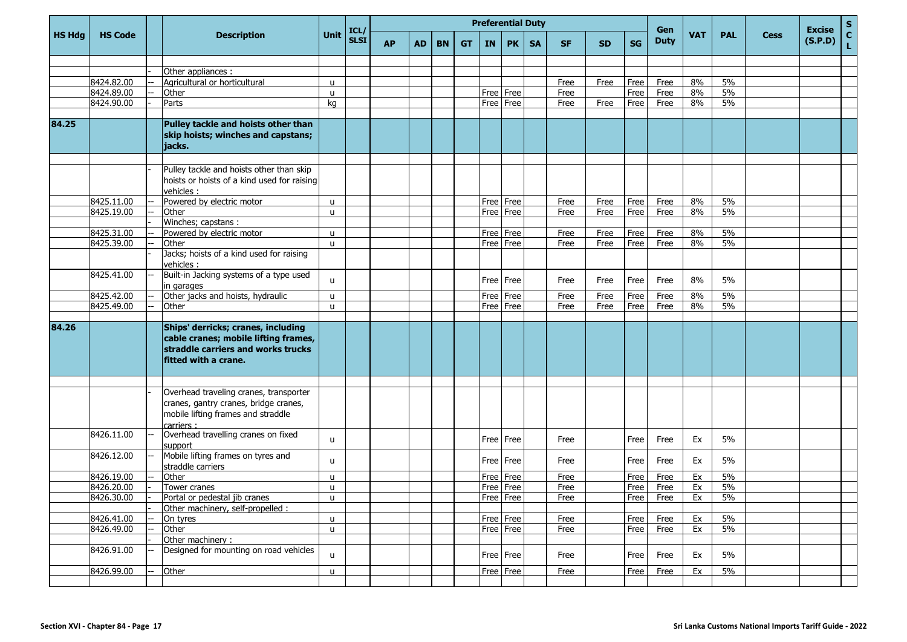|               |                |                                                                                                                                          |              |                     |           |    |           |           |           | <b>Preferential Duty</b> |           |           |           |           | Gen         |     |            |             | <b>Excise</b> | $\mathbf S$        |
|---------------|----------------|------------------------------------------------------------------------------------------------------------------------------------------|--------------|---------------------|-----------|----|-----------|-----------|-----------|--------------------------|-----------|-----------|-----------|-----------|-------------|-----|------------|-------------|---------------|--------------------|
| <b>HS Hdg</b> | <b>HS Code</b> | <b>Description</b>                                                                                                                       | Unit         | ICL/<br><b>SLSI</b> | <b>AP</b> | AD | <b>BN</b> | <b>GT</b> | <b>IN</b> | <b>PK</b>                | <b>SA</b> | <b>SF</b> | <b>SD</b> | <b>SG</b> | <b>Duty</b> | VAT | <b>PAL</b> | <b>Cess</b> | (S.P.D)       | $\mathbf{C}$<br>L. |
|               |                |                                                                                                                                          |              |                     |           |    |           |           |           |                          |           |           |           |           |             |     |            |             |               |                    |
|               |                | Other appliances :                                                                                                                       |              |                     |           |    |           |           |           |                          |           |           |           |           |             |     |            |             |               |                    |
|               | 8424.82.00     | Agricultural or horticultural                                                                                                            | u            |                     |           |    |           |           |           |                          |           | Free      | Free      | Free      | Free        | 8%  | 5%         |             |               |                    |
|               | 8424.89.00     | Other                                                                                                                                    | $\mathsf{u}$ |                     |           |    |           |           |           | Free Free                |           | Free      |           | Free      | Free        | 8%  | 5%         |             |               |                    |
|               | 8424.90.00     | Parts                                                                                                                                    | kg           |                     |           |    |           |           |           | Free   Free              |           | Free      | Free      | Free      | Free        | 8%  | 5%         |             |               |                    |
| 84.25         |                | Pulley tackle and hoists other than<br>skip hoists; winches and capstans;<br>jacks.                                                      |              |                     |           |    |           |           |           |                          |           |           |           |           |             |     |            |             |               |                    |
|               |                | Pulley tackle and hoists other than skip<br>hoists or hoists of a kind used for raising<br>vehicles:                                     |              |                     |           |    |           |           |           |                          |           |           |           |           |             |     |            |             |               |                    |
|               | 8425.11.00     | Powered by electric motor                                                                                                                | u            |                     |           |    |           |           |           | Free Free                |           | Free      | Free      | Free      | Free        | 8%  | 5%         |             |               |                    |
|               | 8425.19.00     | Other                                                                                                                                    | u            |                     |           |    |           |           |           | Free Free                |           | Free      | Free      | Free      | Free        | 8%  | 5%         |             |               |                    |
|               |                | Winches; capstans :                                                                                                                      |              |                     |           |    |           |           |           |                          |           |           |           |           |             |     |            |             |               |                    |
|               | 8425.31.00     | Powered by electric motor                                                                                                                | u            |                     |           |    |           |           |           | Free Free                |           | Free      | Free      | Free      | Free        | 8%  | 5%         |             |               |                    |
|               | 8425.39.00     | Other                                                                                                                                    | u            |                     |           |    |           |           |           | Free Free                |           | Free      | Free      | Free      | Free        | 8%  | 5%         |             |               |                    |
|               |                | Jacks; hoists of a kind used for raising<br>vehicles :                                                                                   |              |                     |           |    |           |           |           |                          |           |           |           |           |             |     |            |             |               |                    |
|               | 8425.41.00     | Built-in Jacking systems of a type used<br>in garages                                                                                    | u            |                     |           |    |           |           |           | Free Free                |           | Free      | Free      | Free      | Free        | 8%  | 5%         |             |               |                    |
|               | 8425.42.00     | Other jacks and hoists, hydraulic                                                                                                        | u            |                     |           |    |           |           |           | Free Free                |           | Free      | Free      | Free      | Free        | 8%  | 5%         |             |               |                    |
|               | 8425.49.00     | Other                                                                                                                                    | u            |                     |           |    |           |           |           | Free Free                |           | Free      | Free      | Free      | Free        | 8%  | 5%         |             |               |                    |
| 84.26         |                | Ships' derricks; cranes, including<br>cable cranes; mobile lifting frames,<br>straddle carriers and works trucks<br>fitted with a crane. |              |                     |           |    |           |           |           |                          |           |           |           |           |             |     |            |             |               |                    |
|               |                |                                                                                                                                          |              |                     |           |    |           |           |           |                          |           |           |           |           |             |     |            |             |               |                    |
|               |                | Overhead traveling cranes, transporter<br>cranes, gantry cranes, bridge cranes,<br>mobile lifting frames and straddle<br>carriers :      |              |                     |           |    |           |           |           |                          |           |           |           |           |             |     |            |             |               |                    |
|               | 8426.11.00     | Overhead travelling cranes on fixed<br>support                                                                                           | u            |                     |           |    |           |           |           | Free   Free              |           | Free      |           | Free      | Free        | Ex  | 5%         |             |               |                    |
|               | 8426.12.00     | Mobile lifting frames on tyres and<br>straddle carriers                                                                                  | u            |                     |           |    |           |           |           | Free Free                |           | Free      |           | Free      | Free        | Ex  | 5%         |             |               |                    |
|               | 8426.19.00     | Other                                                                                                                                    | u            |                     |           |    |           |           |           | Free Free                |           | Free      |           | Free      | Free        | Ex  | 5%         |             |               |                    |
|               | 8426.20.00     | Tower cranes                                                                                                                             | u            |                     |           |    |           |           |           | Free   Free              |           | Free      |           | Free      | Free        | Ex  | 5%         |             |               |                    |
|               | 8426.30.00     | Portal or pedestal jib cranes                                                                                                            | $\mathsf{u}$ |                     |           |    |           |           |           | Free Free                |           | Free      |           | Free      | Free        | Ex  | 5%         |             |               |                    |
|               |                | Other machinery, self-propelled :                                                                                                        |              |                     |           |    |           |           |           |                          |           |           |           |           |             |     |            |             |               |                    |
|               | 8426.41.00     | On tyres                                                                                                                                 | u            |                     |           |    |           |           |           | Free Free                |           | Free      |           | Free      | Free        | Ex  | $5\%$      |             |               |                    |
|               | 8426.49.00     | Other                                                                                                                                    | $\mathsf{u}$ |                     |           |    |           |           |           | Free Free                |           | Free      |           | Free      | Free        | Ex  | $5\%$      |             |               |                    |
|               |                | Other machinery :                                                                                                                        |              |                     |           |    |           |           |           |                          |           |           |           |           |             |     |            |             |               |                    |
|               | 8426.91.00     | Designed for mounting on road vehicles                                                                                                   | u            |                     |           |    |           |           |           | Free Free                |           | Free      |           | Free      | Free        | Ex  | 5%         |             |               |                    |
|               | 8426.99.00     | Other                                                                                                                                    | u.           |                     |           |    |           |           |           | Free Free                |           | Free      |           | Free      | Free        | Ex  | $5\%$      |             |               |                    |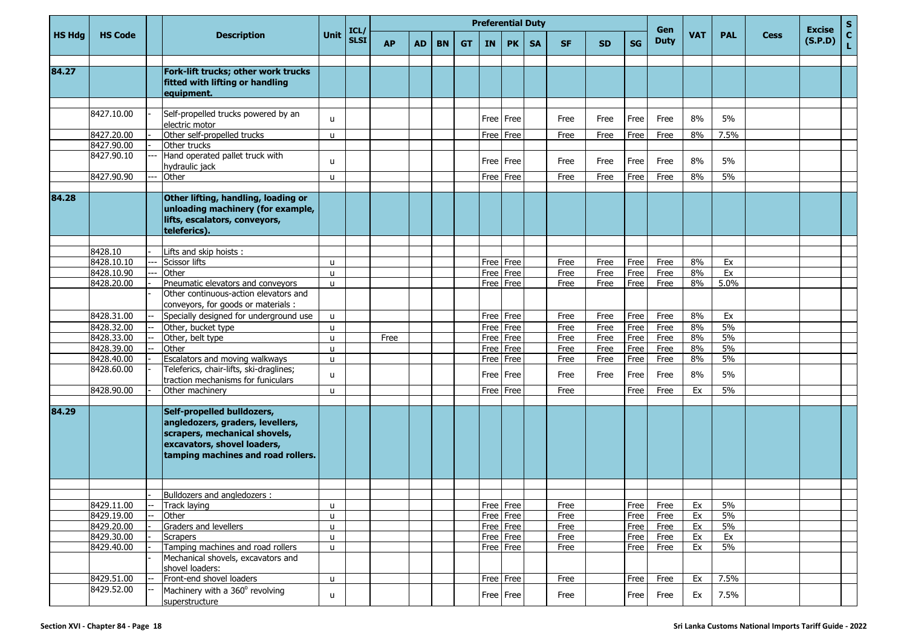|               |                          |                                                                                                                                                                      |                   |                     |           |           |           |           | <b>Preferential Duty</b> |                        |           |              |              |              |                    |            |            |             | <b>Excise</b> | $\mathbf{s}$       |
|---------------|--------------------------|----------------------------------------------------------------------------------------------------------------------------------------------------------------------|-------------------|---------------------|-----------|-----------|-----------|-----------|--------------------------|------------------------|-----------|--------------|--------------|--------------|--------------------|------------|------------|-------------|---------------|--------------------|
| <b>HS Hdg</b> | <b>HS Code</b>           | <b>Description</b>                                                                                                                                                   | <b>Unit</b>       | ICL/<br><b>SLSI</b> | <b>AP</b> | <b>AD</b> | <b>BN</b> | <b>GT</b> | IN                       | <b>PK</b>              | <b>SA</b> | <b>SF</b>    | <b>SD</b>    | <b>SG</b>    | Gen<br><b>Duty</b> | <b>VAT</b> | <b>PAL</b> | <b>Cess</b> | (S.P.D)       | $\mathbf{c}$<br>Ĺ, |
| 84.27         |                          | Fork-lift trucks; other work trucks<br>fitted with lifting or handling<br>equipment.                                                                                 |                   |                     |           |           |           |           |                          |                        |           |              |              |              |                    |            |            |             |               |                    |
|               | 8427.10.00               | Self-propelled trucks powered by an<br>electric motor                                                                                                                | $\mathbf{u}$      |                     |           |           |           |           |                          | Free   Free            |           | Free         | Free         | Free         | Free               | 8%         | 5%         |             |               |                    |
|               | 8427.20.00               | Other self-propelled trucks                                                                                                                                          | u                 |                     |           |           |           |           | Free                     | Free                   |           | Free         | Free         | Free         | Free               | 8%         | 7.5%       |             |               |                    |
|               | 8427.90.00               | Other trucks                                                                                                                                                         |                   |                     |           |           |           |           |                          |                        |           |              |              |              |                    |            |            |             |               |                    |
|               | 8427.90.10               | Hand operated pallet truck with<br>hydraulic jack                                                                                                                    | u                 |                     |           |           |           |           |                          | Free   Free            |           | Free         | Free         | Free         | Free               | 8%         | 5%         |             |               |                    |
|               | 8427.90.90               | Other                                                                                                                                                                | u                 |                     |           |           |           |           | Free                     | Free                   |           | Free         | Free         | Free         | Free               | 8%         | 5%         |             |               |                    |
| 84.28         |                          | Other lifting, handling, loading or<br>unloading machinery (for example,<br>lifts, escalators, conveyors,<br>teleferics).                                            |                   |                     |           |           |           |           |                          |                        |           |              |              |              |                    |            |            |             |               |                    |
|               |                          |                                                                                                                                                                      |                   |                     |           |           |           |           |                          |                        |           |              |              |              |                    |            |            |             |               |                    |
|               | 8428.10                  | Lifts and skip hoists:                                                                                                                                               |                   |                     |           |           |           |           |                          |                        |           |              |              |              |                    |            |            |             |               |                    |
|               | 8428.10.10               | Scissor lifts                                                                                                                                                        | u                 |                     |           |           |           |           |                          | Free Free              |           | Free         | Free         | Free         | Free               | 8%         | Ex         |             |               |                    |
|               | 8428.10.90               | Other                                                                                                                                                                | $\mathsf{u}$      |                     |           |           |           |           | Free                     | Free                   |           | Free         | Free         | Free         | Free               | 8%         | Ex         |             |               |                    |
|               | 8428.20.00               | Pneumatic elevators and conveyors<br>Other continuous-action elevators and<br>conveyors, for goods or materials :                                                    | u                 |                     |           |           |           |           | Free                     | Free                   |           | Free         | Free         | Free         | Free               | 8%         | 5.0%       |             |               |                    |
|               | 8428.31.00               | Specially designed for underground use                                                                                                                               | u                 |                     |           |           |           |           | Free                     | Free                   |           | Free         | Free         | Free         | Free               | 8%         | Ex         |             |               |                    |
|               | 8428.32.00               | Other, bucket type                                                                                                                                                   | u                 |                     |           |           |           |           | Free                     | Free                   |           | Free         | Free         | Free         | Free               | 8%         | 5%         |             |               |                    |
|               | 8428.33.00               | Other, belt type                                                                                                                                                     | u                 |                     | Free      |           |           |           | Free                     | Free                   |           | Free         | Free         | Free         | Free               | 8%         | 5%         |             |               |                    |
|               | 8428.39.00               | Other                                                                                                                                                                | u                 |                     |           |           |           |           | Free                     | Free                   |           | Free         | Free         | Free         | Free               | 8%         | 5%         |             |               |                    |
|               | 8428.40.00<br>8428.60.00 | Escalators and moving walkways<br>Teleferics, chair-lifts, ski-draglines;                                                                                            | u<br>u            |                     |           |           |           |           | Free<br>Free             | Free<br>Free           |           | Free<br>Free | Free<br>Free | Free<br>Free | Free<br>Free       | 8%<br>8%   | 5%<br>5%   |             |               |                    |
|               | 8428.90.00               | traction mechanisms for funiculars<br>Other machinery                                                                                                                | $\mathbf{u}$      |                     |           |           |           |           |                          | Free Free              |           | Free         |              | Free         | Free               | Ex         | 5%         |             |               |                    |
| 84.29         |                          | Self-propelled bulldozers,<br>angledozers, graders, levellers,<br>scrapers, mechanical shovels,<br>excavators, shovel loaders,<br>tamping machines and road rollers. |                   |                     |           |           |           |           |                          |                        |           |              |              |              |                    |            |            |             |               |                    |
|               |                          |                                                                                                                                                                      |                   |                     |           |           |           |           |                          |                        |           |              |              |              |                    |            |            |             |               |                    |
|               |                          | Bulldozers and angledozers :                                                                                                                                         |                   |                     |           |           |           |           |                          |                        |           |              |              |              |                    |            |            |             |               |                    |
|               | 8429.11.00<br>8429.19.00 | Track laying                                                                                                                                                         | u                 |                     |           |           |           |           |                          | Free Free              |           | Free         |              | Free         | Free               | Ex         | 5%<br>5%   |             |               |                    |
|               | 8429.20.00               | Other<br>Graders and levellers                                                                                                                                       | $\mathsf{u}$      |                     |           |           |           |           |                          | Free Free<br>Free Free |           | Free         |              | Free         | Free               | Ex<br>Ex   | 5%         |             |               |                    |
|               | 8429.30.00               | Scrapers                                                                                                                                                             | u<br>$\mathbf{u}$ |                     |           |           |           |           |                          | Free Free              |           | Free<br>Free |              | Free<br>Free | Free<br>Free       | Ex         | Ex         |             |               |                    |
|               | 8429.40.00               | Tamping machines and road rollers                                                                                                                                    | u                 |                     |           |           |           |           |                          | Free Free              |           | Free         |              | Free         | Free               | Ex         | 5%         |             |               |                    |
|               |                          | Mechanical shovels, excavators and<br>shovel loaders:                                                                                                                |                   |                     |           |           |           |           |                          |                        |           |              |              |              |                    |            |            |             |               |                    |
|               | 8429.51.00               | Front-end shovel loaders                                                                                                                                             | $\mathsf{u}$      |                     |           |           |           |           |                          | Free Free              |           | Free         |              | Free         | Free               | Ex         | 7.5%       |             |               |                    |
|               | 8429.52.00               | Machinery with a 360° revolving<br>superstructure                                                                                                                    | u                 |                     |           |           |           |           |                          | Free Free              |           | Free         |              | Free         | Free               | Ex         | 7.5%       |             |               |                    |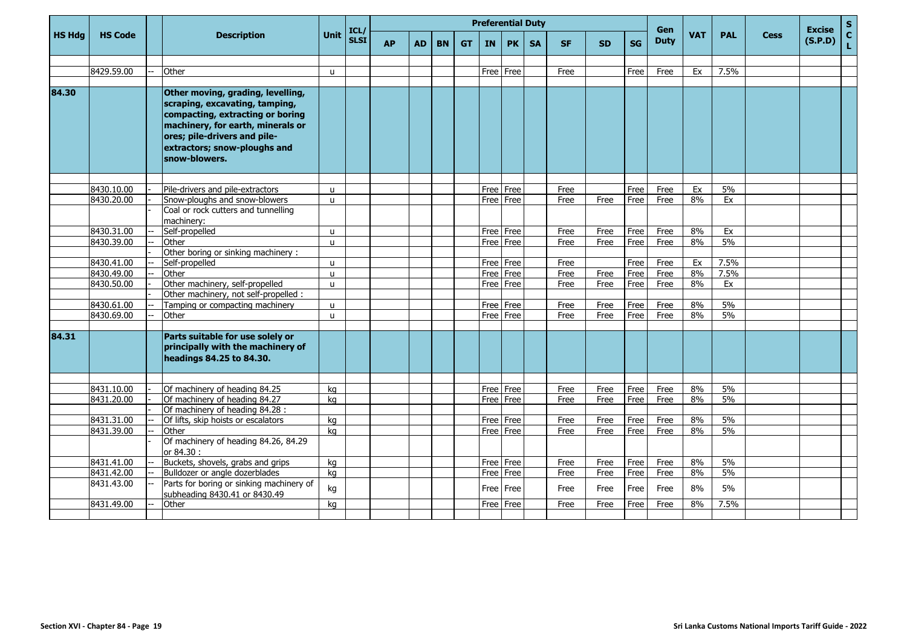|               |                |                                                                                                                                                                                                                               |               |                     |           |           |           |           | <b>Preferential Duty</b> |             |           |           |           |           | Gen         |            |            |             | <b>Excise</b> | $\mathsf{s}$       |
|---------------|----------------|-------------------------------------------------------------------------------------------------------------------------------------------------------------------------------------------------------------------------------|---------------|---------------------|-----------|-----------|-----------|-----------|--------------------------|-------------|-----------|-----------|-----------|-----------|-------------|------------|------------|-------------|---------------|--------------------|
| <b>HS Hdg</b> | <b>HS Code</b> | <b>Description</b>                                                                                                                                                                                                            | <b>Unit</b>   | ICL/<br><b>SLSI</b> | <b>AP</b> | <b>AD</b> | <b>BN</b> | <b>GT</b> | <b>IN</b>                | PK          | <b>SA</b> | <b>SF</b> | <b>SD</b> | <b>SG</b> | <b>Duty</b> | <b>VAT</b> | <b>PAL</b> | <b>Cess</b> | (S.P.D)       | $\mathbf{C}$<br>Ĺ. |
|               |                |                                                                                                                                                                                                                               |               |                     |           |           |           |           |                          |             |           |           |           |           |             |            |            |             |               |                    |
|               | 8429.59.00     | Other                                                                                                                                                                                                                         | u             |                     |           |           |           |           |                          | Free   Free |           | Free      |           | Free      | Free        | Ex         | 7.5%       |             |               |                    |
| 84.30         |                |                                                                                                                                                                                                                               |               |                     |           |           |           |           |                          |             |           |           |           |           |             |            |            |             |               |                    |
|               |                | Other moving, grading, levelling,<br>scraping, excavating, tamping,<br>compacting, extracting or boring<br>machinery, for earth, minerals or<br>ores; pile-drivers and pile-<br>extractors; snow-ploughs and<br>snow-blowers. |               |                     |           |           |           |           |                          |             |           |           |           |           |             |            |            |             |               |                    |
|               | 8430.10.00     | Pile-drivers and pile-extractors                                                                                                                                                                                              |               |                     |           |           |           |           |                          | Free Free   |           | Free      |           | Free      | Free        | Ex         | 5%         |             |               |                    |
|               | 8430.20.00     | Snow-ploughs and snow-blowers                                                                                                                                                                                                 | u<br><b>u</b> |                     |           |           |           |           |                          | Free   Free |           | Free      | Free      | Free      | Free        | 8%         | Ex         |             |               |                    |
|               |                | Coal or rock cutters and tunnelling                                                                                                                                                                                           |               |                     |           |           |           |           |                          |             |           |           |           |           |             |            |            |             |               |                    |
|               |                | machinery:                                                                                                                                                                                                                    |               |                     |           |           |           |           |                          |             |           |           |           |           |             |            |            |             |               |                    |
|               | 8430.31.00     | Self-propelled                                                                                                                                                                                                                | u             |                     |           |           |           |           |                          | Free Free   |           | Free      | Free      | Free      | Free        | 8%         | Ex         |             |               |                    |
|               | 8430.39.00     | Other                                                                                                                                                                                                                         | $\mathbf{u}$  |                     |           |           |           |           |                          | Free l Free |           | Free      | Free      | Free      | Free        | 8%         | 5%         |             |               |                    |
|               |                | Other boring or sinking machinery:                                                                                                                                                                                            |               |                     |           |           |           |           |                          |             |           |           |           |           |             |            |            |             |               |                    |
|               | 8430.41.00     | Self-propelled                                                                                                                                                                                                                | U.            |                     |           |           |           |           | Free                     | Free        |           | Free      |           | Free      | Free        | Ex         | 7.5%       |             |               |                    |
|               | 8430.49.00     | Other                                                                                                                                                                                                                         | $\mathbf{u}$  |                     |           |           |           |           |                          | Free Free   |           | Free      | Free      | Free      | Free        | 8%         | 7.5%       |             |               |                    |
|               | 8430.50.00     | Other machinery, self-propelled                                                                                                                                                                                               | u             |                     |           |           |           |           |                          | Free Free   |           | Free      | Free      | Free      | Free        | 8%         | Ex         |             |               |                    |
|               |                | Other machinery, not self-propelled :                                                                                                                                                                                         |               |                     |           |           |           |           |                          |             |           |           |           |           |             |            |            |             |               |                    |
|               | 8430.61.00     | Tamping or compacting machinery                                                                                                                                                                                               | u             |                     |           |           |           |           | Free Free                |             |           | Free      | Free      | Free      | Free        | 8%         | 5%         |             |               |                    |
|               | 8430.69.00     | Other                                                                                                                                                                                                                         | u             |                     |           |           |           |           | Free Free                |             |           | Free      | Free      | Free      | Free        | 8%         | 5%         |             |               |                    |
| 84.31         |                | Parts suitable for use solely or<br>principally with the machinery of<br>headings 84.25 to 84.30.                                                                                                                             |               |                     |           |           |           |           |                          |             |           |           |           |           |             |            |            |             |               |                    |
|               | 8431.10.00     | Of machinery of heading 84.25                                                                                                                                                                                                 | kg            |                     |           |           |           |           | Free Free                |             |           | Free      | Free      | Free      | Free        | 8%         | 5%         |             |               |                    |
|               | 8431.20.00     | Of machinery of heading 84.27                                                                                                                                                                                                 | kg            |                     |           |           |           |           | Free Free                |             |           | Free      | Free      | Free      | Free        | 8%         | 5%         |             |               |                    |
|               |                | Of machinery of heading 84.28 :                                                                                                                                                                                               |               |                     |           |           |           |           |                          |             |           |           |           |           |             |            |            |             |               |                    |
|               | 8431.31.00     | Of lifts, skip hoists or escalators                                                                                                                                                                                           | ka            |                     |           |           |           |           |                          | Free Free   |           | Free      | Free      | Free      | Free        | 8%         | 5%         |             |               |                    |
|               | 8431.39.00     | Other                                                                                                                                                                                                                         | ka            |                     |           |           |           |           |                          | Free Free   |           | Free      | Free      | Free      | Free        | 8%         | 5%         |             |               |                    |
|               |                | Of machinery of heading 84.26, 84.29<br>or 84.30 :                                                                                                                                                                            |               |                     |           |           |           |           |                          |             |           |           |           |           |             |            |            |             |               |                    |
|               | 8431.41.00     | Buckets, shovels, grabs and grips                                                                                                                                                                                             | kg            |                     |           |           |           |           |                          | Free Free   |           | Free      | Free      | Free      | Free        | 8%         | 5%         |             |               |                    |
|               | 8431.42.00     | Bulldozer or angle dozerblades                                                                                                                                                                                                | kg            |                     |           |           |           |           |                          | Free Free   |           | Free      | Free      | Free      | Free        | 8%         | 5%         |             |               |                    |
|               | 8431.43.00     | Parts for boring or sinking machinery of<br>subheading 8430.41 or 8430.49                                                                                                                                                     | kg            |                     |           |           |           |           |                          | Free Free   |           | Free      | Free      | Free      | Free        | 8%         | 5%         |             |               |                    |
|               | 8431.49.00     | Other                                                                                                                                                                                                                         | kg            |                     |           |           |           |           |                          | Free Free   |           | Free      | Free      | Free      | Free        | 8%         | 7.5%       |             |               |                    |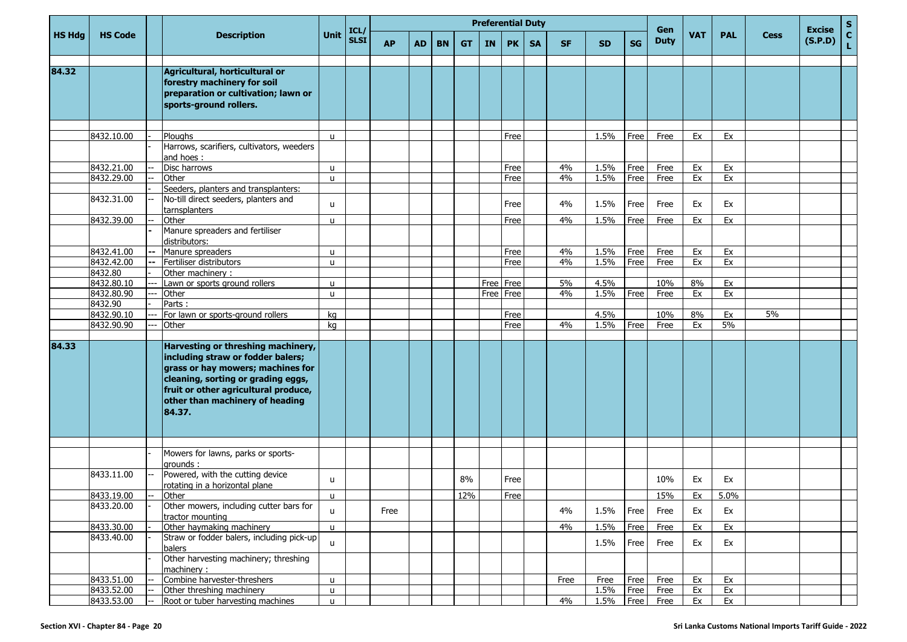|               |                |       |                                                                                                                                                                                                                                         |              |                     |           |           |           |           |      |           | <b>Preferential Duty</b> |           |           |      | Gen         |            |            |             | <b>Excise</b> | S                  |
|---------------|----------------|-------|-----------------------------------------------------------------------------------------------------------------------------------------------------------------------------------------------------------------------------------------|--------------|---------------------|-----------|-----------|-----------|-----------|------|-----------|--------------------------|-----------|-----------|------|-------------|------------|------------|-------------|---------------|--------------------|
| <b>HS Hdg</b> | <b>HS Code</b> |       | <b>Description</b>                                                                                                                                                                                                                      | <b>Unit</b>  | ICL/<br><b>SLSI</b> | <b>AP</b> | <b>AD</b> | <b>BN</b> | <b>GT</b> | IN   | <b>PK</b> | <b>SA</b>                | <b>SF</b> | <b>SD</b> | SG   | <b>Duty</b> | <b>VAT</b> | <b>PAL</b> | <b>Cess</b> | (S.P.D)       | $\mathbf{C}$<br>L. |
| 84.32         |                |       | Agricultural, horticultural or<br>forestry machinery for soil<br>preparation or cultivation; lawn or<br>sports-ground rollers.                                                                                                          |              |                     |           |           |           |           |      |           |                          |           |           |      |             |            |            |             |               |                    |
|               |                |       |                                                                                                                                                                                                                                         |              |                     |           |           |           |           |      |           |                          |           |           |      |             |            |            |             |               |                    |
|               | 8432.10.00     |       | Ploughs<br>Harrows, scarifiers, cultivators, weeders<br>and hoes:                                                                                                                                                                       | u            |                     |           |           |           |           |      | Free      |                          |           | 1.5%      | Free | Free        | Ex         | Ex         |             |               |                    |
|               | 8432.21.00     |       | Disc harrows                                                                                                                                                                                                                            | $\mathsf{u}$ |                     |           |           |           |           |      | Free      |                          | 4%        | 1.5%      | Free | Free        | Ex         | Ex         |             |               |                    |
|               | 8432.29.00     |       | Other                                                                                                                                                                                                                                   | u            |                     |           |           |           |           |      | Free      |                          | 4%        | 1.5%      | Free | Free        | Ex         | Ex         |             |               |                    |
|               | 8432.31.00     |       | Seeders, planters and transplanters:<br>No-till direct seeders, planters and                                                                                                                                                            |              |                     |           |           |           |           |      |           |                          |           |           |      |             |            |            |             |               |                    |
|               |                |       | tarnsplanters                                                                                                                                                                                                                           | u            |                     |           |           |           |           |      | Free      |                          | 4%        | 1.5%      | Free | Free        | Ex         | Ex         |             |               |                    |
|               | 8432.39.00     |       | Other<br>Manure spreaders and fertiliser<br>distributors:                                                                                                                                                                               | $\mathsf{u}$ |                     |           |           |           |           |      | Free      |                          | 4%        | 1.5%      | Free | Free        | Ex         | Ex         |             |               |                    |
|               | 8432.41.00     | $-$   | Manure spreaders                                                                                                                                                                                                                        | $\mathsf{u}$ |                     |           |           |           |           |      | Free      |                          | 4%        | 1.5%      | Free | Free        | Ex         | Ex         |             |               |                    |
|               | 8432.42.00     |       | Fertiliser distributors                                                                                                                                                                                                                 | $\mathsf{u}$ |                     |           |           |           |           |      | Free      |                          | 4%        | 1.5%      | Free | Free        | Ex         | Ex         |             |               |                    |
|               | 8432.80        |       | Other machinery:                                                                                                                                                                                                                        |              |                     |           |           |           |           |      |           |                          |           |           |      |             |            |            |             |               |                    |
|               | 8432.80.10     | ---   | Lawn or sports ground rollers                                                                                                                                                                                                           | u            |                     |           |           |           |           | Free | Free      |                          | 5%        | 4.5%      |      | 10%         | 8%         | Ex         |             |               |                    |
|               | 8432.80.90     | $---$ | Other                                                                                                                                                                                                                                   | $\mathsf{u}$ |                     |           |           |           |           | Free | Free      |                          | 4%        | 1.5%      | Free | Free        | Ex         | Ex         |             |               |                    |
|               | 8432.90        |       | Parts:                                                                                                                                                                                                                                  |              |                     |           |           |           |           |      |           |                          |           |           |      |             |            |            |             |               |                    |
|               | 8432.90.10     |       | For lawn or sports-ground rollers                                                                                                                                                                                                       | kg           |                     |           |           |           |           |      | Free      |                          |           | 4.5%      |      | 10%         | 8%         | Ex         | 5%          |               |                    |
|               | 8432.90.90     |       | Other                                                                                                                                                                                                                                   | kg           |                     |           |           |           |           |      | Free      |                          | 4%        | 1.5%      | Free | Free        | Ex         | 5%         |             |               |                    |
| 84.33         |                |       | Harvesting or threshing machinery,<br>including straw or fodder balers;<br>grass or hay mowers; machines for<br>cleaning, sorting or grading eggs,<br>fruit or other agricultural produce,<br>other than machinery of heading<br>84.37. |              |                     |           |           |           |           |      |           |                          |           |           |      |             |            |            |             |               |                    |
|               |                |       |                                                                                                                                                                                                                                         |              |                     |           |           |           |           |      |           |                          |           |           |      |             |            |            |             |               |                    |
|               |                |       | Mowers for lawns, parks or sports-<br>grounds:                                                                                                                                                                                          |              |                     |           |           |           |           |      |           |                          |           |           |      |             |            |            |             |               |                    |
|               | 8433.11.00     |       | Powered, with the cutting device<br>rotating in a horizontal plane                                                                                                                                                                      | u            |                     |           |           |           | 8%        |      | Free      |                          |           |           |      | 10%         | Ex         | Ex         |             |               |                    |
|               | 8433.19.00     |       | Other                                                                                                                                                                                                                                   | u            |                     |           |           |           | 12%       |      | Free      |                          |           |           |      | 15%         | Ex         | 5.0%       |             |               |                    |
|               | 8433.20.00     |       | Other mowers, including cutter bars for<br>tractor mounting                                                                                                                                                                             | $\mathbf{u}$ |                     | Free      |           |           |           |      |           |                          | 4%        | 1.5%      | Free | Free        | Ex         | Ex         |             |               |                    |
|               | 8433.30.00     |       | Other haymaking machinery                                                                                                                                                                                                               | $\mathsf{u}$ |                     |           |           |           |           |      |           |                          | 4%        | 1.5%      | Free | Free        | Ex         | Ex         |             |               |                    |
|               | 8433.40.00     |       | Straw or fodder balers, including pick-up<br>balers                                                                                                                                                                                     | $\mathsf{u}$ |                     |           |           |           |           |      |           |                          |           | 1.5%      | Free | Free        | Ex         | Ex         |             |               |                    |
|               |                |       | Other harvesting machinery; threshing<br>machinery:                                                                                                                                                                                     |              |                     |           |           |           |           |      |           |                          |           |           |      |             |            |            |             |               |                    |
|               | 8433.51.00     |       | Combine harvester-threshers                                                                                                                                                                                                             | u            |                     |           |           |           |           |      |           |                          | Free      | Free      | Free | Free        | Ex         | Ex         |             |               |                    |
|               | 8433.52.00     |       | Other threshing machinery                                                                                                                                                                                                               | u            |                     |           |           |           |           |      |           |                          |           | 1.5%      | Free | Free        | Ex         | Ex         |             |               |                    |
|               | 8433.53.00     | $--$  | Root or tuber harvesting machines                                                                                                                                                                                                       | $\mathsf{u}$ |                     |           |           |           |           |      |           |                          | 4%        | 1.5%      |      | Free Free   | Ex         | Ex         |             |               |                    |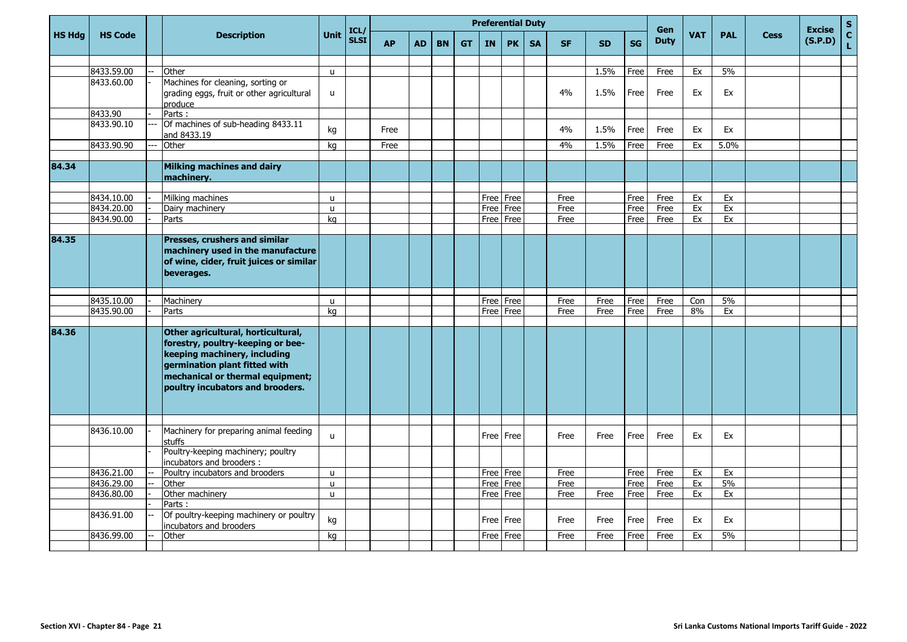|               |                          |                                                                                                                                                                                                                  |              | ICL/        |           |    |           |           |     | <b>Preferential Duty</b> |           |           |           |           | Gen         |            |            |             | <b>Excise</b> | $\mathbf S$        |
|---------------|--------------------------|------------------------------------------------------------------------------------------------------------------------------------------------------------------------------------------------------------------|--------------|-------------|-----------|----|-----------|-----------|-----|--------------------------|-----------|-----------|-----------|-----------|-------------|------------|------------|-------------|---------------|--------------------|
| <b>HS Hdg</b> | <b>HS Code</b>           | <b>Description</b>                                                                                                                                                                                               | <b>Unit</b>  | <b>SLSI</b> | <b>AP</b> | AD | <b>BN</b> | <b>GT</b> | IN. | <b>PK</b>                | <b>SA</b> | <b>SF</b> | <b>SD</b> | <b>SG</b> | <b>Duty</b> | <b>VAT</b> | <b>PAL</b> | <b>Cess</b> | (S.P.D)       | $\mathbf{C}$<br>Ĺ. |
|               |                          |                                                                                                                                                                                                                  |              |             |           |    |           |           |     |                          |           |           |           |           |             |            |            |             |               |                    |
|               | 8433.59.00<br>8433.60.00 | Other                                                                                                                                                                                                            | u            |             |           |    |           |           |     |                          |           |           | 1.5%      | Free      | Free        | Ex         | 5%         |             |               |                    |
|               |                          | Machines for cleaning, sorting or<br>grading eggs, fruit or other agricultural<br>produce                                                                                                                        | u            |             |           |    |           |           |     |                          |           | 4%        | 1.5%      | Free      | Free        | Ex         | Ex         |             |               |                    |
|               | 8433.90                  | Parts:                                                                                                                                                                                                           |              |             |           |    |           |           |     |                          |           |           |           |           |             |            |            |             |               |                    |
|               | 8433.90.10               | Of machines of sub-heading 8433.11<br>and 8433.19                                                                                                                                                                | kg           |             | Free      |    |           |           |     |                          |           | 4%        | 1.5%      | Free      | Free        | Ex         | Ex         |             |               |                    |
|               | 8433.90.90               | Other                                                                                                                                                                                                            | kg           |             | Free      |    |           |           |     |                          |           | 4%        | 1.5%      | Free      | Free        | Ex         | 5.0%       |             |               |                    |
| 84.34         |                          | <b>Milking machines and dairy</b><br>machinery.                                                                                                                                                                  |              |             |           |    |           |           |     |                          |           |           |           |           |             |            |            |             |               |                    |
|               | 8434.10.00               | Milking machines                                                                                                                                                                                                 | <b>u</b>     |             |           |    |           |           |     | Free   Free              |           | Free      |           | Free      | Free        | Ex         | Ex         |             |               |                    |
|               | 8434.20.00               | Dairy machinery                                                                                                                                                                                                  | u            |             |           |    |           |           |     | Free Free                |           | Free      |           | Free      | Free        | Ex         | Ex         |             |               |                    |
|               | 8434.90.00               | Parts                                                                                                                                                                                                            | kg           |             |           |    |           |           |     | Free Free                |           | Free      |           | Free      | Free        | Ex         | Ex         |             |               |                    |
|               |                          |                                                                                                                                                                                                                  |              |             |           |    |           |           |     |                          |           |           |           |           |             |            |            |             |               |                    |
| 84.35         |                          | Presses, crushers and similar<br>machinery used in the manufacture<br>of wine, cider, fruit juices or similar<br>beverages.                                                                                      |              |             |           |    |           |           |     |                          |           |           |           |           |             |            |            |             |               |                    |
|               | 8435.10.00               | Machinery                                                                                                                                                                                                        | u            |             |           |    |           |           |     | Free   Free              |           | Free      | Free      | Free      | Free        | Con        | 5%         |             |               |                    |
|               | 8435.90.00               | Parts                                                                                                                                                                                                            | kg           |             |           |    |           |           |     | Free Free                |           | Free      | Free      | Free      | Free        | 8%         | Ex         |             |               |                    |
|               |                          |                                                                                                                                                                                                                  |              |             |           |    |           |           |     |                          |           |           |           |           |             |            |            |             |               |                    |
| 84.36         |                          | Other agricultural, horticultural,<br>forestry, poultry-keeping or bee-<br>keeping machinery, including<br>germination plant fitted with<br>mechanical or thermal equipment;<br>poultry incubators and brooders. |              |             |           |    |           |           |     |                          |           |           |           |           |             |            |            |             |               |                    |
|               | 8436.10.00               | Machinery for preparing animal feeding                                                                                                                                                                           | u            |             |           |    |           |           |     | Free   Free              |           | Free      | Free      | Free      | Free        | Ex         | Ex         |             |               |                    |
|               |                          | stuffs<br>Poultry-keeping machinery; poultry                                                                                                                                                                     |              |             |           |    |           |           |     |                          |           |           |           |           |             |            |            |             |               |                    |
|               | 8436.21.00               | incubators and brooders :<br>Poultry incubators and brooders                                                                                                                                                     | $\mathsf{u}$ |             |           |    |           |           |     | Free Free                |           | Free      |           | Free      | Free        | Ex         | Ex         |             |               |                    |
|               | 8436.29.00               | Other                                                                                                                                                                                                            | $\mathsf{u}$ |             |           |    |           |           |     | Free   Free              |           | Free      |           | Free      | Free        | Ex         | 5%         |             |               |                    |
|               | 8436.80.00               | Other machinery                                                                                                                                                                                                  | $\mathbf{u}$ |             |           |    |           |           |     | Free Free                |           | Free      | Free      | Free      | Free        | Ex         | Ex         |             |               |                    |
|               |                          | Parts:                                                                                                                                                                                                           |              |             |           |    |           |           |     |                          |           |           |           |           |             |            |            |             |               |                    |
|               | 8436.91.00               | Of poultry-keeping machinery or poultry<br>incubators and brooders                                                                                                                                               | kg           |             |           |    |           |           |     | Free   Free              |           | Free      | Free      | Free      | Free        | Ex         | Ex         |             |               |                    |
|               | 8436.99.00               | Other                                                                                                                                                                                                            | kg           |             |           |    |           |           |     | Free   Free              |           | Free      | Free      | Free      | Free        | Ex         | 5%         |             |               |                    |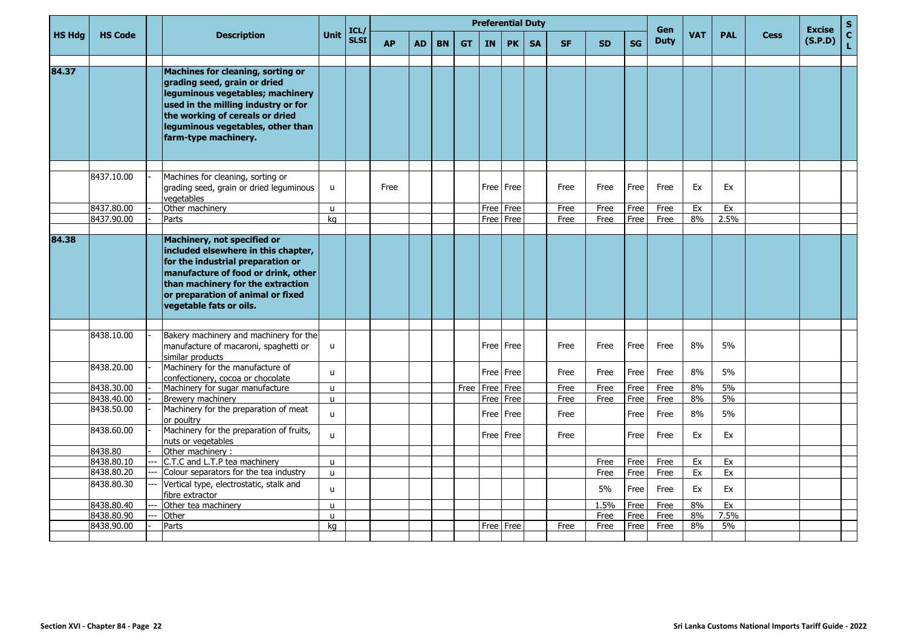|               |                          |                                                                                                                                                                                                                                                     |                   | ICL/        |           |           |           |           |           | <b>Preferential Duty</b> |           |           |            |              | Gen          |            |            |             | <b>Excise</b> | $\mathbf{s}$       |
|---------------|--------------------------|-----------------------------------------------------------------------------------------------------------------------------------------------------------------------------------------------------------------------------------------------------|-------------------|-------------|-----------|-----------|-----------|-----------|-----------|--------------------------|-----------|-----------|------------|--------------|--------------|------------|------------|-------------|---------------|--------------------|
| <b>HS Hdg</b> | <b>HS Code</b>           | <b>Description</b>                                                                                                                                                                                                                                  | Unit              | <b>SLSI</b> | <b>AP</b> | <b>AD</b> | <b>BN</b> | <b>GT</b> | <b>IN</b> | <b>PK</b>                | <b>SA</b> | <b>SF</b> | <b>SD</b>  | <b>SG</b>    | <b>Duty</b>  | <b>VAT</b> | <b>PAL</b> | <b>Cess</b> | (S.P.D)       | $\mathbf{C}$<br>L. |
| 84.37         |                          | Machines for cleaning, sorting or<br>grading seed, grain or dried<br>leguminous vegetables; machinery<br>used in the milling industry or for<br>the working of cereals or dried<br>leguminous vegetables, other than<br>farm-type machinery.        |                   |             |           |           |           |           |           |                          |           |           |            |              |              |            |            |             |               |                    |
|               | 8437.10.00               | Machines for cleaning, sorting or<br>grading seed, grain or dried leguminous<br>vegetables                                                                                                                                                          | $\mathsf{u}$      |             | Free      |           |           |           |           | Free   Free              |           | Free      | Free       | Free         | Free         | Ex         | Ex         |             |               |                    |
|               | 8437.80.00               | Other machinery                                                                                                                                                                                                                                     | u                 |             |           |           |           |           |           | Free Free                |           | Free      | Free       | Free         | Free         | Ex         | Ex         |             |               |                    |
|               | 8437.90.00               | Parts                                                                                                                                                                                                                                               | kg                |             |           |           |           |           |           | Free   Free              |           | Free      | Free       | Free         | Free         | 8%         | 2.5%       |             |               |                    |
| 84.38         |                          | Machinery, not specified or<br>included elsewhere in this chapter,<br>for the industrial preparation or<br>manufacture of food or drink, other<br>than machinery for the extraction<br>or preparation of animal or fixed<br>vegetable fats or oils. |                   |             |           |           |           |           |           |                          |           |           |            |              |              |            |            |             |               |                    |
|               | 8438.10.00               | Bakery machinery and machinery for the<br>manufacture of macaroni, spaghetti or<br>similar products                                                                                                                                                 | u                 |             |           |           |           |           |           | Free Free                |           | Free      | Free       | Free         | Free         | 8%         | 5%         |             |               |                    |
|               | 8438.20.00               | Machinery for the manufacture of<br>confectionery, cocoa or chocolate                                                                                                                                                                               | $\mathsf{u}$      |             |           |           |           |           |           | Free l Free              |           | Free      | Free       | Free         | Free         | 8%         | 5%         |             |               |                    |
|               | 8438.30.00               | Machinery for sugar manufacture                                                                                                                                                                                                                     | $\mathbf{u}$      |             |           |           |           | Free      |           | Free   Free              |           | Free      | Free       | Free         | Free         | 8%         | 5%         |             |               |                    |
|               | 8438.40.00               | Brewery machinery                                                                                                                                                                                                                                   | u                 |             |           |           |           |           |           | Free   Free              |           | Free      | Free       | Free         | Free         | 8%         | 5%         |             |               |                    |
|               | 8438.50.00               | Machinery for the preparation of meat<br>or poultry                                                                                                                                                                                                 | u                 |             |           |           |           |           |           | Free   Free              |           | Free      |            | Free         | Free         | 8%         | 5%         |             |               |                    |
|               | 8438.60.00               | Machinery for the preparation of fruits,<br>nuts or vegetables                                                                                                                                                                                      | u                 |             |           |           |           |           |           | Free   Free              |           | Free      |            | Free         | Free         | Ex         | Ex         |             |               |                    |
|               | 8438.80                  | Other machinery :                                                                                                                                                                                                                                   |                   |             |           |           |           |           |           |                          |           |           |            |              |              |            |            |             |               |                    |
|               | 8438.80.10               | C.T.C and L.T.P tea machinery                                                                                                                                                                                                                       | <b>u</b>          |             |           |           |           |           |           |                          |           |           | Free       | Free         | Free         | Ex         | Ex         |             |               |                    |
|               | 8438.80.20<br>8438.80.30 | Colour separators for the tea industry<br>Vertical type, electrostatic, stalk and<br>fibre extractor                                                                                                                                                | $\mathsf{u}$<br>u |             |           |           |           |           |           |                          |           |           | Free<br>5% | Free<br>Free | Free<br>Free | Ex<br>Ex   | Ex<br>Ex   |             |               |                    |
|               | 8438.80.40               | Other tea machinery                                                                                                                                                                                                                                 | u                 |             |           |           |           |           |           |                          |           |           | 1.5%       | Free         | Free         | 8%         | Ex         |             |               |                    |
|               | 8438.80.90               | Other                                                                                                                                                                                                                                               | $\mathsf{u}$      |             |           |           |           |           |           |                          |           |           | Free       | Free         | Free         | 8%         | 7.5%       |             |               |                    |
|               | 8438.90.00               | Parts                                                                                                                                                                                                                                               | ka                |             |           |           |           |           |           | Free Free                |           | Free      | Free       | Free         | Free         | 8%         | 5%         |             |               |                    |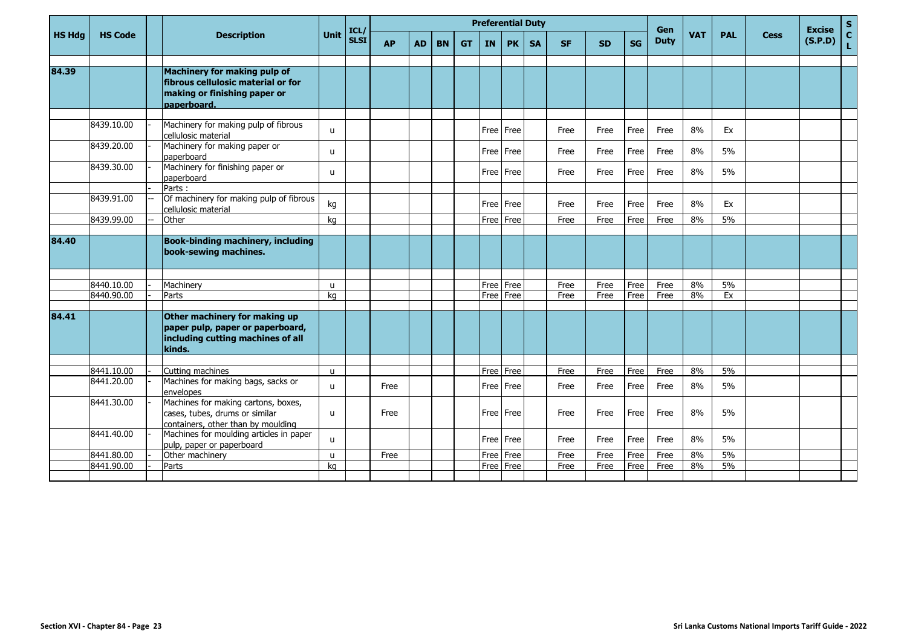|               |                          |     |                                                                                                                   |              | ICL/        |           |           |           |           |             | <b>Preferential Duty</b> |           |              |              |              | Gen          |            |            |             | <b>Excise</b> | $\frac{s}{c}$ |
|---------------|--------------------------|-----|-------------------------------------------------------------------------------------------------------------------|--------------|-------------|-----------|-----------|-----------|-----------|-------------|--------------------------|-----------|--------------|--------------|--------------|--------------|------------|------------|-------------|---------------|---------------|
| <b>HS Hdg</b> | <b>HS Code</b>           |     | <b>Description</b>                                                                                                | Unit         | <b>SLSI</b> | <b>AP</b> | <b>AD</b> | <b>BN</b> | <b>GT</b> | IN <b>I</b> | <b>PK</b>                | <b>SA</b> | <b>SF</b>    | <b>SD</b>    | <b>SG</b>    | <b>Duty</b>  | <b>VAT</b> | <b>PAL</b> | <b>Cess</b> | (S.P.D)       | Ĺ.            |
|               |                          |     |                                                                                                                   |              |             |           |           |           |           |             |                          |           |              |              |              |              |            |            |             |               |               |
| 84.39         |                          |     | Machinery for making pulp of<br>fibrous cellulosic material or for<br>making or finishing paper or<br>paperboard. |              |             |           |           |           |           |             |                          |           |              |              |              |              |            |            |             |               |               |
|               | 8439.10.00               |     | Machinery for making pulp of fibrous<br>cellulosic material                                                       | $\mathsf{u}$ |             |           |           |           |           |             | Free Free                |           | Free         | Free         | Free         | Free         | 8%         | Ex         |             |               |               |
|               | 8439.20.00               |     | Machinery for making paper or<br>paperboard                                                                       | $\mathsf{u}$ |             |           |           |           |           |             | Free Free                |           | Free         | Free         | Free         | Free         | 8%         | 5%         |             |               |               |
|               | 8439.30.00               |     | Machinery for finishing paper or<br>paperboard                                                                    | u            |             |           |           |           |           |             | Free Free                |           | Free         | Free         | Free         | Free         | 8%         | 5%         |             |               |               |
|               |                          |     | Parts:                                                                                                            |              |             |           |           |           |           |             |                          |           |              |              |              |              |            |            |             |               |               |
|               | 8439.91.00               |     | Of machinery for making pulp of fibrous<br>cellulosic material                                                    | kg           |             |           |           |           |           |             | Free Free                |           | Free         | Free         | Free         | Free         | 8%         | Ex         |             |               |               |
|               | 8439.99.00               | $-$ | Other                                                                                                             | kg           |             |           |           |           |           |             | Free Free                |           | Free         | Free         | Free         | Free         | 8%         | 5%         |             |               |               |
| 84.40         |                          |     | <b>Book-binding machinery, including</b><br>book-sewing machines.                                                 |              |             |           |           |           |           |             |                          |           |              |              |              |              |            |            |             |               |               |
|               |                          |     |                                                                                                                   |              |             |           |           |           |           |             |                          |           |              |              |              |              |            |            |             |               |               |
|               | 8440.10.00<br>8440.90.00 |     | Machinery<br>Parts                                                                                                | $\mathbf{u}$ |             |           |           |           |           |             | Free Free<br>Free Free   |           | Free<br>Free | Free<br>Free | Free<br>Free | Free<br>Free | 8%<br>8%   | 5%<br>Ex   |             |               |               |
|               |                          |     |                                                                                                                   | kq           |             |           |           |           |           |             |                          |           |              |              |              |              |            |            |             |               |               |
| 84.41         |                          |     | Other machinery for making up<br>paper pulp, paper or paperboard,<br>including cutting machines of all<br>kinds.  |              |             |           |           |           |           |             |                          |           |              |              |              |              |            |            |             |               |               |
|               |                          |     |                                                                                                                   |              |             |           |           |           |           |             |                          |           |              |              |              |              |            |            |             |               |               |
|               | 8441.10.00               |     | Cutting machines                                                                                                  | $\mathsf{u}$ |             |           |           |           |           |             | Free Free                |           | Free         | Free         | Free         | Free         | 8%         | 5%         |             |               |               |
|               | 8441.20.00               |     | Machines for making bags, sacks or<br>envelopes                                                                   | $\mathsf{u}$ |             | Free      |           |           |           |             | Free Free                |           | Free         | Free         | Free         | Free         | 8%         | 5%         |             |               |               |
|               | 8441.30.00               |     | Machines for making cartons, boxes,<br>cases, tubes, drums or similar<br>containers, other than by moulding       | $\mathsf{u}$ |             | Free      |           |           |           |             | Free Free                |           | Free         | Free         | Free         | Free         | 8%         | 5%         |             |               |               |
|               | 8441.40.00               |     | Machines for moulding articles in paper<br>pulp, paper or paperboard                                              | $\mathsf{u}$ |             |           |           |           |           |             | Free Free                |           | Free         | Free         | Free         | Free         | 8%         | 5%         |             |               |               |
|               | 8441.80.00               |     | Other machinery                                                                                                   | $\mathsf{u}$ |             | Free      |           |           |           |             | Free Free                |           | Free         | Free         | Free         | Free         | 8%         | 5%         |             |               |               |
|               | 8441.90.00               |     | Parts                                                                                                             | ka           |             |           |           |           |           |             | Free Free                |           | Free         | Free         | Free         | Free         | 8%         | 5%         |             |               |               |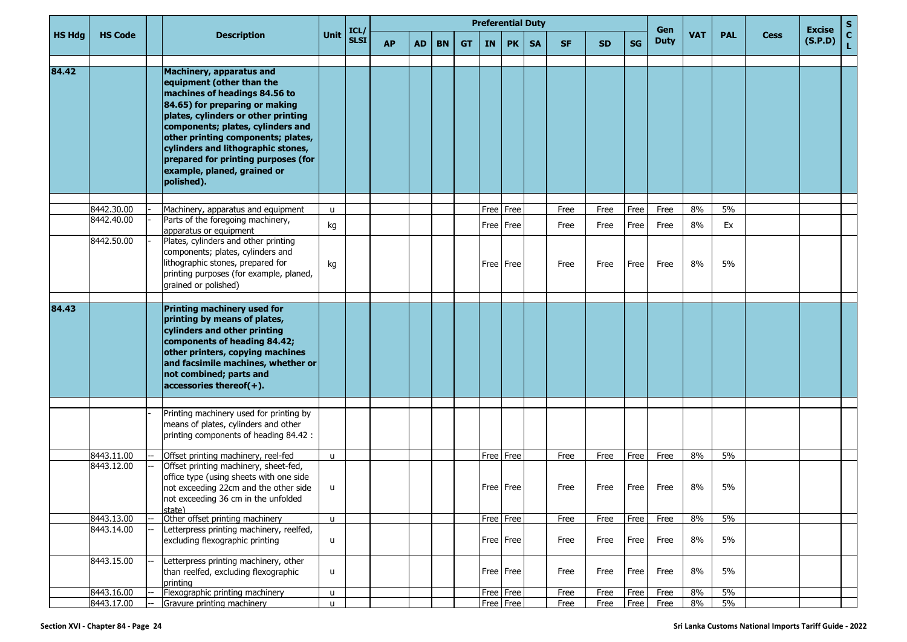|               |                          |                                                                                                                                                                                                                                                                                                                                                                             |              |                     |           |           |           |           |           | <b>Preferential Duty</b> |           |              |              |              | Gen          |            |            |             | <b>Excise</b> |             |
|---------------|--------------------------|-----------------------------------------------------------------------------------------------------------------------------------------------------------------------------------------------------------------------------------------------------------------------------------------------------------------------------------------------------------------------------|--------------|---------------------|-----------|-----------|-----------|-----------|-----------|--------------------------|-----------|--------------|--------------|--------------|--------------|------------|------------|-------------|---------------|-------------|
| <b>HS Hdg</b> | <b>HS Code</b>           | <b>Description</b>                                                                                                                                                                                                                                                                                                                                                          | Unit         | ICL/<br><b>SLSI</b> | <b>AP</b> | <b>AD</b> | <b>BN</b> | <b>GT</b> | <b>IN</b> | <b>PK</b>                | <b>SA</b> | <b>SF</b>    | <b>SD</b>    | <b>SG</b>    | <b>Duty</b>  | <b>VAT</b> | <b>PAL</b> | <b>Cess</b> | (S.P.D)       | $rac{S}{L}$ |
| 84.42         |                          | <b>Machinery, apparatus and</b><br>equipment (other than the<br>machines of headings 84.56 to<br>84.65) for preparing or making<br>plates, cylinders or other printing<br>components; plates, cylinders and<br>other printing components; plates,<br>cylinders and lithographic stones,<br>prepared for printing purposes (for<br>example, planed, grained or<br>polished). |              |                     |           |           |           |           |           |                          |           |              |              |              |              |            |            |             |               |             |
|               |                          |                                                                                                                                                                                                                                                                                                                                                                             |              |                     |           |           |           |           |           |                          |           |              |              |              |              | 8%         | 5%         |             |               |             |
|               | 8442.30.00<br>8442.40.00 | Machinery, apparatus and equipment<br>Parts of the foregoing machinery,<br>apparatus or equipment                                                                                                                                                                                                                                                                           | u<br>kg      |                     |           |           |           |           | Free Free | Free   Free              |           | Free<br>Free | Free<br>Free | Free<br>Free | Free<br>Free | 8%         | Ex         |             |               |             |
|               | 8442.50.00               | Plates, cylinders and other printing<br>components; plates, cylinders and<br>lithographic stones, prepared for<br>printing purposes (for example, planed,<br>grained or polished)                                                                                                                                                                                           | kg           |                     |           |           |           |           |           | Free Free                |           | Free         | Free         | Free         | Free         | 8%         | 5%         |             |               |             |
| 84.43         |                          |                                                                                                                                                                                                                                                                                                                                                                             |              |                     |           |           |           |           |           |                          |           |              |              |              |              |            |            |             |               |             |
|               |                          | Printing machinery used for<br>printing by means of plates,<br>cylinders and other printing<br>components of heading 84.42;<br>other printers, copying machines<br>and facsimile machines, whether or<br>not combined; parts and<br>accessories thereof(+).                                                                                                                 |              |                     |           |           |           |           |           |                          |           |              |              |              |              |            |            |             |               |             |
|               |                          | Printing machinery used for printing by<br>means of plates, cylinders and other<br>printing components of heading 84.42 :                                                                                                                                                                                                                                                   |              |                     |           |           |           |           |           |                          |           |              |              |              |              |            |            |             |               |             |
|               | 8443.11.00               | Offset printing machinery, reel-fed                                                                                                                                                                                                                                                                                                                                         | $\mathsf{u}$ |                     |           |           |           |           | Free Free |                          |           | Free         | Free         | Free         | Free         | 8%         | 5%         |             |               |             |
|               | 8443.12.00               | Offset printing machinery, sheet-fed,<br>office type (using sheets with one side<br>not exceeding 22cm and the other side<br>not exceeding 36 cm in the unfolded<br>state)                                                                                                                                                                                                  | u            |                     |           |           |           |           |           | Free Free                |           | Free         | Free         | Free         | Free         | 8%         | 5%         |             |               |             |
|               | 8443.13.00               | Other offset printing machinery                                                                                                                                                                                                                                                                                                                                             | $\mathsf{u}$ |                     |           |           |           |           |           | Free Free                |           | Free         | Free         | Free         | Free         | 8%         | 5%         |             |               |             |
|               | 8443.14.00               | Letterpress printing machinery, reelfed,<br>excluding flexographic printing                                                                                                                                                                                                                                                                                                 | u            |                     |           |           |           |           |           | Free Free                |           | Free         | Free         | Free         | Free         | 8%         | 5%         |             |               |             |
|               | 8443.15.00               | Letterpress printing machinery, other<br>than reelfed, excluding flexographic<br>printing                                                                                                                                                                                                                                                                                   | u            |                     |           |           |           |           |           | Free Free                |           | Free         | Free         | Free         | Free         | 8%         | 5%         |             |               |             |
|               | 8443.16.00               | Flexographic printing machinery                                                                                                                                                                                                                                                                                                                                             | u            |                     |           |           |           |           |           | Free Free                |           | Free         | Free         | Free         | Free         | $8\%$      | 5%         |             |               |             |
|               | 8443.17.00               | Gravure printing machinery                                                                                                                                                                                                                                                                                                                                                  | $\mathsf{u}$ |                     |           |           |           |           |           | Free Free                |           | Free         | Free         | Free         | Free         | 8%         | 5%         |             |               |             |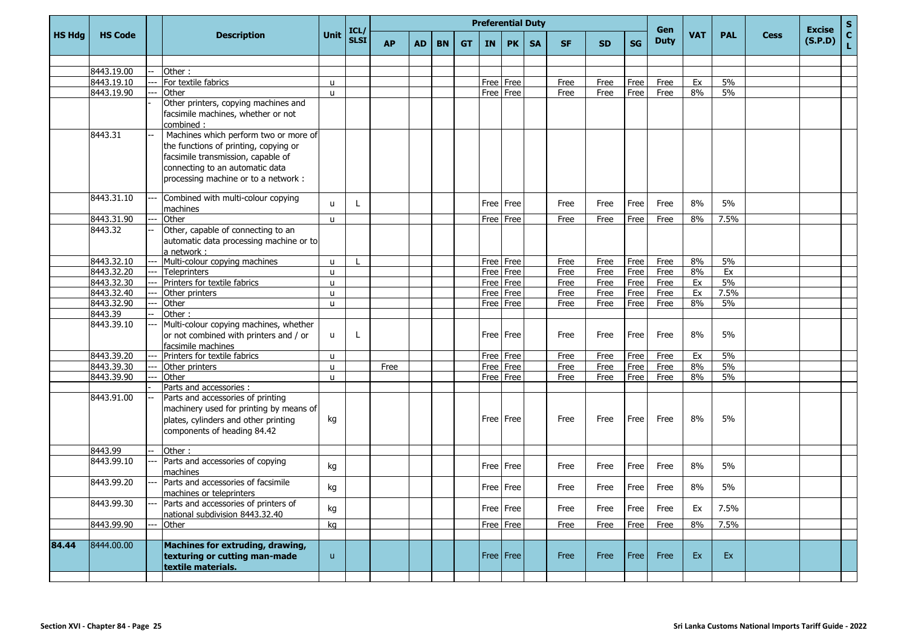|               |                |                                                                                                                                                                                                 |              |                     |           |    |           |           |           | <b>Preferential Duty</b> |           |           |           |           | Gen         |            |            |             | <b>Excise</b> | $\mathbf{s}$       |
|---------------|----------------|-------------------------------------------------------------------------------------------------------------------------------------------------------------------------------------------------|--------------|---------------------|-----------|----|-----------|-----------|-----------|--------------------------|-----------|-----------|-----------|-----------|-------------|------------|------------|-------------|---------------|--------------------|
| <b>HS Hdg</b> | <b>HS Code</b> | <b>Description</b>                                                                                                                                                                              | Unit         | ICL/<br><b>SLSI</b> | <b>AP</b> | AD | <b>BN</b> | <b>GT</b> | <b>IN</b> | <b>PK</b>                | <b>SA</b> | <b>SF</b> | <b>SD</b> | <b>SG</b> | <b>Duty</b> | <b>VAT</b> | <b>PAL</b> | <b>Cess</b> | (S.P.D)       | $\mathbf{C}$<br>L. |
|               |                |                                                                                                                                                                                                 |              |                     |           |    |           |           |           |                          |           |           |           |           |             |            |            |             |               |                    |
|               | 8443.19.00     | Other:                                                                                                                                                                                          |              |                     |           |    |           |           |           |                          |           |           |           |           |             |            |            |             |               |                    |
|               | 8443.19.10     | For textile fabrics                                                                                                                                                                             | <b>u</b>     |                     |           |    |           |           |           | Free Free                |           | Free      | Free      | Free      | Free        | Ex         | 5%         |             |               |                    |
|               | 8443.19.90     | Other                                                                                                                                                                                           | $\mathsf{u}$ |                     |           |    |           |           |           | Free Free                |           | Free      | Free      | Free      | Free        | 8%         | 5%         |             |               |                    |
|               |                | Other printers, copying machines and<br>facsimile machines, whether or not<br>combined:                                                                                                         |              |                     |           |    |           |           |           |                          |           |           |           |           |             |            |            |             |               |                    |
|               | 8443.31        | Machines which perform two or more of<br>the functions of printing, copying or<br>facsimile transmission, capable of<br>connecting to an automatic data<br>processing machine or to a network : |              |                     |           |    |           |           |           |                          |           |           |           |           |             |            |            |             |               |                    |
|               | 8443.31.10     | Combined with multi-colour copying<br>machines                                                                                                                                                  | $\mathbf{u}$ |                     |           |    |           |           |           | Free Free                |           | Free      | Free      | Free      | Free        | 8%         | 5%         |             |               |                    |
|               | 8443.31.90     | Other                                                                                                                                                                                           | $\mathsf{u}$ |                     |           |    |           |           |           | Free Free                |           | Free      | Free      | Free      | Free        | 8%         | 7.5%       |             |               |                    |
|               | 8443.32        | Other, capable of connecting to an<br>automatic data processing machine or to<br>a network :                                                                                                    |              |                     |           |    |           |           |           |                          |           |           |           |           |             |            |            |             |               |                    |
|               | 8443.32.10     | Multi-colour copying machines                                                                                                                                                                   | u            |                     |           |    |           |           |           | Free Free                |           | Free      | Free      | Free      | Free        | 8%         | 5%         |             |               |                    |
|               | 8443.32.20     | <b>Teleprinters</b>                                                                                                                                                                             | u            |                     |           |    |           |           |           | Free Free                |           | Free      | Free      | Free      | Free        | 8%         | Ex         |             |               |                    |
|               | 8443.32.30     | Printers for textile fabrics                                                                                                                                                                    | u            |                     |           |    |           |           |           | Free Free                |           | Free      | Free      | Free      | Free        | Ex         | 5%         |             |               |                    |
|               | 8443.32.40     | Other printers                                                                                                                                                                                  | u            |                     |           |    |           |           |           | Free Free                |           | Free      | Free      | Free      | Free        | Ex         | 7.5%       |             |               |                    |
|               | 8443.32.90     | Other                                                                                                                                                                                           | u            |                     |           |    |           |           |           | Free Free                |           | Free      | Free      | Free      | Free        | 8%         | 5%         |             |               |                    |
|               | 8443.39        | Other:                                                                                                                                                                                          |              |                     |           |    |           |           |           |                          |           |           |           |           |             |            |            |             |               |                    |
|               | 8443.39.10     | Multi-colour copying machines, whether<br>or not combined with printers and / or<br>facsimile machines                                                                                          | <b>u</b>     | L                   |           |    |           |           |           | Free Free                |           | Free      | Free      | Free      | Free        | 8%         | 5%         |             |               |                    |
|               | 8443.39.20     | Printers for textile fabrics                                                                                                                                                                    | $\mathsf{u}$ |                     |           |    |           |           |           | Free Free                |           | Free      | Free      | Free      | Free        | Ex         | 5%         |             |               |                    |
|               | 8443.39.30     | Other printers                                                                                                                                                                                  | u            |                     | Free      |    |           |           |           | Free Free                |           | Free      | Free      | Free      | Free        | 8%         | 5%         |             |               |                    |
|               | 8443.39.90     | Other                                                                                                                                                                                           | u            |                     |           |    |           |           |           | Free Free                |           | Free      | Free      | Free      | Free        | 8%         | 5%         |             |               |                    |
|               |                | Parts and accessories :                                                                                                                                                                         |              |                     |           |    |           |           |           |                          |           |           |           |           |             |            |            |             |               |                    |
|               | 8443.91.00     | Parts and accessories of printing<br>machinery used for printing by means of<br>plates, cylinders and other printing<br>components of heading 84.42                                             | kg           |                     |           |    |           |           |           | Free Free                |           | Free      | Free      | Free      | Free        | 8%         | 5%         |             |               |                    |
|               | 8443.99        | Other:                                                                                                                                                                                          |              |                     |           |    |           |           |           |                          |           |           |           |           |             |            |            |             |               |                    |
|               | 8443.99.10     | Parts and accessories of copying<br>machines                                                                                                                                                    | kg           |                     |           |    |           |           |           | Free Free                |           | Free      | Free      | Free      | Free        | 8%         | 5%         |             |               |                    |
|               | 8443.99.20     | Parts and accessories of facsimile<br>machines or teleprinters                                                                                                                                  | kg           |                     |           |    |           |           |           | Free   Free              |           | Free      | Free      | Free      | Free        | 8%         | 5%         |             |               |                    |
|               | 8443.99.30     | Parts and accessories of printers of<br>national subdivision 8443.32.40                                                                                                                         | kg           |                     |           |    |           |           |           | Free Free                |           | Free      | Free      | Free      | Free        | Ex         | 7.5%       |             |               |                    |
|               | 8443.99.90     | Other                                                                                                                                                                                           | kg           |                     |           |    |           |           |           | Free Free                |           | Free      | Free      | Free      | Free        | 8%         | 7.5%       |             |               |                    |
| 84.44         | 8444.00.00     | <b>Machines for extruding, drawing,</b><br>texturing or cutting man-made<br>textile materials.                                                                                                  | $\mathsf{u}$ |                     |           |    |           |           |           | Free   Free              |           | Free      | Free      | Free      | Free        | Ex         | Ex         |             |               |                    |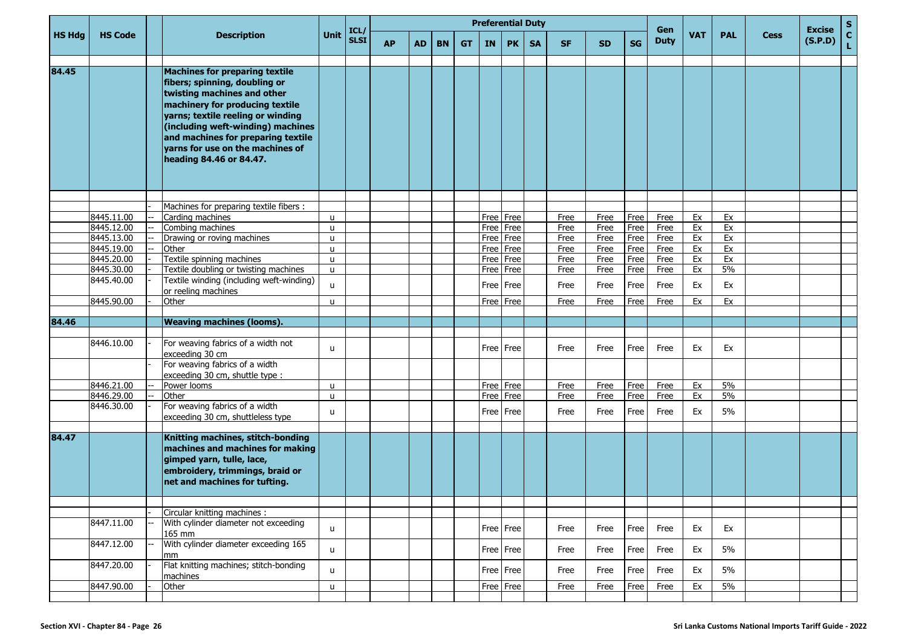|               |                |                                                                                                                                                                                                                                                                                                                         |      |                     |           |           |           |           |           | <b>Preferential Duty</b> |           |           |           |           | Gen         |     |            |             | <b>Excise</b> | $\mathbf S$        |
|---------------|----------------|-------------------------------------------------------------------------------------------------------------------------------------------------------------------------------------------------------------------------------------------------------------------------------------------------------------------------|------|---------------------|-----------|-----------|-----------|-----------|-----------|--------------------------|-----------|-----------|-----------|-----------|-------------|-----|------------|-------------|---------------|--------------------|
| <b>HS Hdg</b> | <b>HS Code</b> | <b>Description</b>                                                                                                                                                                                                                                                                                                      | Unit | ICL/<br><b>SLSI</b> | <b>AP</b> | <b>AD</b> | <b>BN</b> | <b>GT</b> | <b>IN</b> | PK                       | <b>SA</b> | <b>SF</b> | <b>SD</b> | <b>SG</b> | <b>Duty</b> | VAT | <b>PAL</b> | <b>Cess</b> | (S.P.D)       | $\mathbf{C}$<br>Ĺ. |
| 84.45         |                | <b>Machines for preparing textile</b><br>fibers; spinning, doubling or<br>twisting machines and other<br>machinery for producing textile<br>yarns; textile reeling or winding<br>(including weft-winding) machines<br>and machines for preparing textile<br>varns for use on the machines of<br>heading 84.46 or 84.47. |      |                     |           |           |           |           |           |                          |           |           |           |           |             |     |            |             |               |                    |
|               |                |                                                                                                                                                                                                                                                                                                                         |      |                     |           |           |           |           |           |                          |           |           |           |           |             |     |            |             |               |                    |
|               |                | Machines for preparing textile fibers :                                                                                                                                                                                                                                                                                 |      |                     |           |           |           |           |           |                          |           |           |           |           |             |     |            |             |               |                    |
|               | 8445.11.00     | Carding machines                                                                                                                                                                                                                                                                                                        | u    |                     |           |           |           |           |           | Free   Free              |           | Free      | Free      | Free      | Free        | Ex  | Ex         |             |               |                    |
|               | 8445.12.00     | Combing machines                                                                                                                                                                                                                                                                                                        | u    |                     |           |           |           |           |           | Free   Free              |           | Free      | Free      | Free      | Free        | Ex  | Ex         |             |               |                    |
|               | 8445.13.00     | Drawing or roving machines                                                                                                                                                                                                                                                                                              | u    |                     |           |           |           |           |           | Free Free                |           | Free      | Free      | Free      | Free        | Ex  | Ex         |             |               |                    |
|               | 8445.19.00     | Other                                                                                                                                                                                                                                                                                                                   | u    |                     |           |           |           |           |           | Free   Free              |           | Free      | Free      | Free      | Free        | Ex  | Ex         |             |               |                    |
|               | 8445.20.00     | Textile spinning machines                                                                                                                                                                                                                                                                                               | u    |                     |           |           |           |           | Free      | Free                     |           | Free      | Free      | Free      | Free        | Ex  | Ex         |             |               |                    |
|               | 8445.30.00     | Textile doubling or twisting machines                                                                                                                                                                                                                                                                                   | u    |                     |           |           |           |           |           | Free Free                |           | Free      | Free      | Free      | Free        | Ex  | 5%         |             |               |                    |
|               | 8445.40.00     | Textile winding (including weft-winding)<br>or reeling machines                                                                                                                                                                                                                                                         | u    |                     |           |           |           |           |           | Free   Free              |           | Free      | Free      | Free      | Free        | Ex  | Ex         |             |               |                    |
|               | 8445.90.00     | Other                                                                                                                                                                                                                                                                                                                   | u    |                     |           |           |           |           |           | Free Free                |           | Free      | Free      | Free      | Free        | Ex  | Ex         |             |               |                    |
|               |                |                                                                                                                                                                                                                                                                                                                         |      |                     |           |           |           |           |           |                          |           |           |           |           |             |     |            |             |               |                    |
| 84.46         |                | <b>Weaving machines (looms).</b>                                                                                                                                                                                                                                                                                        |      |                     |           |           |           |           |           |                          |           |           |           |           |             |     |            |             |               |                    |
|               | 8446.10.00     | For weaving fabrics of a width not<br>exceeding 30 cm<br>For weaving fabrics of a width                                                                                                                                                                                                                                 | u    |                     |           |           |           |           |           | Free   Free              |           | Free      | Free      | Free      | Free        | Ex  | Ex         |             |               |                    |
|               |                | exceeding 30 cm, shuttle type :                                                                                                                                                                                                                                                                                         |      |                     |           |           |           |           |           |                          |           |           |           |           |             |     |            |             |               |                    |
|               | 8446.21.00     | Power looms                                                                                                                                                                                                                                                                                                             | u    |                     |           |           |           |           |           | Free   Free              |           | Free      | Free      | Free      | Free        | Ex  | 5%         |             |               |                    |
|               | 8446.29.00     | Other                                                                                                                                                                                                                                                                                                                   | u    |                     |           |           |           |           |           | Free Free                |           | Free      | Free      | Free      | Free        | Ex  | 5%         |             |               |                    |
|               | 8446.30.00     | For weaving fabrics of a width<br>exceeding 30 cm, shuttleless type                                                                                                                                                                                                                                                     | u    |                     |           |           |           |           |           | Free   Free              |           | Free      | Free      | Free      | Free        | Ex  | 5%         |             |               |                    |
| 84.47         |                | Knitting machines, stitch-bonding<br>machines and machines for making<br>gimped yarn, tulle, lace,<br>embroidery, trimmings, braid or<br>net and machines for tufting.                                                                                                                                                  |      |                     |           |           |           |           |           |                          |           |           |           |           |             |     |            |             |               |                    |
|               |                |                                                                                                                                                                                                                                                                                                                         |      |                     |           |           |           |           |           |                          |           |           |           |           |             |     |            |             |               |                    |
|               |                | Circular knitting machines :                                                                                                                                                                                                                                                                                            |      |                     |           |           |           |           |           |                          |           |           |           |           |             |     |            |             |               |                    |
|               | 8447.11.00     | With cylinder diameter not exceeding<br>165 mm                                                                                                                                                                                                                                                                          | u    |                     |           |           |           |           |           | Free Free                |           | Free      | Free      | Free      | Free        | Ex  | Ex         |             |               |                    |
|               | 8447.12.00     | With cylinder diameter exceeding 165<br>mm                                                                                                                                                                                                                                                                              | u    |                     |           |           |           |           |           | Free Free                |           | Free      | Free      | Free      | Free        | Ex  | 5%         |             |               |                    |
|               | 8447.20.00     | Flat knitting machines; stitch-bonding<br>machines                                                                                                                                                                                                                                                                      | u    |                     |           |           |           |           |           | Free Free                |           | Free      | Free      | Free      | Free        | Ex  | 5%         |             |               |                    |
|               | 8447.90.00     | Other                                                                                                                                                                                                                                                                                                                   | u    |                     |           |           |           |           |           | Free Free                |           | Free      | Free      | Free      | Free        | Ex  | 5%         |             |               |                    |
|               |                |                                                                                                                                                                                                                                                                                                                         |      |                     |           |           |           |           |           |                          |           |           |           |           |             |     |            |             |               |                    |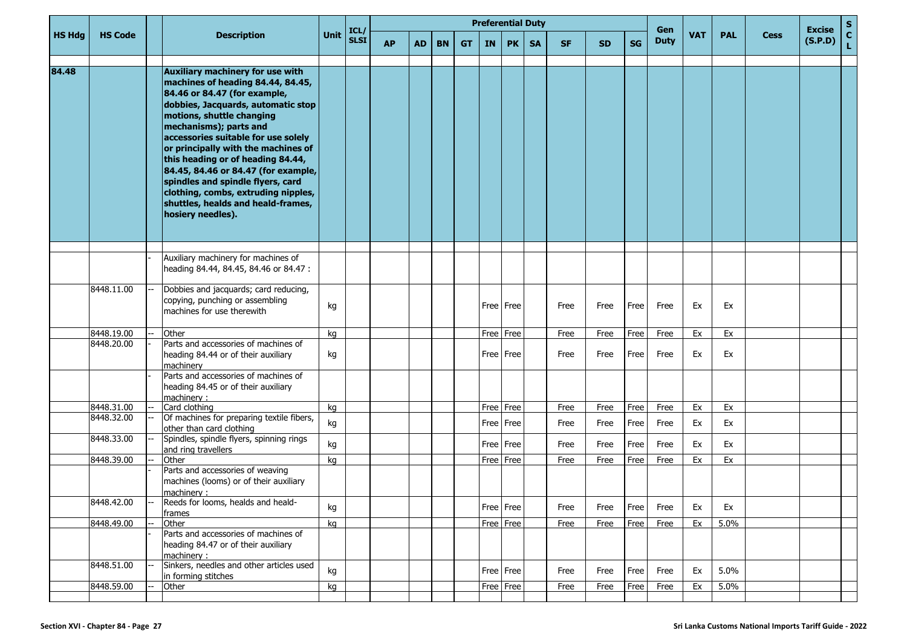|               |                |                                                                                                                                                                                                                                                                                                                                                                                                                                                                                                     |      | ICL/        |           |           |           |           |           | <b>Preferential Duty</b> |           |           |           |           | Gen         |     |            |             | <b>Excise</b> | $\mathbf S$        |
|---------------|----------------|-----------------------------------------------------------------------------------------------------------------------------------------------------------------------------------------------------------------------------------------------------------------------------------------------------------------------------------------------------------------------------------------------------------------------------------------------------------------------------------------------------|------|-------------|-----------|-----------|-----------|-----------|-----------|--------------------------|-----------|-----------|-----------|-----------|-------------|-----|------------|-------------|---------------|--------------------|
| <b>HS Hdg</b> | <b>HS Code</b> | <b>Description</b>                                                                                                                                                                                                                                                                                                                                                                                                                                                                                  | Unit | <b>SLSI</b> | <b>AP</b> | <b>AD</b> | <b>BN</b> | <b>GT</b> | <b>IN</b> | PK                       | <b>SA</b> | <b>SF</b> | <b>SD</b> | <b>SG</b> | <b>Duty</b> | VAT | <b>PAL</b> | <b>Cess</b> | (S.P.D)       | $\mathbf{C}$<br>Ĺ. |
| 84.48         |                | Auxiliary machinery for use with<br>machines of heading 84.44, 84.45,<br>84.46 or 84.47 (for example,<br>dobbies, Jacquards, automatic stop<br>motions, shuttle changing<br>mechanisms); parts and<br>accessories suitable for use solely<br>or principally with the machines of<br>this heading or of heading 84.44,<br>84.45, 84.46 or 84.47 (for example,<br>spindles and spindle flyers, card<br>clothing, combs, extruding nipples,<br>shuttles, healds and heald-frames,<br>hosiery needles). |      |             |           |           |           |           |           |                          |           |           |           |           |             |     |            |             |               |                    |
|               |                | Auxiliary machinery for machines of                                                                                                                                                                                                                                                                                                                                                                                                                                                                 |      |             |           |           |           |           |           |                          |           |           |           |           |             |     |            |             |               |                    |
|               |                | heading 84.44, 84.45, 84.46 or 84.47 :                                                                                                                                                                                                                                                                                                                                                                                                                                                              |      |             |           |           |           |           |           |                          |           |           |           |           |             |     |            |             |               |                    |
|               | 8448.11.00     | Dobbies and jacquards; card reducing,<br>copying, punching or assembling<br>machines for use therewith                                                                                                                                                                                                                                                                                                                                                                                              | kg   |             |           |           |           |           |           | Free   Free              |           | Free      | Free      | Free      | Free        | Ex  | Ex         |             |               |                    |
|               | 8448.19.00     | Other                                                                                                                                                                                                                                                                                                                                                                                                                                                                                               | kg   |             |           |           |           |           |           | Free Free                |           | Free      | Free      | Free      | Free        | Ex  | Ex         |             |               |                    |
|               | 8448.20.00     | Parts and accessories of machines of<br>heading 84.44 or of their auxiliary<br>machinery                                                                                                                                                                                                                                                                                                                                                                                                            | kg   |             |           |           |           |           |           | Free   Free              |           | Free      | Free      | Free      | Free        | Ex  | Ex         |             |               |                    |
|               |                | Parts and accessories of machines of<br>heading 84.45 or of their auxiliary<br>machinery:                                                                                                                                                                                                                                                                                                                                                                                                           |      |             |           |           |           |           |           |                          |           |           |           |           |             |     |            |             |               |                    |
|               | 8448.31.00     | Card clothing                                                                                                                                                                                                                                                                                                                                                                                                                                                                                       | kg   |             |           |           |           |           |           | Free Free                |           | Free      | Free      | Free      | Free        | Ex  | Ex         |             |               |                    |
|               | 8448.32.00     | Of machines for preparing textile fibers,<br>other than card clothing                                                                                                                                                                                                                                                                                                                                                                                                                               | kg   |             |           |           |           |           |           | Free   Free              |           | Free      | Free      | Free      | Free        | Ex  | Ex         |             |               |                    |
|               | 8448.33.00     | Spindles, spindle flyers, spinning rings<br>and ring travellers                                                                                                                                                                                                                                                                                                                                                                                                                                     | kg   |             |           |           |           |           |           | Free Free                |           | Free      | Free      | Free      | Free        | Ex  | Ex         |             |               |                    |
|               | 8448.39.00     | Other                                                                                                                                                                                                                                                                                                                                                                                                                                                                                               | kg   |             |           |           |           |           |           | Free   Free              |           | Free      | Free      | Free      | Free        | Ex  | Ex         |             |               |                    |
|               |                | Parts and accessories of weaving<br>machines (looms) or of their auxiliary<br>machinery:                                                                                                                                                                                                                                                                                                                                                                                                            |      |             |           |           |           |           |           |                          |           |           |           |           |             |     |            |             |               |                    |
|               | 8448.42.00     | Reeds for looms, healds and heald-<br>frames                                                                                                                                                                                                                                                                                                                                                                                                                                                        | kg   |             |           |           |           |           |           | Free Free                |           | Free      | Free      | Free      | Free        | Ex  | Ex         |             |               |                    |
|               | 8448.49.00     | Other                                                                                                                                                                                                                                                                                                                                                                                                                                                                                               | kg   |             |           |           |           |           |           | Free Free                |           | Free      | Free      | Free      | Free        | Ex  | 5.0%       |             |               |                    |
|               |                | Parts and accessories of machines of<br>heading 84.47 or of their auxiliary<br>machinery:                                                                                                                                                                                                                                                                                                                                                                                                           |      |             |           |           |           |           |           |                          |           |           |           |           |             |     |            |             |               |                    |
|               | 8448.51.00     | Sinkers, needles and other articles used<br>in forming stitches                                                                                                                                                                                                                                                                                                                                                                                                                                     | kg   |             |           |           |           |           |           | Free   Free              |           | Free      | Free      | Free      | Free        | Ex  | 5.0%       |             |               |                    |
|               | 8448.59.00     | Other                                                                                                                                                                                                                                                                                                                                                                                                                                                                                               | kg   |             |           |           |           |           |           | Free Free                |           | Free      | Free      | Free      | Free        | Ex  | 5.0%       |             |               |                    |
|               |                |                                                                                                                                                                                                                                                                                                                                                                                                                                                                                                     |      |             |           |           |           |           |           |                          |           |           |           |           |             |     |            |             |               |                    |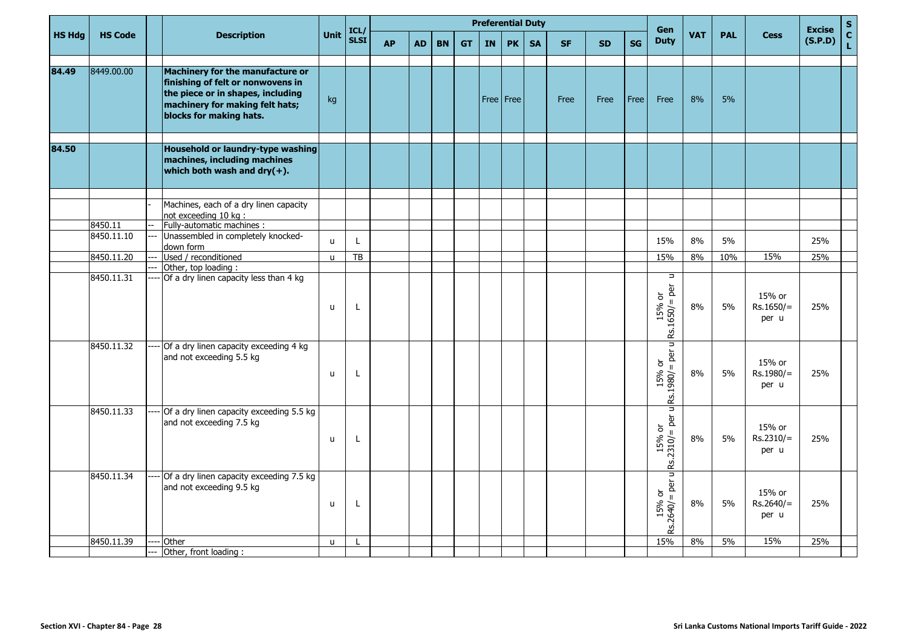|               |                       |                                                                                                                                                                          |              | ICL/        |           |           |           |           |           | <b>Preferential Duty</b> |           |           |           |           | Gen                                                                            |            |            |                                | <b>Excise</b> | $\mathbf S$                     |
|---------------|-----------------------|--------------------------------------------------------------------------------------------------------------------------------------------------------------------------|--------------|-------------|-----------|-----------|-----------|-----------|-----------|--------------------------|-----------|-----------|-----------|-----------|--------------------------------------------------------------------------------|------------|------------|--------------------------------|---------------|---------------------------------|
| <b>HS Hdg</b> | <b>HS Code</b>        | <b>Description</b>                                                                                                                                                       | Unit         | <b>SLSI</b> | <b>AP</b> | <b>AD</b> | <b>BN</b> | <b>GT</b> | <b>IN</b> | <b>PK</b>                | <b>SA</b> | <b>SF</b> | <b>SD</b> | <b>SG</b> | <b>Duty</b>                                                                    | <b>VAT</b> | <b>PAL</b> | <b>Cess</b>                    | (S.P.D)       | $\frac{\mathsf{c}}{\mathsf{L}}$ |
| 84.49         | 8449.00.00            | Machinery for the manufacture or<br>finishing of felt or nonwovens in<br>the piece or in shapes, including<br>machinery for making felt hats;<br>blocks for making hats. | kg           |             |           |           |           |           |           | Free   Free              |           | Free      | Free      | Free      | Free                                                                           | 8%         | 5%         |                                |               |                                 |
| 84.50         |                       | Household or laundry-type washing<br>machines, including machines<br>which both wash and $\frac{dy}{dx}$ .                                                               |              |             |           |           |           |           |           |                          |           |           |           |           |                                                                                |            |            |                                |               |                                 |
|               |                       | Machines, each of a dry linen capacity<br>not exceeding 10 kg :                                                                                                          |              |             |           |           |           |           |           |                          |           |           |           |           |                                                                                |            |            |                                |               |                                 |
|               | 8450.11<br>8450.11.10 | Fully-automatic machines :<br>Unassembled in completely knocked-<br>down form                                                                                            | $\mathsf{u}$ | L           |           |           |           |           |           |                          |           |           |           |           | 15%                                                                            | 8%         | 5%         |                                | 25%           |                                 |
|               | 8450.11.20            | Used / reconditioned<br>Other, top loading:                                                                                                                              | $\mathsf{u}$ | TB          |           |           |           |           |           |                          |           |           |           |           | 15%                                                                            | 8%         | 10%        | 15%                            | 25%           |                                 |
|               | 8450.11.31            | Of a dry linen capacity less than 4 kg                                                                                                                                   | $\mathsf{u}$ | L           |           |           |           |           |           |                          |           |           |           |           | $\Rightarrow$<br>per<br>$\rm \overleftarrow{\sigma}$<br>$\frac{15\%}{1500/15}$ | 8%         | 5%         | 15% or<br>$Rs.1650/=$<br>per u | 25%           |                                 |
|               | 8450.11.32            | Of a dry linen capacity exceeding 4 kg<br>and not exceeding 5.5 kg                                                                                                       | $\mathsf{u}$ | L           |           |           |           |           |           |                          |           |           |           |           | Ξ<br>$\frac{15\% \text{ or}}{\text{Rs}.1980/\text{ = per}}$                    | 8%         | 5%         | 15% or<br>Rs.1980/=<br>per u   | 25%           |                                 |
|               | 8450.11.33            | Of a dry linen capacity exceeding 5.5 kg<br>and not exceeding 7.5 kg                                                                                                     | $\mathsf{u}$ | L           |           |           |           |           |           |                          |           |           |           |           | μ<br>$=$ per<br>$\overleftarrow{\mathrm{o}}$<br>15%<br>Rs.2310/                | 8%         | 5%         | 15% or<br>$Rs.2310/=$<br>per u | 25%           |                                 |
|               | 8450.11.34            | Of a dry linen capacity exceeding 7.5 kg<br>and not exceeding 9.5 kg                                                                                                     | $\mathsf{u}$ | L           |           |           |           |           |           |                          |           |           |           |           | Ξ<br>$Rs.2640 = per$<br>15% or                                                 | 8%         | 5%         | 15% or<br>$Rs.2640/=$<br>per u | 25%           |                                 |
|               | 8450.11.39            | Other                                                                                                                                                                    | $\mathsf{u}$ |             |           |           |           |           |           |                          |           |           |           |           | 15%                                                                            | 8%         | 5%         | 15%                            | 25%           |                                 |
|               |                       | Other, front loading:                                                                                                                                                    |              |             |           |           |           |           |           |                          |           |           |           |           |                                                                                |            |            |                                |               |                                 |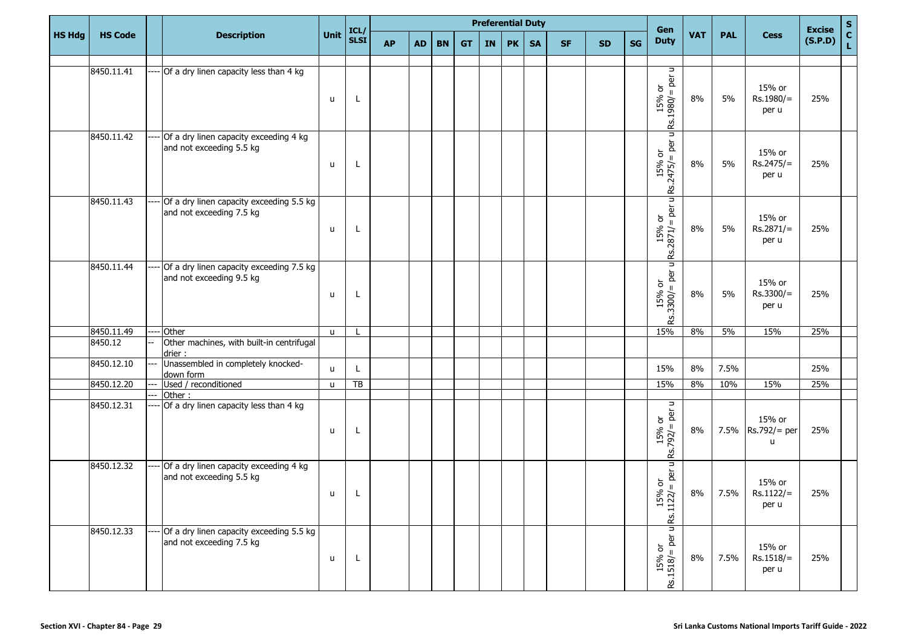|               |                |                                                                        |              |                     |           |           |           |           |           | <b>Preferential Duty</b> |           |           |           |           | Gen                                                                         |            |            |                                  | <b>Excise</b> | $\mathbf S$        |
|---------------|----------------|------------------------------------------------------------------------|--------------|---------------------|-----------|-----------|-----------|-----------|-----------|--------------------------|-----------|-----------|-----------|-----------|-----------------------------------------------------------------------------|------------|------------|----------------------------------|---------------|--------------------|
| <b>HS Hdg</b> | <b>HS Code</b> | <b>Description</b>                                                     | Unit         | ICL/<br><b>SLSI</b> | <b>AP</b> | <b>AD</b> | <b>BN</b> | <b>GT</b> | <b>IN</b> | <b>PK</b>                | <b>SA</b> | <b>SF</b> | <b>SD</b> | <b>SG</b> | <b>Duty</b>                                                                 | <b>VAT</b> | <b>PAL</b> | <b>Cess</b>                      | (S.P.D)       | $\mathbf{C}$<br>L. |
|               |                |                                                                        |              |                     |           |           |           |           |           |                          |           |           |           |           |                                                                             |            |            |                                  |               |                    |
|               | 8450.11.41     | Of a dry linen capacity less than 4 kg                                 | u            | L                   |           |           |           |           |           |                          |           |           |           |           | $\frac{15\% \text{ or}}{ \text{Rs}.1980/= \text{per u}}$                    | 8%         | 5%         | 15% or<br>Rs.1980/=<br>per u     | 25%           |                    |
|               | 8450.11.42     | Of a dry linen capacity exceeding 4 kg<br>and not exceeding 5.5 kg     | u            | L                   |           |           |           |           |           |                          |           |           |           |           | μ<br>$ Rs.2475/=$ per u                                                     | 8%         | 5%         | 15% or<br>$Rs.2475/=$<br>per u   | 25%           |                    |
|               | 8450.11.43     | Of a dry linen capacity exceeding 5.5 kg<br>and not exceeding 7.5 kg   | u            | L                   |           |           |           |           |           |                          |           |           |           |           | Ξ<br>$ 8s.2871/=$ per u                                                     | 8%         | 5%         | 15% or<br>Rs.2871/=<br>per u     | 25%           |                    |
|               | 8450.11.44     | Of a dry linen capacity exceeding 7.5 kg<br>and not exceeding 9.5 kg   | u            | L                   |           |           |           |           |           |                          |           |           |           |           | $ 8s.3300/=$ per u F                                                        | 8%         | 5%         | 15% or<br>$Rs.3300/=$<br>per u   | 25%           |                    |
|               | 8450.11.49     | Other                                                                  | $\mathsf{u}$ |                     |           |           |           |           |           |                          |           |           |           |           | 15%                                                                         | 8%         | 5%         | 15%                              | 25%           |                    |
|               | 8450.12        | Other machines, with built-in centrifugal<br>drier:                    |              |                     |           |           |           |           |           |                          |           |           |           |           |                                                                             |            |            |                                  |               |                    |
|               | 8450.12.10     | Unassembled in completely knocked-<br>down form                        | u            | L                   |           |           |           |           |           |                          |           |           |           |           | 15%                                                                         | 8%         | 7.5%       |                                  | 25%           |                    |
|               | 8450.12.20     | Used / reconditioned                                                   | u            | TB                  |           |           |           |           |           |                          |           |           |           |           | 15%                                                                         | 8%         | 10%        | 15%                              | 25%           |                    |
|               | 8450.12.31     | Other:<br>Of a dry linen capacity less than 4 kg                       | u            | L                   |           |           |           |           |           |                          |           |           |           |           | $\Rightarrow$<br>per<br>15% or<br>$Rs.792/=$                                | 8%         |            | 15% or<br>7.5% Rs.792/= per<br>u | 25%           |                    |
|               | 8450.12.32     | --- Of a dry linen capacity exceeding 4 kg<br>and not exceeding 5.5 kg | u            | L                   |           |           |           |           |           |                          |           |           |           |           | $=$ per u<br>$\rm \overleftarrow{o}$<br>8 <sup>o</sup><br>Ĕ<br>15<br>Rs.112 | 8%         | 7.5%       | 15% or<br>$Rs.1122/=$<br>per u   | 25%           |                    |
|               | 8450.12.33     | Of a dry linen capacity exceeding 5.5 kg<br>and not exceeding 7.5 kg   | u            | L                   |           |           |           |           |           |                          |           |           |           |           | Ξ<br>$15\%$ or<br>Rs.1518/= per u                                           | 8%         | 7.5%       | 15% or<br>$Rs.1518/=$<br>per u   | 25%           |                    |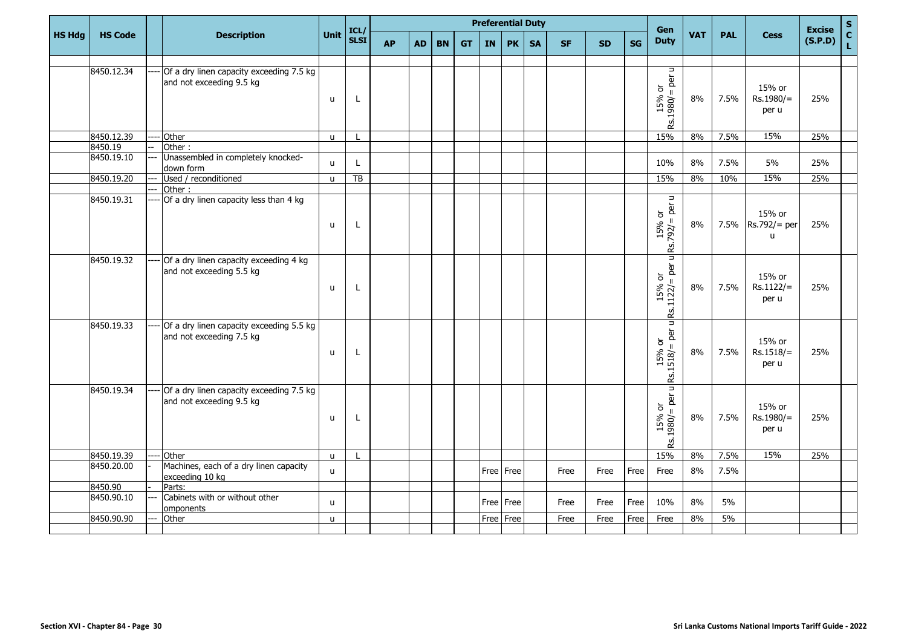|               |                |     |                                                                      |              |                     |           |     |           |           |           | <b>Preferential Duty</b> |           |           |           |           | Gen                                                                                                                                                                                                                                                                                                                                                                                                          |            |            |                                  | <b>Excise</b> | $\mathbf S$                  |
|---------------|----------------|-----|----------------------------------------------------------------------|--------------|---------------------|-----------|-----|-----------|-----------|-----------|--------------------------|-----------|-----------|-----------|-----------|--------------------------------------------------------------------------------------------------------------------------------------------------------------------------------------------------------------------------------------------------------------------------------------------------------------------------------------------------------------------------------------------------------------|------------|------------|----------------------------------|---------------|------------------------------|
| <b>HS Hdg</b> | <b>HS Code</b> |     | <b>Description</b>                                                   | <b>Unit</b>  | ICL/<br><b>SLSI</b> | <b>AP</b> | AD. | <b>BN</b> | <b>GT</b> | <b>IN</b> | <b>PK</b>                | <b>SA</b> | <b>SF</b> | <b>SD</b> | <b>SG</b> | <b>Duty</b>                                                                                                                                                                                                                                                                                                                                                                                                  | <b>VAT</b> | <b>PAL</b> | <b>Cess</b>                      | (S.P.D)       | $\mathbf{C}$<br>$\mathbf{L}$ |
|               |                |     |                                                                      |              |                     |           |     |           |           |           |                          |           |           |           |           |                                                                                                                                                                                                                                                                                                                                                                                                              |            |            |                                  |               |                              |
|               | 8450.12.34     |     | Of a dry linen capacity exceeding 7.5 kg<br>and not exceeding 9.5 kg | u            | L                   |           |     |           |           |           |                          |           |           |           |           | $\Rightarrow$<br>$ 8s.1980/6$ per u                                                                                                                                                                                                                                                                                                                                                                          | 8%         | 7.5%       | 15% or<br>Rs.1980/=<br>per u     | 25%           |                              |
|               | 8450.12.39     |     | Other                                                                | $\mathsf{u}$ |                     |           |     |           |           |           |                          |           |           |           |           | 15%                                                                                                                                                                                                                                                                                                                                                                                                          | 8%         | 7.5%       | 15%                              | 25%           |                              |
|               | 8450.19        |     | Other:                                                               |              |                     |           |     |           |           |           |                          |           |           |           |           |                                                                                                                                                                                                                                                                                                                                                                                                              |            |            |                                  |               |                              |
|               | 8450.19.10     |     | Unassembled in completely knocked-<br>down form                      | $\mathsf{u}$ | L                   |           |     |           |           |           |                          |           |           |           |           | 10%                                                                                                                                                                                                                                                                                                                                                                                                          | $8\%$      | 7.5%       | 5%                               | 25%           |                              |
|               | 8450.19.20     | --- | Used / reconditioned                                                 | $\mathsf{u}$ | TB                  |           |     |           |           |           |                          |           |           |           |           | 15%                                                                                                                                                                                                                                                                                                                                                                                                          | 8%         | 10%        | 15%                              | 25%           |                              |
|               |                |     | Other:                                                               |              |                     |           |     |           |           |           |                          |           |           |           |           |                                                                                                                                                                                                                                                                                                                                                                                                              |            |            |                                  |               |                              |
|               | 8450.19.31     |     | Of a dry linen capacity less than 4 kg                               | u            | L                   |           |     |           |           |           |                          |           |           |           |           | $15% \text{ or } 15% \text{ or } 15% \text{ or } 15% \text{ or } 15% \text{ or } 15% \text{ or } 15% \text{ or } 15% \text{ or } 15% \text{ or } 15% \text{ or } 15% \text{ or } 15% \text{ or } 15% \text{ or } 15% \text{ or } 15% \text{ or } 15% \text{ or } 15% \text{ or } 15% \text{ or } 15% \text{ or } 15% \text{ or } 15% \text{ or } 15% \text{ or } 15% \text{ or } 15% \text{ or } 15% \$      | 8%         |            | 15% or<br>7.5% Rs.792/= per<br>u | 25%           |                              |
|               | 8450.19.32     |     | Of a dry linen capacity exceeding 4 kg<br>and not exceeding 5.5 kg   | u            | L                   |           |     |           |           |           |                          |           |           |           |           | $\begin{vmatrix} 15% & or \\ 1522/ = per \text{ of } 5 \end{vmatrix}$                                                                                                                                                                                                                                                                                                                                        | 8%         | 7.5%       | 15% or<br>Rs.1122/=<br>per u     | 25%           |                              |
|               | 8450.19.33     |     | Of a dry linen capacity exceeding 5.5 kg<br>and not exceeding 7.5 kg | u            | L                   |           |     |           |           |           |                          |           |           |           |           | Ξ<br>$Rs.1518 = per$<br>15% or                                                                                                                                                                                                                                                                                                                                                                               | 8%         | 7.5%       | 15% or<br>$Rs.1518/=$<br>per u   | 25%           |                              |
|               | 8450.19.34     |     | Of a dry linen capacity exceeding 7.5 kg<br>and not exceeding 9.5 kg | u            | L                   |           |     |           |           |           |                          |           |           |           |           | Ξ<br>$15% \text{ or } 15% \text{ or } 15% \text{ or } 15% \text{ or } 15% \text{ or } 15% \text{ or } 15% \text{ or } 15% \text{ or } 15% \text{ or } 15% \text{ or } 15% \text{ or } 15% \text{ or } 15% \text{ or } 15% \text{ or } 15% \text{ or } 15% \text{ or } 15% \text{ or } 15% \text{ or } 15% \text{ or } 15% \text{ or } 15% \text{ or } 15% \text{ or } 15% \text{ or } 15% \text{ or } 15% \$ | 8%         | 7.5%       | 15% or<br>Rs.1980/=<br>per u     | 25%           |                              |
|               | 8450.19.39     |     | Other                                                                | $\mathsf{u}$ |                     |           |     |           |           |           |                          |           |           |           |           | 15%                                                                                                                                                                                                                                                                                                                                                                                                          | 8%         | 7.5%       | 15%                              | 25%           |                              |
|               | 8450.20.00     |     | Machines, each of a dry linen capacity<br>exceeding 10 kg            | $\mathsf{u}$ |                     |           |     |           |           |           | Free Free                |           | Free      | Free      | Free      | Free                                                                                                                                                                                                                                                                                                                                                                                                         | 8%         | 7.5%       |                                  |               |                              |
|               | 8450.90        |     | Parts:                                                               |              |                     |           |     |           |           |           |                          |           |           |           |           |                                                                                                                                                                                                                                                                                                                                                                                                              |            |            |                                  |               |                              |
|               | 8450.90.10     |     | Cabinets with or without other<br>omponents                          | u            |                     |           |     |           |           |           | Free Free                |           | Free      | Free      | Free      | 10%                                                                                                                                                                                                                                                                                                                                                                                                          | 8%         | 5%         |                                  |               |                              |
|               | 8450.90.90     |     | Other                                                                | $\mathsf{u}$ |                     |           |     |           |           |           | Free Free                |           | Free      | Free      | Free      | Free                                                                                                                                                                                                                                                                                                                                                                                                         | 8%         | $5\%$      |                                  |               |                              |
|               |                |     |                                                                      |              |                     |           |     |           |           |           |                          |           |           |           |           |                                                                                                                                                                                                                                                                                                                                                                                                              |            |            |                                  |               |                              |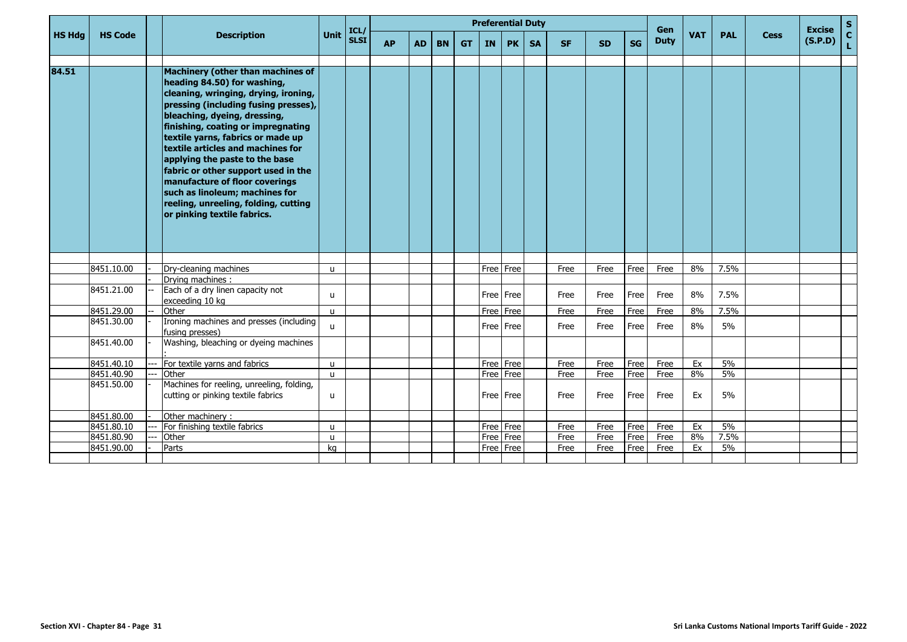|               |                |                                                                                                                                                                                                                                                                                                                                                                                                                                                                                                                      |              |                     |           |           |           |           | <b>Preferential Duty</b> |           |           |           |           |           |                           |            |            |             | <b>Excise</b> |             |
|---------------|----------------|----------------------------------------------------------------------------------------------------------------------------------------------------------------------------------------------------------------------------------------------------------------------------------------------------------------------------------------------------------------------------------------------------------------------------------------------------------------------------------------------------------------------|--------------|---------------------|-----------|-----------|-----------|-----------|--------------------------|-----------|-----------|-----------|-----------|-----------|---------------------------|------------|------------|-------------|---------------|-------------|
| <b>HS Hdg</b> | <b>HS Code</b> | <b>Description</b>                                                                                                                                                                                                                                                                                                                                                                                                                                                                                                   | <b>Unit</b>  | ICL/<br><b>SLSI</b> | <b>AP</b> | <b>AD</b> | <b>BN</b> | <b>GT</b> | <b>IN</b>                | <b>PK</b> | <b>SA</b> | <b>SF</b> | <b>SD</b> | <b>SG</b> | <b>Gen</b><br><b>Duty</b> | <b>VAT</b> | <b>PAL</b> | <b>Cess</b> | (S.P.D)       | S<br>C<br>L |
| 84.51         |                | Machinery (other than machines of<br>heading 84.50) for washing,<br>cleaning, wringing, drying, ironing,<br>pressing (including fusing presses),<br>bleaching, dyeing, dressing,<br>finishing, coating or impregnating<br>textile yarns, fabrics or made up<br>textile articles and machines for<br>applying the paste to the base<br>fabric or other support used in the<br>manufacture of floor coverings<br>such as linoleum; machines for<br>reeling, unreeling, folding, cutting<br>or pinking textile fabrics. |              |                     |           |           |           |           |                          |           |           |           |           |           |                           |            |            |             |               |             |
|               |                |                                                                                                                                                                                                                                                                                                                                                                                                                                                                                                                      |              |                     |           |           |           |           |                          |           |           |           |           |           |                           |            |            |             |               |             |
|               | 8451.10.00     | Dry-cleaning machines<br>Drying machines :                                                                                                                                                                                                                                                                                                                                                                                                                                                                           | u            |                     |           |           |           |           |                          | Free Free |           | Free      | Free      | Free      | Free                      | 8%         | 7.5%       |             |               |             |
|               | 8451.21.00     | Each of a dry linen capacity not<br>exceeding 10 kg                                                                                                                                                                                                                                                                                                                                                                                                                                                                  | u            |                     |           |           |           |           |                          | Free Free |           | Free      | Free      | Free      | Free                      | 8%         | 7.5%       |             |               |             |
|               | 8451.29.00     | Other                                                                                                                                                                                                                                                                                                                                                                                                                                                                                                                | $\mathbf{u}$ |                     |           |           |           |           |                          | Free Free |           | Free      | Free      | Free      | Free                      | 8%         | 7.5%       |             |               |             |
|               | 8451.30.00     | Ironing machines and presses (including<br>fusing presses)                                                                                                                                                                                                                                                                                                                                                                                                                                                           | u            |                     |           |           |           |           |                          | Free Free |           | Free      | Free      | Free      | Free                      | 8%         | 5%         |             |               |             |
|               | 8451.40.00     | Washing, bleaching or dyeing machines                                                                                                                                                                                                                                                                                                                                                                                                                                                                                |              |                     |           |           |           |           |                          |           |           |           |           |           |                           |            |            |             |               |             |
|               | 8451.40.10     | For textile yarns and fabrics                                                                                                                                                                                                                                                                                                                                                                                                                                                                                        | u            |                     |           |           |           |           | Free                     | Free      |           | Free      | Free      | Free      | Free                      | Ex         | 5%         |             |               |             |
|               | 8451.40.90     | Other                                                                                                                                                                                                                                                                                                                                                                                                                                                                                                                | $\mathbf{u}$ |                     |           |           |           |           | Free                     | Free      |           | Free      | Free      | Free      | Free                      | 8%         | 5%         |             |               |             |
|               | 8451.50.00     | Machines for reeling, unreeling, folding,<br>cutting or pinking textile fabrics                                                                                                                                                                                                                                                                                                                                                                                                                                      | u            |                     |           |           |           |           |                          | Free Free |           | Free      | Free      | Free      | Free                      | Ex         | 5%         |             |               |             |
|               | 8451.80.00     | Other machinery:                                                                                                                                                                                                                                                                                                                                                                                                                                                                                                     |              |                     |           |           |           |           |                          |           |           |           |           |           |                           |            |            |             |               |             |
|               | 8451.80.10     | For finishing textile fabrics                                                                                                                                                                                                                                                                                                                                                                                                                                                                                        | u            |                     |           |           |           |           |                          | Free Free |           | Free      | Free      | Free      | Free                      | Ex         | 5%         |             |               |             |
|               | 8451.80.90     | Other                                                                                                                                                                                                                                                                                                                                                                                                                                                                                                                | $\mathbf{u}$ |                     |           |           |           |           | Free                     | Free      |           | Free      | Free      | Free      | Free                      | 8%         | 7.5%       |             |               |             |
|               | 8451.90.00     | Parts                                                                                                                                                                                                                                                                                                                                                                                                                                                                                                                | kg           |                     |           |           |           |           | Free                     | Free      |           | Free      | Free      | Free      | Free                      | Ex         | 5%         |             |               |             |
|               |                |                                                                                                                                                                                                                                                                                                                                                                                                                                                                                                                      |              |                     |           |           |           |           |                          |           |           |           |           |           |                           |            |            |             |               |             |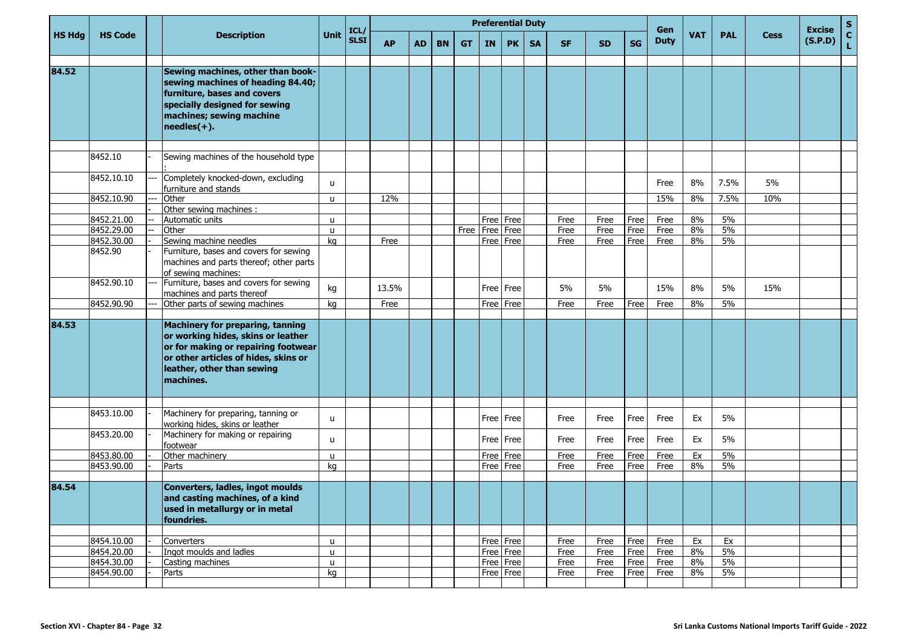|               |                          |                                                                                                                                                                                                         |          | ICL/        |           |           |           |           |           | <b>Preferential Duty</b> |           |              |              |              | Gen          |            |            |             | <b>Excise</b> | $\mathbf S$        |
|---------------|--------------------------|---------------------------------------------------------------------------------------------------------------------------------------------------------------------------------------------------------|----------|-------------|-----------|-----------|-----------|-----------|-----------|--------------------------|-----------|--------------|--------------|--------------|--------------|------------|------------|-------------|---------------|--------------------|
| <b>HS Hdg</b> | <b>HS Code</b>           | <b>Description</b>                                                                                                                                                                                      | Unit     | <b>SLSI</b> | <b>AP</b> | <b>AD</b> | <b>BN</b> | <b>GT</b> | <b>IN</b> | PK                       | <b>SA</b> | <b>SF</b>    | <b>SD</b>    | <b>SG</b>    | <b>Duty</b>  | <b>VAT</b> | <b>PAL</b> | <b>Cess</b> | (S.P.D)       | $\mathbf{C}$<br>Ĺ, |
| 84.52         |                          | Sewing machines, other than book-<br>sewing machines of heading 84.40;<br>furniture, bases and covers<br>specially designed for sewing<br>machines; sewing machine<br>$ {\sf neededles}(+)$ .           |          |             |           |           |           |           |           |                          |           |              |              |              |              |            |            |             |               |                    |
|               |                          |                                                                                                                                                                                                         |          |             |           |           |           |           |           |                          |           |              |              |              |              |            |            |             |               |                    |
|               | 8452.10                  | Sewing machines of the household type                                                                                                                                                                   |          |             |           |           |           |           |           |                          |           |              |              |              |              |            |            |             |               |                    |
|               | 8452.10.10               | Completely knocked-down, excluding<br>furniture and stands                                                                                                                                              | u        |             |           |           |           |           |           |                          |           |              |              |              | Free         | 8%         | 7.5%       | 5%          |               |                    |
|               | 8452.10.90               | Other                                                                                                                                                                                                   | u        |             | 12%       |           |           |           |           |                          |           |              |              |              | 15%          | 8%         | 7.5%       | 10%         |               |                    |
|               |                          | Other sewing machines :                                                                                                                                                                                 |          |             |           |           |           |           |           |                          |           |              |              |              |              |            |            |             |               |                    |
|               | 8452.21.00<br>8452.29.00 | Automatic units<br>Other                                                                                                                                                                                | u<br>u   |             |           |           |           | Free      |           | Free Free<br>Free   Free |           | Free<br>Free | Free<br>Free | Free<br>Free | Free<br>Free | 8%<br>8%   | 5%<br>5%   |             |               |                    |
|               | 8452.30.00               | Sewing machine needles                                                                                                                                                                                  | kg       |             | Free      |           |           |           |           | Free   Free              |           | Free         | Free         | Free         | Free         | 8%         | 5%         |             |               |                    |
|               | 8452.90                  | Furniture, bases and covers for sewing<br>machines and parts thereof; other parts<br>of sewing machines:                                                                                                |          |             |           |           |           |           |           |                          |           |              |              |              |              |            |            |             |               |                    |
|               | 8452.90.10               | Furniture, bases and covers for sewing<br>machines and parts thereof                                                                                                                                    | kg       |             | 13.5%     |           |           |           |           | Free Free                |           | 5%           | 5%           |              | 15%          | 8%         | 5%         | 15%         |               |                    |
|               | 8452.90.90               | Other parts of sewing machines                                                                                                                                                                          | kg       |             | Free      |           |           |           |           | Free   Free              |           | Free         | Free         | Free         | Free         | 8%         | 5%         |             |               |                    |
| 84.53         |                          | <b>Machinery for preparing, tanning</b><br>or working hides, skins or leather<br>or for making or repairing footwear<br>or other articles of hides, skins or<br>leather, other than sewing<br>machines. |          |             |           |           |           |           |           |                          |           |              |              |              |              |            |            |             |               |                    |
|               |                          |                                                                                                                                                                                                         |          |             |           |           |           |           |           |                          |           |              |              |              |              |            |            |             |               |                    |
|               | 8453.10.00               | Machinery for preparing, tanning or<br>working hides, skins or leather                                                                                                                                  | u        |             |           |           |           |           |           | Free   Free              |           | Free         | Free         | Free         | Free         | Ex         | 5%         |             |               |                    |
|               | 8453.20.00               | Machinery for making or repairing<br>footwear                                                                                                                                                           | u        |             |           |           |           |           |           | Free   Free              |           | Free         | Free         | Free         | Free         | Ex         | 5%         |             |               |                    |
|               | 8453.80.00               | Other machinery                                                                                                                                                                                         | u        |             |           |           |           |           |           | Free Free                |           | Free         | Free         | Free         | Free         | Ex         | 5%         |             |               |                    |
|               | 8453.90.00               | Parts                                                                                                                                                                                                   | kg       |             |           |           |           |           |           | Free   Free              |           | Free         | Free         | Free         | Free         | 8%         | 5%         |             |               |                    |
| 84.54         |                          | Converters, ladles, ingot moulds<br>and casting machines, of a kind<br>used in metallurgy or in metal<br>foundries.                                                                                     |          |             |           |           |           |           |           |                          |           |              |              |              |              |            |            |             |               |                    |
|               | 8454.10.00               | Converters                                                                                                                                                                                              | u        |             |           |           |           |           |           | Free Free                |           | Free         | Free         | Free         | Free         | Ex         | Ex         |             |               |                    |
|               | 8454.20.00               | Ingot moulds and ladles                                                                                                                                                                                 | <b>u</b> |             |           |           |           |           |           | Free Free                |           | Free         | Free         | Free         | Free         | 8%         | 5%         |             |               |                    |
|               | 8454.30.00               | Casting machines                                                                                                                                                                                        | u        |             |           |           |           |           |           | Free Free                |           | Free         | Free         | Free         | Free         | 8%         | 5%         |             |               |                    |
|               | 8454.90.00               | Parts                                                                                                                                                                                                   | kg       |             |           |           |           |           |           | Free Free                |           | Free         | Free         | Free         | Free         | 8%         | 5%         |             |               |                    |
|               |                          |                                                                                                                                                                                                         |          |             |           |           |           |           |           |                          |           |              |              |              |              |            |            |             |               |                    |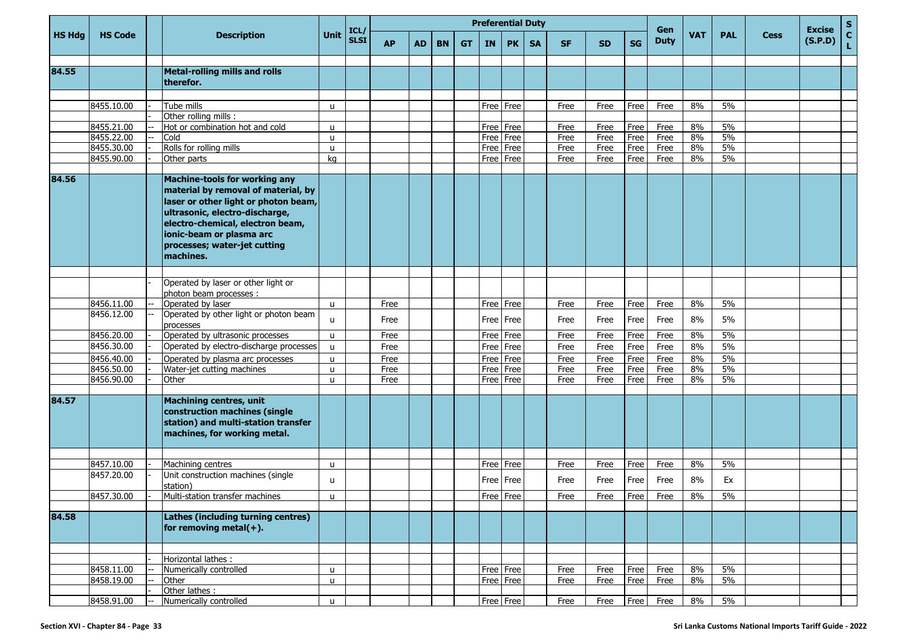|               |                          |                                                                                                                                                                                                                                                             |                   |                     |              |           |           |           |              |              | <b>Preferential Duty</b> |              |              |              | Gen          |            |            |             | <b>Excise</b> | $\mathbf{s}$      |
|---------------|--------------------------|-------------------------------------------------------------------------------------------------------------------------------------------------------------------------------------------------------------------------------------------------------------|-------------------|---------------------|--------------|-----------|-----------|-----------|--------------|--------------|--------------------------|--------------|--------------|--------------|--------------|------------|------------|-------------|---------------|-------------------|
| <b>HS Hdg</b> | <b>HS Code</b>           | <b>Description</b>                                                                                                                                                                                                                                          | <b>Unit</b>       | ICL/<br><b>SLSI</b> | <b>AP</b>    | <b>AD</b> | <b>BN</b> | <b>GT</b> | IN           | <b>PK</b>    | <b>SA</b>                | <b>SF</b>    | <b>SD</b>    | <b>SG</b>    | <b>Duty</b>  | <b>VAT</b> | <b>PAL</b> | <b>Cess</b> | (S.P.D)       | $\mathbf{C}$<br>L |
| 84.55         |                          | <b>Metal-rolling mills and rolls</b><br>therefor.                                                                                                                                                                                                           |                   |                     |              |           |           |           |              |              |                          |              |              |              |              |            |            |             |               |                   |
|               |                          |                                                                                                                                                                                                                                                             |                   |                     |              |           |           |           |              |              |                          |              |              |              |              |            |            |             |               |                   |
|               | 8455.10.00               | Tube mills                                                                                                                                                                                                                                                  | $\mathbf{u}$      |                     |              |           |           |           |              | Free Free    |                          | Free         | Free         | Free         | Free         | 8%         | 5%         |             |               |                   |
|               |                          | Other rolling mills :                                                                                                                                                                                                                                       |                   |                     |              |           |           |           |              |              |                          |              |              |              |              |            |            |             |               |                   |
|               | 8455.21.00               | Hot or combination hot and cold                                                                                                                                                                                                                             | u                 |                     |              |           |           |           | Free         | Free         |                          | Free         | Free         | Free         | Free         | 8%         | 5%         |             |               |                   |
|               | 8455.22.00               | Cold                                                                                                                                                                                                                                                        | u.                |                     |              |           |           |           | Free         | Free         |                          | Free         | Free         | Free         | Free         | 8%         | 5%         |             |               |                   |
|               | 8455.30.00               | Rolls for rolling mills                                                                                                                                                                                                                                     | u                 |                     |              |           |           |           | Free         | Free         |                          | Free         | Free         | Free         | Free         | 8%         | 5%         |             |               |                   |
|               | 8455.90.00               | Other parts                                                                                                                                                                                                                                                 | kg                |                     |              |           |           |           | Free         | Free         |                          | Free         | Free         | Free         | Free         | 8%         | 5%         |             |               |                   |
| 84.56         |                          | Machine-tools for working any<br>material by removal of material, by<br>laser or other light or photon beam,<br>ultrasonic, electro-discharge,<br>electro-chemical, electron beam,<br>ionic-beam or plasma arc<br>processes; water-jet cutting<br>machines. |                   |                     |              |           |           |           |              |              |                          |              |              |              |              |            |            |             |               |                   |
|               |                          |                                                                                                                                                                                                                                                             |                   |                     |              |           |           |           |              |              |                          |              |              |              |              |            |            |             |               |                   |
|               |                          | Operated by laser or other light or                                                                                                                                                                                                                         |                   |                     |              |           |           |           |              |              |                          |              |              |              |              |            |            |             |               |                   |
|               |                          | photon beam processes :                                                                                                                                                                                                                                     |                   |                     |              |           |           |           |              |              |                          |              |              |              |              |            |            |             |               |                   |
|               | 8456.11.00               | Operated by laser                                                                                                                                                                                                                                           | $\mathbf{u}$      |                     | Free         |           |           |           | Free         | Free         |                          | Free         | Free         | Free         | Free         | 8%         | 5%         |             |               |                   |
|               | 8456.12.00               | Operated by other light or photon beam<br>processes                                                                                                                                                                                                         | u                 |                     | Free         |           |           |           |              | Free I Free  |                          | Free         | Free         | Free         | Free         | 8%         | 5%         |             |               |                   |
|               | 8456.20.00<br>8456.30.00 | Operated by ultrasonic processes<br>Operated by electro-discharge processes                                                                                                                                                                                 | u                 |                     | Free         |           |           |           | Free         | Free         |                          | Free         | Free         | Free         | Free         | 8%         | 5%         |             |               |                   |
|               |                          |                                                                                                                                                                                                                                                             | u                 |                     | Free         |           |           |           | Free         | Free         |                          | Free         | Free         | Free         | Free         | 8%         | 5%         |             |               |                   |
|               | 8456.40.00               | Operated by plasma arc processes                                                                                                                                                                                                                            | u                 |                     | Free         |           |           |           | Free         | Free         |                          | Free         | Free         | Free         | Free         | 8%         | 5%         |             |               |                   |
|               | 8456.50.00<br>8456.90.00 | Water-jet cutting machines<br>Other                                                                                                                                                                                                                         | u<br>$\mathbf{u}$ |                     | Free<br>Free |           |           |           | Free<br>Free | Free<br>Free |                          | Free<br>Free | Free<br>Free | Free<br>Free | Free<br>Free | 8%<br>8%   | 5%<br>5%   |             |               |                   |
|               |                          |                                                                                                                                                                                                                                                             |                   |                     |              |           |           |           |              |              |                          |              |              |              |              |            |            |             |               |                   |
| 84.57         |                          | Machining centres, unit<br>construction machines (single<br>station) and multi-station transfer<br>machines, for working metal.                                                                                                                             |                   |                     |              |           |           |           |              |              |                          |              |              |              |              |            |            |             |               |                   |
|               |                          |                                                                                                                                                                                                                                                             |                   |                     |              |           |           |           |              |              |                          |              |              |              |              |            |            |             |               |                   |
|               | 8457.10.00               | Machining centres                                                                                                                                                                                                                                           | u                 |                     |              |           |           |           | Free         | Free         |                          | Free         | Free         | Free         | Free         | 8%         | 5%         |             |               |                   |
|               | 8457.20.00               | Unit construction machines (single                                                                                                                                                                                                                          | u                 |                     |              |           |           |           |              | Free   Free  |                          | Free         | Free         | Free         | Free         | 8%         | Ex         |             |               |                   |
|               |                          | station)                                                                                                                                                                                                                                                    | $\mathsf{u}$      |                     |              |           |           |           |              |              |                          |              |              |              |              | 8%         | 5%         |             |               |                   |
|               | 8457.30.00               | Multi-station transfer machines                                                                                                                                                                                                                             |                   |                     |              |           |           |           |              | Free Free    |                          | Free         | Free         |              | Free Free    |            |            |             |               |                   |
| 84.58         |                          | <b>Lathes (including turning centres)</b><br>for removing metal $(+)$ .                                                                                                                                                                                     |                   |                     |              |           |           |           |              |              |                          |              |              |              |              |            |            |             |               |                   |
|               |                          |                                                                                                                                                                                                                                                             |                   |                     |              |           |           |           |              |              |                          |              |              |              |              |            |            |             |               |                   |
|               | 8458.11.00               | Horizontal lathes:<br>Numerically controlled                                                                                                                                                                                                                | u                 |                     |              |           |           |           |              | Free Free    |                          | Free         | Free         | Free         | Free         | 8%         | 5%         |             |               |                   |
|               | 8458.19.00               | Other                                                                                                                                                                                                                                                       | $\mathsf{u}$      |                     |              |           |           |           |              | Free Free    |                          | Free         | Free         | Free         | Free         | 8%         | $5\%$      |             |               |                   |
|               |                          | Other lathes :                                                                                                                                                                                                                                              |                   |                     |              |           |           |           |              |              |                          |              |              |              |              |            |            |             |               |                   |
|               | 8458.91.00               | Numerically controlled                                                                                                                                                                                                                                      | $\mathsf{u}$      |                     |              |           |           |           |              | Free Free    |                          | Free         | Free         | Free         | Free         | $8\%$      | 5%         |             |               |                   |
|               |                          |                                                                                                                                                                                                                                                             |                   |                     |              |           |           |           |              |              |                          |              |              |              |              |            |            |             |               |                   |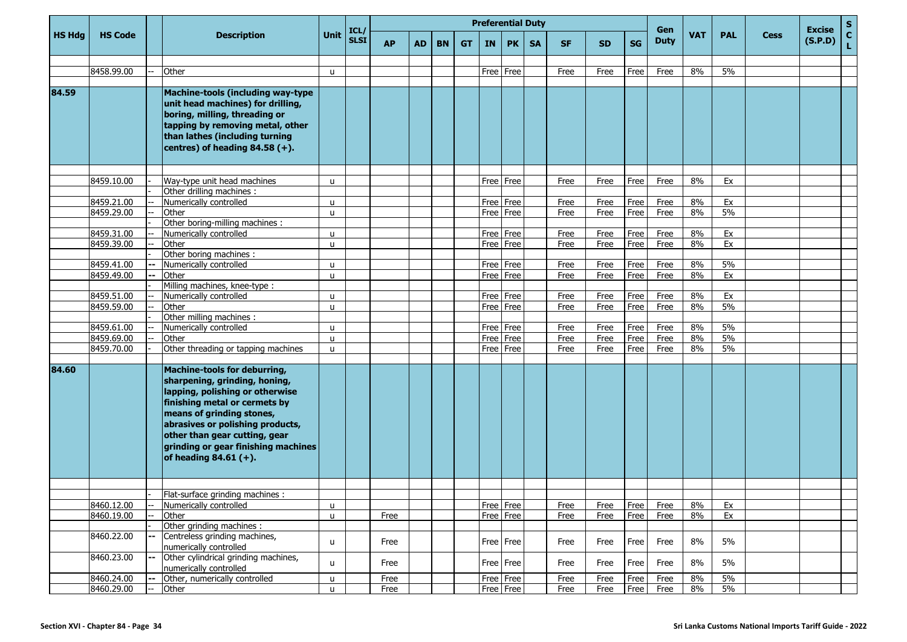|               |                |      |                                                                                                                                                                                                                                                                                                        |              |                     |           |           |           |           |           | <b>Preferential Duty</b> |           |           |           |           | Gen         |            |            |      | <b>Excise</b> | ${\sf s}$          |
|---------------|----------------|------|--------------------------------------------------------------------------------------------------------------------------------------------------------------------------------------------------------------------------------------------------------------------------------------------------------|--------------|---------------------|-----------|-----------|-----------|-----------|-----------|--------------------------|-----------|-----------|-----------|-----------|-------------|------------|------------|------|---------------|--------------------|
| <b>HS Hdg</b> | <b>HS Code</b> |      | <b>Description</b>                                                                                                                                                                                                                                                                                     | Unit         | ICL/<br><b>SLSI</b> | <b>AP</b> | <b>AD</b> | <b>BN</b> | <b>GT</b> | <b>IN</b> | <b>PK</b>                | <b>SA</b> | <b>SF</b> | <b>SD</b> | <b>SG</b> | <b>Duty</b> | <b>VAT</b> | <b>PAL</b> | Cess | (S.P.D)       | $\mathbf{C}$<br>L. |
|               |                |      |                                                                                                                                                                                                                                                                                                        |              |                     |           |           |           |           |           |                          |           |           |           |           |             |            |            |      |               |                    |
|               | 8458.99.00     |      | Other                                                                                                                                                                                                                                                                                                  | u            |                     |           |           |           |           |           | Free Free                |           | Free      | Free      | Free      | Free        | 8%         | 5%         |      |               |                    |
| 84.59         |                |      | Machine-tools (including way-type<br>unit head machines) for drilling,<br>boring, milling, threading or<br>tapping by removing metal, other<br>than lathes (including turning<br>centres) of heading $84.58 (+)$ .                                                                                     |              |                     |           |           |           |           |           |                          |           |           |           |           |             |            |            |      |               |                    |
|               |                |      |                                                                                                                                                                                                                                                                                                        |              |                     |           |           |           |           |           |                          |           |           |           |           |             |            |            |      |               |                    |
|               | 8459.10.00     |      | Way-type unit head machines                                                                                                                                                                                                                                                                            | u            |                     |           |           |           |           |           | Free Free                |           | Free      | Free      | Free      | Free        | 8%         | Ex         |      |               |                    |
|               |                |      | Other drilling machines :                                                                                                                                                                                                                                                                              |              |                     |           |           |           |           |           |                          |           |           |           |           |             |            |            |      |               |                    |
|               | 8459.21.00     |      | Numerically controlled                                                                                                                                                                                                                                                                                 | u            |                     |           |           |           |           |           | Free Free                |           | Free      | Free      | Free      | Free        | 8%         | Ex         |      |               |                    |
|               | 8459.29.00     |      | Other                                                                                                                                                                                                                                                                                                  | u            |                     |           |           |           |           |           | Free Free                |           | Free      | Free      | Free      | Free        | 8%         | 5%         |      |               |                    |
|               |                |      | Other boring-milling machines :                                                                                                                                                                                                                                                                        |              |                     |           |           |           |           |           |                          |           |           |           |           |             |            |            |      |               |                    |
|               | 8459.31.00     |      | Numerically controlled                                                                                                                                                                                                                                                                                 | u            |                     |           |           |           |           |           | Free Free                |           | Free      | Free      | Free      | Free        | 8%         | Ex         |      |               |                    |
|               | 8459.39.00     |      | Other                                                                                                                                                                                                                                                                                                  | u            |                     |           |           |           |           |           | Free Free                |           | Free      | Free      | Free      | Free        | 8%         | Ex         |      |               |                    |
|               |                |      | Other boring machines :                                                                                                                                                                                                                                                                                |              |                     |           |           |           |           |           |                          |           |           |           |           |             |            |            |      |               |                    |
|               | 8459.41.00     |      | Numerically controlled                                                                                                                                                                                                                                                                                 | u            |                     |           |           |           |           |           | Free Free                |           | Free      | Free      | Free      | Free        | 8%         | 5%         |      |               |                    |
|               | 8459.49.00     | -−   | Other                                                                                                                                                                                                                                                                                                  | $\mathbf{u}$ |                     |           |           |           |           |           | Free Free                |           | Free      | Free      | Free      | Free        | 8%         | Ex         |      |               |                    |
|               |                |      | Milling machines, knee-type :                                                                                                                                                                                                                                                                          |              |                     |           |           |           |           |           |                          |           |           |           |           |             |            |            |      |               |                    |
|               | 8459.51.00     |      | Numerically controlled                                                                                                                                                                                                                                                                                 | u            |                     |           |           |           |           |           | Free Free                |           | Free      | Free      | Free      | Free        | 8%         | Ex         |      |               |                    |
|               | 8459.59.00     |      | Other                                                                                                                                                                                                                                                                                                  | u            |                     |           |           |           |           |           | Free Free                |           | Free      | Free      | Free      | Free        | 8%         | 5%         |      |               |                    |
|               |                |      | Other milling machines :                                                                                                                                                                                                                                                                               |              |                     |           |           |           |           |           |                          |           |           |           |           |             |            |            |      |               |                    |
|               | 8459.61.00     |      | Numerically controlled                                                                                                                                                                                                                                                                                 | u            |                     |           |           |           |           |           | Free Free                |           | Free      | Free      | Free      | Free        | 8%         | 5%         |      |               |                    |
|               | 8459.69.00     |      | Other                                                                                                                                                                                                                                                                                                  | u            |                     |           |           |           |           |           | Free Free                |           | Free      | Free      | Free      | Free        | 8%         | 5%         |      |               |                    |
|               | 8459.70.00     |      | Other threading or tapping machines                                                                                                                                                                                                                                                                    | u            |                     |           |           |           |           |           | Free Free                |           | Free      | Free      | Free      | Free        | 8%         | 5%         |      |               |                    |
| 84.60         |                |      | Machine-tools for deburring,<br>sharpening, grinding, honing,<br>lapping, polishing or otherwise<br>finishing metal or cermets by<br>means of grinding stones,<br>abrasives or polishing products,<br>other than gear cutting, gear<br>grinding or gear finishing machines<br>of heading $84.61 (+)$ . |              |                     |           |           |           |           |           |                          |           |           |           |           |             |            |            |      |               |                    |
|               |                |      |                                                                                                                                                                                                                                                                                                        |              |                     |           |           |           |           |           |                          |           |           |           |           |             |            |            |      |               |                    |
|               |                |      | Flat-surface grinding machines :                                                                                                                                                                                                                                                                       |              |                     |           |           |           |           |           |                          |           |           |           |           |             |            |            |      |               |                    |
|               | 8460.12.00     | $--$ | Numerically controlled                                                                                                                                                                                                                                                                                 | u            |                     |           |           |           |           |           | Free Free                |           | Free      | Free      | Free      | Free        | 8%         | Ex         |      |               |                    |
|               | 8460.19.00     |      | Other                                                                                                                                                                                                                                                                                                  | u            |                     | Free      |           |           |           |           | Free Free                |           | Free      | Free      | Free      | Free        | 8%         | Ex         |      |               |                    |
|               |                |      | Other grinding machines :                                                                                                                                                                                                                                                                              |              |                     |           |           |           |           |           |                          |           |           |           |           |             |            |            |      |               |                    |
|               | 8460.22.00     |      | Centreless grinding machines,<br>numerically controlled                                                                                                                                                                                                                                                | u            |                     | Free      |           |           |           |           | Free Free                |           | Free      | Free      | Free      | Free        | 8%         | 5%         |      |               |                    |
|               | 8460.23.00     |      | Other cylindrical grinding machines,<br>numerically controlled                                                                                                                                                                                                                                         | u            |                     | Free      |           |           |           |           | Free Free                |           | Free      | Free      | Free      | Free        | 8%         | 5%         |      |               |                    |
|               | 8460.24.00     |      | Other, numerically controlled                                                                                                                                                                                                                                                                          | u            |                     | Free      |           |           |           |           | Free Free                |           | Free      | Free      | Free      | Free        | $8\%$      | 5%         |      |               |                    |
|               | 8460.29.00     |      | Other                                                                                                                                                                                                                                                                                                  | u.           |                     | Free      |           |           |           |           | Free Free                |           | Free      | Free      | Free      | Free        | 8%         | 5%         |      |               |                    |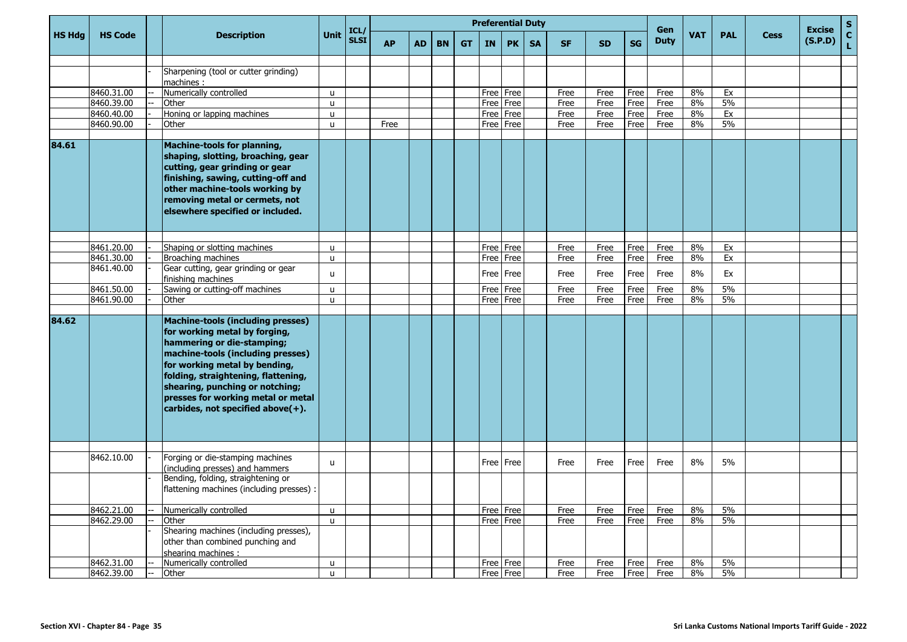|               |                |    |                                                                                                                                                                                                                                                                                                                                        |              |                     |           |           |           |           |           | <b>Preferential Duty</b> |           |           |           |           | Gen         |            |            |             | <b>Excise</b> | $\mathbf S$        |
|---------------|----------------|----|----------------------------------------------------------------------------------------------------------------------------------------------------------------------------------------------------------------------------------------------------------------------------------------------------------------------------------------|--------------|---------------------|-----------|-----------|-----------|-----------|-----------|--------------------------|-----------|-----------|-----------|-----------|-------------|------------|------------|-------------|---------------|--------------------|
| <b>HS Hdg</b> | <b>HS Code</b> |    | <b>Description</b>                                                                                                                                                                                                                                                                                                                     | <b>Unit</b>  | ICL/<br><b>SLSI</b> | <b>AP</b> | <b>AD</b> | <b>BN</b> | <b>GT</b> | <b>IN</b> | <b>PK</b>                | <b>SA</b> | <b>SF</b> | <b>SD</b> | <b>SG</b> | <b>Duty</b> | <b>VAT</b> | <b>PAL</b> | <b>Cess</b> | (S.P.D)       | $\mathbf{C}$<br>Ĺ, |
|               |                |    |                                                                                                                                                                                                                                                                                                                                        |              |                     |           |           |           |           |           |                          |           |           |           |           |             |            |            |             |               |                    |
|               |                |    | Sharpening (tool or cutter grinding)<br>machines:                                                                                                                                                                                                                                                                                      |              |                     |           |           |           |           |           |                          |           |           |           |           |             |            |            |             |               |                    |
|               | 8460.31.00     |    | Numerically controlled                                                                                                                                                                                                                                                                                                                 | $\mathsf{u}$ |                     |           |           |           |           |           | Free Free                |           | Free      | Free      | Free      | Free        | 8%         | Ex         |             |               |                    |
|               | 8460.39.00     |    | Other                                                                                                                                                                                                                                                                                                                                  | u            |                     |           |           |           |           |           | Free   Free              |           | Free      | Free      | Free      | Free        | 8%         | 5%         |             |               |                    |
|               | 8460.40.00     |    | Honing or lapping machines                                                                                                                                                                                                                                                                                                             | u            |                     |           |           |           |           |           | Free Free                |           | Free      | Free      | Free      | Free        | 8%         | Ex         |             |               |                    |
|               | 8460.90.00     |    | Other                                                                                                                                                                                                                                                                                                                                  | $\mathsf{u}$ |                     | Free      |           |           |           |           | Free Free                |           | Free      | Free      | Free      | Free        | 8%         | 5%         |             |               |                    |
| 84.61         |                |    | <b>Machine-tools for planning,</b><br>shaping, slotting, broaching, gear<br>cutting, gear grinding or gear<br>finishing, sawing, cutting-off and<br>other machine-tools working by<br>removing metal or cermets, not<br>elsewhere specified or included.                                                                               |              |                     |           |           |           |           |           |                          |           |           |           |           |             |            |            |             |               |                    |
|               | 8461.20.00     |    | Shaping or slotting machines                                                                                                                                                                                                                                                                                                           | $\mathsf{u}$ |                     |           |           |           |           |           | Free Free                |           | Free      | Free      | Free      | Free        | 8%         | Ex         |             |               |                    |
|               | 8461.30.00     |    | Broaching machines                                                                                                                                                                                                                                                                                                                     | $\mathsf{u}$ |                     |           |           |           |           | Free      | Free                     |           | Free      | Free      | Free      | Free        | 8%         | Ex         |             |               |                    |
|               | 8461.40.00     |    | Gear cutting, gear grinding or gear<br>finishing machines                                                                                                                                                                                                                                                                              | $\mathsf{u}$ |                     |           |           |           |           |           | Free Free                |           | Free      | Free      | Free      | Free        | $8\%$      | Ex         |             |               |                    |
|               | 8461.50.00     |    | Sawing or cutting-off machines                                                                                                                                                                                                                                                                                                         | u            |                     |           |           |           |           |           | Free Free                |           | Free      | Free      | Free      | Free        | 8%         | 5%         |             |               |                    |
|               | 8461.90.00     |    | Other                                                                                                                                                                                                                                                                                                                                  | $\mathsf{u}$ |                     |           |           |           |           |           | Free Free                |           | Free      | Free      | Free      | Free        | 8%         | 5%         |             |               |                    |
| 84.62         |                |    | <b>Machine-tools (including presses)</b><br>for working metal by forging,<br>hammering or die-stamping;<br>machine-tools (including presses)<br>for working metal by bending,<br>folding, straightening, flattening,<br>shearing, punching or notching;<br>presses for working metal or metal<br>carbides, not specified above $(+)$ . |              |                     |           |           |           |           |           |                          |           |           |           |           |             |            |            |             |               |                    |
|               |                |    |                                                                                                                                                                                                                                                                                                                                        |              |                     |           |           |           |           |           |                          |           |           |           |           |             |            |            |             |               |                    |
|               | 8462.10.00     |    | Forging or die-stamping machines<br>(including presses) and hammers                                                                                                                                                                                                                                                                    | $\mathsf{u}$ |                     |           |           |           |           |           | Free   Free              |           | Free      | Free      | Free      | Free        | 8%         | 5%         |             |               |                    |
|               |                |    | Bending, folding, straightening or<br>flattening machines (including presses) :                                                                                                                                                                                                                                                        |              |                     |           |           |           |           |           |                          |           |           |           |           |             |            |            |             |               |                    |
|               | 8462.21.00     |    | Numerically controlled                                                                                                                                                                                                                                                                                                                 | u            |                     |           |           |           |           |           | Free Free                |           | Free      | Free      | Free      | Free        | 8%         | 5%         |             |               |                    |
|               | 8462.29.00     |    | Other                                                                                                                                                                                                                                                                                                                                  | $\mathsf{u}$ |                     |           |           |           |           |           | Free   Free              |           | Free      | Free      | Free      | Free        | 8%         | 5%         |             |               |                    |
|               |                |    | Shearing machines (including presses),<br>other than combined punching and<br>shearing machines:                                                                                                                                                                                                                                       |              |                     |           |           |           |           |           |                          |           |           |           |           |             |            |            |             |               |                    |
|               | 8462.31.00     |    | Numerically controlled                                                                                                                                                                                                                                                                                                                 | u            |                     |           |           |           |           |           | Free Free                |           | Free      | Free      | Free      | Free        | 8%         | 5%         |             |               |                    |
|               | 8462.39.00     | Ξ. | Other                                                                                                                                                                                                                                                                                                                                  | $\mathbf{u}$ |                     |           |           |           |           |           | Free Free                |           | Free      | Free      | Free      | Free        | 8%         | 5%         |             |               |                    |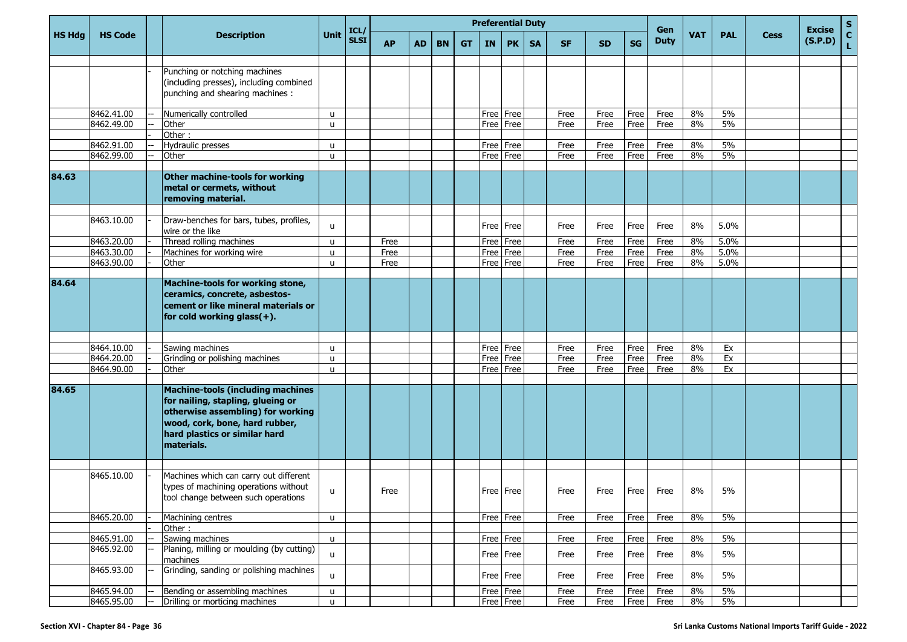|               |                |                                                                                                                                                                                                     |              |                     |           |           |           |           | <b>Preferential Duty</b> |           |           |           |           |           | Gen         |            |            |             | <b>Excise</b> | S                  |
|---------------|----------------|-----------------------------------------------------------------------------------------------------------------------------------------------------------------------------------------------------|--------------|---------------------|-----------|-----------|-----------|-----------|--------------------------|-----------|-----------|-----------|-----------|-----------|-------------|------------|------------|-------------|---------------|--------------------|
| <b>HS Hdg</b> | <b>HS Code</b> | <b>Description</b>                                                                                                                                                                                  | <b>Unit</b>  | ICL/<br><b>SLSI</b> | <b>AP</b> | <b>AD</b> | <b>BN</b> | <b>GT</b> | IN                       | <b>PK</b> | <b>SA</b> | <b>SF</b> | <b>SD</b> | <b>SG</b> | <b>Duty</b> | <b>VAT</b> | <b>PAL</b> | <b>Cess</b> | (S.P.D)       | $\mathbf{C}$<br>L. |
|               |                | Punching or notching machines                                                                                                                                                                       |              |                     |           |           |           |           |                          |           |           |           |           |           |             |            |            |             |               |                    |
|               |                | (including presses), including combined                                                                                                                                                             |              |                     |           |           |           |           |                          |           |           |           |           |           |             |            |            |             |               |                    |
|               |                | punching and shearing machines :                                                                                                                                                                    |              |                     |           |           |           |           |                          |           |           |           |           |           |             |            |            |             |               |                    |
|               |                |                                                                                                                                                                                                     |              |                     |           |           |           |           |                          |           |           |           |           |           |             |            |            |             |               |                    |
|               | 8462.41.00     | Numerically controlled                                                                                                                                                                              | u            |                     |           |           |           |           | Free                     | Free      |           | Free      | Free      | Free      | Free        | 8%         | 5%         |             |               |                    |
|               | 8462.49.00     | Other                                                                                                                                                                                               | u            |                     |           |           |           |           | Free                     | Free      |           | Free      | Free      | Free      | Free        | 8%         | 5%         |             |               |                    |
|               |                | Other:                                                                                                                                                                                              |              |                     |           |           |           |           |                          |           |           |           |           |           |             |            |            |             |               |                    |
|               | 8462.91.00     | Hydraulic presses                                                                                                                                                                                   | $\mathbf{u}$ |                     |           |           |           |           | Free Free                |           |           | Free      | Free      | Free      | Free        | 8%         | 5%         |             |               |                    |
|               | 8462.99.00     | Other                                                                                                                                                                                               | u            |                     |           |           |           |           | Free Free                |           |           | Free      | Free      | Free      | Free        | 8%         | 5%         |             |               |                    |
| 84.63         |                | Other machine-tools for working<br>metal or cermets, without<br>removing material.                                                                                                                  |              |                     |           |           |           |           |                          |           |           |           |           |           |             |            |            |             |               |                    |
|               |                |                                                                                                                                                                                                     |              |                     |           |           |           |           |                          |           |           |           |           |           |             |            |            |             |               |                    |
|               | 8463.10.00     | Draw-benches for bars, tubes, profiles,<br>wire or the like                                                                                                                                         | u            |                     |           |           |           |           | Free Free                |           |           | Free      | Free      | Free      | Free        | 8%         | 5.0%       |             |               |                    |
|               | 8463.20.00     | Thread rolling machines                                                                                                                                                                             | u            |                     | Free      |           |           |           | Free                     | Free      |           | Free      | Free      | Free      | Free        | 8%         | 5.0%       |             |               |                    |
|               | 8463.30.00     | Machines for working wire                                                                                                                                                                           | u            |                     | Free      |           |           |           | Free                     | Free      |           | Free      | Free      | Free      | Free        | 8%         | 5.0%       |             |               |                    |
|               | 8463.90.00     | Other                                                                                                                                                                                               | u            |                     | Free      |           |           |           | Free                     | Free      |           | Free      | Free      | Free      | Free        | 8%         | 5.0%       |             |               |                    |
| 84.64         |                | Machine-tools for working stone,                                                                                                                                                                    |              |                     |           |           |           |           |                          |           |           |           |           |           |             |            |            |             |               |                    |
|               |                | ceramics, concrete, asbestos-<br>cement or like mineral materials or<br>for cold working glass(+).                                                                                                  |              |                     |           |           |           |           |                          |           |           |           |           |           |             |            |            |             |               |                    |
|               | 8464.10.00     | Sawing machines                                                                                                                                                                                     | u            |                     |           |           |           |           | Free                     | Free      |           | Free      | Free      | Free      | Free        | 8%         | Ex         |             |               |                    |
|               | 8464.20.00     | Grinding or polishing machines                                                                                                                                                                      | u            |                     |           |           |           |           | Free                     | Free      |           | Free      | Free      | Free      | Free        | 8%         | Ex         |             |               |                    |
|               | 8464.90.00     | Other                                                                                                                                                                                               | u            |                     |           |           |           |           | Free                     | Free      |           | Free      | Free      | Free      | Free        | 8%         | Ex         |             |               |                    |
|               |                |                                                                                                                                                                                                     |              |                     |           |           |           |           |                          |           |           |           |           |           |             |            |            |             |               |                    |
| 84.65         |                | <b>Machine-tools (including machines</b><br>for nailing, stapling, glueing or<br>otherwise assembling) for working<br>wood, cork, bone, hard rubber,<br>hard plastics or similar hard<br>materials. |              |                     |           |           |           |           |                          |           |           |           |           |           |             |            |            |             |               |                    |
|               |                |                                                                                                                                                                                                     |              |                     |           |           |           |           |                          |           |           |           |           |           |             |            |            |             |               |                    |
|               | 8465.10.00     | Machines which can carry out different<br>types of machining operations without<br>tool change between such operations                                                                              | u            |                     | Free      |           |           |           |                          | Free Free |           | Free      | Free Free |           | Free        | 8%         | 5%         |             |               |                    |
|               | 8465.20.00     |                                                                                                                                                                                                     |              |                     |           |           |           |           |                          |           |           |           |           |           |             | 8%         | 5%         |             |               |                    |
|               |                | Machining centres<br>Other:                                                                                                                                                                         | $\mathsf{u}$ |                     |           |           |           |           | Free Free                |           |           | Free      | Free      | Free      | Free        |            |            |             |               |                    |
|               | 8465.91.00     | Sawing machines                                                                                                                                                                                     | $\mathsf{u}$ |                     |           |           |           |           | Free Free                |           |           | Free      | Free      | Free      | Free        | $8\%$      | 5%         |             |               |                    |
|               | 8465.92.00     | Planing, milling or moulding (by cutting)<br>machines                                                                                                                                               | $\mathsf{u}$ |                     |           |           |           |           | Free Free                |           |           | Free      | Free      | Free      | Free        | $8\%$      | $5\%$      |             |               |                    |
|               | 8465.93.00     | Grinding, sanding or polishing machines                                                                                                                                                             | u            |                     |           |           |           |           |                          | Free Free |           | Free      | Free      | Free      | Free        | $8\%$      | 5%         |             |               |                    |
|               | 8465.94.00     | Bending or assembling machines                                                                                                                                                                      | u            |                     |           |           |           |           | Free Free                |           |           | Free      | Free      | Free      | Free        | $8\%$      | 5%         |             |               |                    |
|               | 8465.95.00     | Drilling or morticing machines                                                                                                                                                                      | $\mathsf{u}$ |                     |           |           |           |           |                          | Free Free |           | Free      | Free      | Free      | Free        | 8%         | $5\%$      |             |               |                    |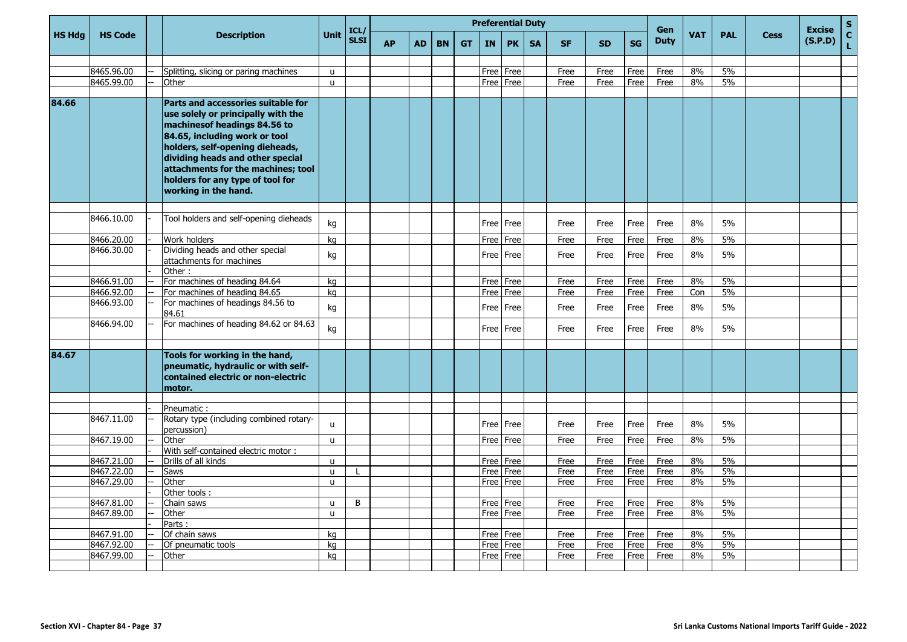|               |                          |                                                                                                                                                                                                                                                                                                                    |                              |                     |           |           |           |           |           | <b>Preferential Duty</b> |           |              |              |              | Gen          |            |            |             | <b>Excise</b> | $\mathbf S$        |
|---------------|--------------------------|--------------------------------------------------------------------------------------------------------------------------------------------------------------------------------------------------------------------------------------------------------------------------------------------------------------------|------------------------------|---------------------|-----------|-----------|-----------|-----------|-----------|--------------------------|-----------|--------------|--------------|--------------|--------------|------------|------------|-------------|---------------|--------------------|
| <b>HS Hdg</b> | <b>HS Code</b>           | <b>Description</b>                                                                                                                                                                                                                                                                                                 | <b>Unit</b>                  | ICL/<br><b>SLSI</b> | <b>AP</b> | <b>AD</b> | <b>BN</b> | <b>GT</b> | <b>IN</b> | <b>PK</b>                | <b>SA</b> | <b>SF</b>    | <b>SD</b>    | <b>SG</b>    | <b>Duty</b>  | <b>VAT</b> | <b>PAL</b> | <b>Cess</b> | (S.P.D)       | $\mathbf{C}$<br>Ĺ. |
|               |                          |                                                                                                                                                                                                                                                                                                                    |                              |                     |           |           |           |           |           |                          |           |              |              |              |              |            |            |             |               |                    |
|               | 8465.96.00               | Splitting, slicing or paring machines                                                                                                                                                                                                                                                                              | u                            |                     |           |           |           |           |           | Free   Free              |           | Free         | Free         | Free         | Free         | 8%         | 5%         |             |               |                    |
|               | 8465.99.00               | Other                                                                                                                                                                                                                                                                                                              | $\mathbf{u}$                 |                     |           |           |           |           |           | Free Free                |           | Free         | Free         | Free         | Free         | 8%         | 5%         |             |               |                    |
|               |                          |                                                                                                                                                                                                                                                                                                                    |                              |                     |           |           |           |           |           |                          |           |              |              |              |              |            |            |             |               |                    |
| 84.66         |                          | Parts and accessories suitable for<br>use solely or principally with the<br>machinesof headings 84.56 to<br>84.65, including work or tool<br>holders, self-opening dieheads,<br>dividing heads and other special<br>attachments for the machines; tool<br>holders for any type of tool for<br>working in the hand. |                              |                     |           |           |           |           |           |                          |           |              |              |              |              |            |            |             |               |                    |
|               | 8466.10.00               | Tool holders and self-opening dieheads                                                                                                                                                                                                                                                                             | kg                           |                     |           |           |           |           |           | Free   Free              |           | Free         | Free         | Free         | Free         | 8%         | 5%         |             |               |                    |
|               | 8466.20.00               | Work holders                                                                                                                                                                                                                                                                                                       | ka                           |                     |           |           |           |           |           | Free Free                |           | Free         | Free         | Free         | Free         | 8%         | 5%         |             |               |                    |
|               | 8466.30.00               | Dividing heads and other special<br>attachments for machines                                                                                                                                                                                                                                                       | kg                           |                     |           |           |           |           |           | Free   Free              |           | Free         | Free         | Free         | Free         | 8%         | 5%         |             |               |                    |
|               |                          | Other:                                                                                                                                                                                                                                                                                                             |                              |                     |           |           |           |           |           |                          |           |              |              |              |              |            |            |             |               |                    |
|               | 8466.91.00               | For machines of heading 84.64                                                                                                                                                                                                                                                                                      | kg                           |                     |           |           |           |           |           | Free   Free              |           | Free         | Free         | Free         | Free         | 8%         | 5%         |             |               |                    |
|               | 8466.92.00               | For machines of heading 84.65                                                                                                                                                                                                                                                                                      | kg                           |                     |           |           |           |           | Free      | Free                     |           | Free         | Free         | Free         | Free         | Con        | 5%         |             |               |                    |
|               | 8466.93.00               | For machines of headings 84.56 to<br>84.61                                                                                                                                                                                                                                                                         | kg                           |                     |           |           |           |           |           | Free   Free              |           | Free         | Free         | Free         | Free         | 8%         | 5%         |             |               |                    |
|               | 8466.94.00               | For machines of heading 84.62 or 84.63                                                                                                                                                                                                                                                                             | kg                           |                     |           |           |           |           |           | Free Free                |           | Free         | Free         | Free         | Free         | 8%         | 5%         |             |               |                    |
| 84.67         |                          | Tools for working in the hand,<br>pneumatic, hydraulic or with self-<br>contained electric or non-electric<br>motor.                                                                                                                                                                                               |                              |                     |           |           |           |           |           |                          |           |              |              |              |              |            |            |             |               |                    |
|               |                          |                                                                                                                                                                                                                                                                                                                    |                              |                     |           |           |           |           |           |                          |           |              |              |              |              |            |            |             |               |                    |
|               |                          | Pneumatic:                                                                                                                                                                                                                                                                                                         |                              |                     |           |           |           |           |           |                          |           |              |              |              |              |            |            |             |               |                    |
|               | 8467.11.00               | Rotary type (including combined rotary-<br>percussion)                                                                                                                                                                                                                                                             | $\mathsf{u}$                 |                     |           |           |           |           |           | Free Free                |           | Free         | Free         | Free         | Free         | 8%         | 5%         |             |               |                    |
|               | 8467.19.00               | Other                                                                                                                                                                                                                                                                                                              | $\mathsf{u}$                 |                     |           |           |           |           |           | Free   Free              |           | Free         | Free         | Free         | Free         | 8%         | 5%         |             |               |                    |
|               |                          | With self-contained electric motor:                                                                                                                                                                                                                                                                                |                              |                     |           |           |           |           |           |                          |           |              |              |              |              |            |            |             |               |                    |
|               | 8467.21.00               | Drills of all kinds                                                                                                                                                                                                                                                                                                | u                            |                     |           |           |           |           |           | Free Free                |           | Free         | Free         | Free         | Free         | 8%         | 5%<br>5%   |             |               |                    |
|               | 8467.22.00<br>8467.29.00 | Saws<br>Other                                                                                                                                                                                                                                                                                                      | $\mathsf{u}$<br>$\mathsf{u}$ |                     |           |           |           |           | Free      | Free   Free<br>Free      |           | Free<br>Free | Free<br>Free | Free<br>Free | Free<br>Free | 8%<br>8%   | 5%         |             |               |                    |
|               |                          | Other tools:                                                                                                                                                                                                                                                                                                       |                              |                     |           |           |           |           |           |                          |           |              |              |              |              |            |            |             |               |                    |
|               | 8467.81.00               | Chain saws                                                                                                                                                                                                                                                                                                         | <b>u</b>                     | B                   |           |           |           |           |           | Free   Free              |           | Free         | Free         | Free         | Free         | 8%         | 5%         |             |               |                    |
|               | 8467.89.00               | Other                                                                                                                                                                                                                                                                                                              | $\mathbf{u}$                 |                     |           |           |           |           |           | Free Free                |           | Free         | Free         | Free         | Free         | 8%         | 5%         |             |               |                    |
|               |                          | Parts:                                                                                                                                                                                                                                                                                                             |                              |                     |           |           |           |           |           |                          |           |              |              |              |              |            |            |             |               |                    |
|               | 8467.91.00               | Of chain saws                                                                                                                                                                                                                                                                                                      | kg                           |                     |           |           |           |           |           | Free Free                |           | Free         | Free         | Free         | Free         | 8%         | 5%         |             |               |                    |
|               | 8467.92.00               | Of pneumatic tools                                                                                                                                                                                                                                                                                                 | kg                           |                     |           |           |           |           | Free      | Free                     |           | Free         | Free         | Free         | Free         | 8%         | 5%         |             |               |                    |
|               | 8467.99.00               | Other                                                                                                                                                                                                                                                                                                              | ka                           |                     |           |           |           |           |           | Free   Free              |           | Free         | Free         | Free         | Free         | 8%         | 5%         |             |               |                    |
|               |                          |                                                                                                                                                                                                                                                                                                                    |                              |                     |           |           |           |           |           |                          |           |              |              |              |              |            |            |             |               |                    |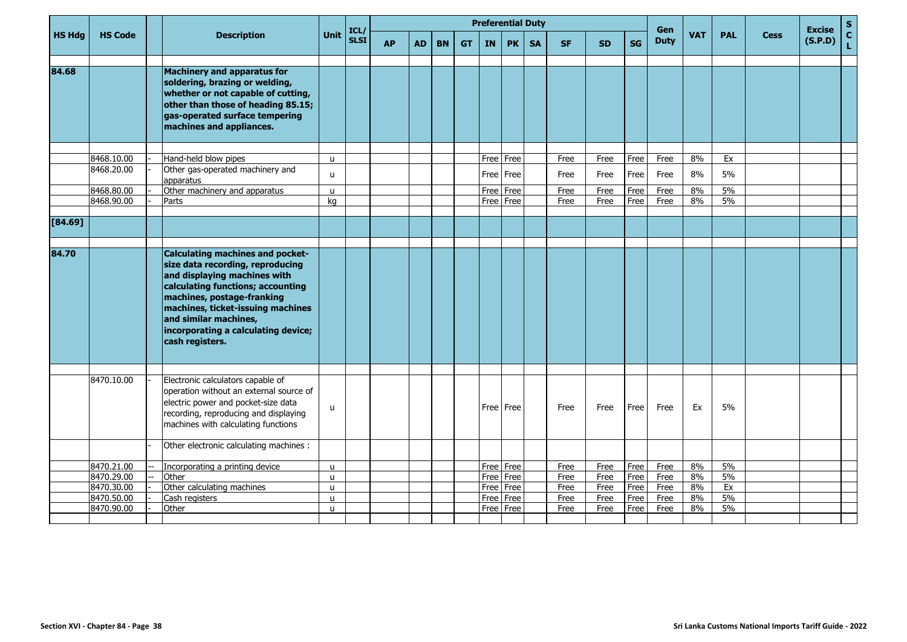|               |                          |                                                                                                                                                                                                                                                                                                        |              | ICL/        |           |           |           |           | <b>Preferential Duty</b> |                        |           |              |              |              | <b>Gen</b>   |            |            |             | <b>Excise</b> | $\mathsf S$                  |
|---------------|--------------------------|--------------------------------------------------------------------------------------------------------------------------------------------------------------------------------------------------------------------------------------------------------------------------------------------------------|--------------|-------------|-----------|-----------|-----------|-----------|--------------------------|------------------------|-----------|--------------|--------------|--------------|--------------|------------|------------|-------------|---------------|------------------------------|
| <b>HS Hdg</b> | <b>HS Code</b>           | <b>Description</b>                                                                                                                                                                                                                                                                                     | Unit         | <b>SLSI</b> | <b>AP</b> | <b>AD</b> | <b>BN</b> | <b>GT</b> | <b>IN</b>                | <b>PK</b>              | <b>SA</b> | <b>SF</b>    | <b>SD</b>    | SG           | <b>Duty</b>  | <b>VAT</b> | <b>PAL</b> | <b>Cess</b> | (S.P.D)       | $\mathbf{C}$<br>$\mathbf{L}$ |
| 84.68         |                          | <b>Machinery and apparatus for</b><br>soldering, brazing or welding,<br>whether or not capable of cutting,<br>other than those of heading 85.15;<br>gas-operated surface tempering<br>machines and appliances.                                                                                         |              |             |           |           |           |           |                          |                        |           |              |              |              |              |            |            |             |               |                              |
|               | 8468.10.00               | Hand-held blow pipes                                                                                                                                                                                                                                                                                   | $\mathbf{u}$ |             |           |           |           |           |                          | Free Free              |           | Free         | Free         | Free         | Free         | 8%         | Ex         |             |               |                              |
|               | 8468.20.00               | Other gas-operated machinery and<br>apparatus                                                                                                                                                                                                                                                          | u            |             |           |           |           |           |                          | Free Free              |           | Free         | Free         | Free         | Free         | 8%         | 5%         |             |               |                              |
|               | 8468.80.00               | Other machinery and apparatus                                                                                                                                                                                                                                                                          | $\mathsf{u}$ |             |           |           |           |           |                          | Free Free              |           | Free         | Free         | Free         | Free         | 8%         | 5%         |             |               |                              |
|               | 8468.90.00               | Parts                                                                                                                                                                                                                                                                                                  | kg           |             |           |           |           |           |                          | Free Free              |           | Free         | Free         | Free         | Free         | 8%         | 5%         |             |               |                              |
| $[84.69]$     |                          |                                                                                                                                                                                                                                                                                                        |              |             |           |           |           |           |                          |                        |           |              |              |              |              |            |            |             |               |                              |
|               |                          |                                                                                                                                                                                                                                                                                                        |              |             |           |           |           |           |                          |                        |           |              |              |              |              |            |            |             |               |                              |
| 84.70         |                          | <b>Calculating machines and pocket-</b><br>size data recording, reproducing<br>and displaying machines with<br>calculating functions; accounting<br>machines, postage-franking<br>machines, ticket-issuing machines<br>and similar machines,<br>incorporating a calculating device;<br>cash registers. |              |             |           |           |           |           |                          |                        |           |              |              |              |              |            |            |             |               |                              |
|               | 8470.10.00               | Electronic calculators capable of<br>operation without an external source of<br>electric power and pocket-size data<br>recording, reproducing and displaying<br>machines with calculating functions                                                                                                    | u            |             |           |           |           |           |                          | Free Free              |           | Free         | Free         | Free         | Free         | Ex         | 5%         |             |               |                              |
|               |                          | Other electronic calculating machines :                                                                                                                                                                                                                                                                |              |             |           |           |           |           |                          |                        |           |              |              |              |              |            |            |             |               |                              |
|               | 8470.21.00               | Incorporating a printing device                                                                                                                                                                                                                                                                        | u            |             |           |           |           |           |                          | Free Free              |           | Free         | Free         | Free         | Free         | 8%         | 5%         |             |               |                              |
|               | 8470.29.00               | Other                                                                                                                                                                                                                                                                                                  | $\mathsf{u}$ |             |           |           |           |           |                          | Free Free              |           | Free         | Free         | Free         | Free         | 8%         | 5%         |             |               |                              |
|               | 8470.30.00<br>8470.50.00 | Other calculating machines<br>Cash registers                                                                                                                                                                                                                                                           | u<br>u       |             |           |           |           |           |                          | Free Free<br>Free Free |           | Free<br>Free | Free<br>Free | Free<br>Free | Free<br>Free | 8%<br>8%   | Ex<br>5%   |             |               |                              |
|               | 8470.90.00               | Other                                                                                                                                                                                                                                                                                                  | $\mathsf{u}$ |             |           |           |           |           |                          | Free   Free            |           | Free         | Free         | Free         | Free         | 8%         | 5%         |             |               |                              |
|               |                          |                                                                                                                                                                                                                                                                                                        |              |             |           |           |           |           |                          |                        |           |              |              |              |              |            |            |             |               |                              |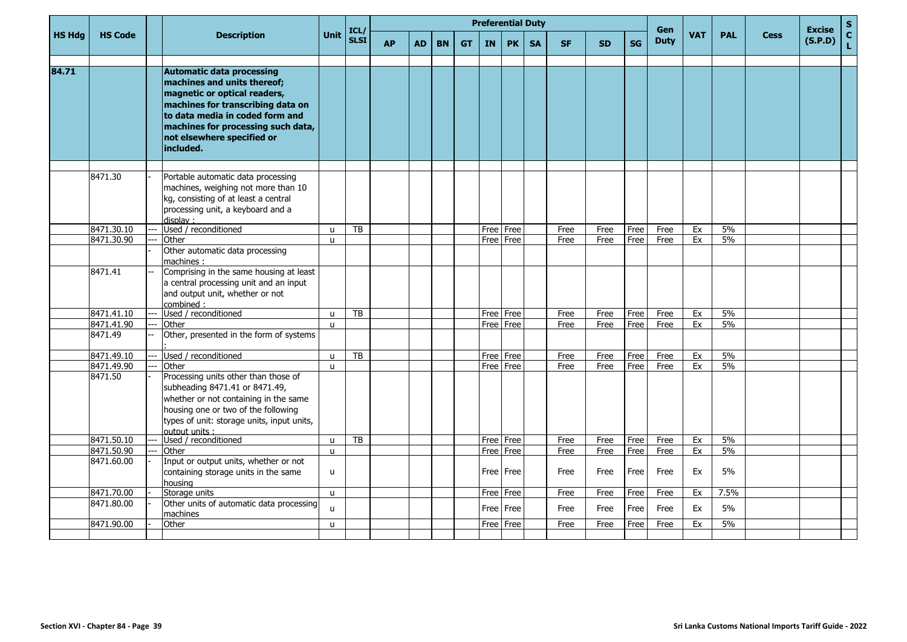|               |                |                                                                                                                                                                                                                                                          |              | ICL/        |           |           |           |           |           | <b>Preferential Duty</b> |           |           |           |           | Gen         |            |            |             | <b>Excise</b> | $\mathbf S$        |
|---------------|----------------|----------------------------------------------------------------------------------------------------------------------------------------------------------------------------------------------------------------------------------------------------------|--------------|-------------|-----------|-----------|-----------|-----------|-----------|--------------------------|-----------|-----------|-----------|-----------|-------------|------------|------------|-------------|---------------|--------------------|
| <b>HS Hdg</b> | <b>HS Code</b> | <b>Description</b>                                                                                                                                                                                                                                       | <b>Unit</b>  | <b>SLSI</b> | <b>AP</b> | <b>AD</b> | <b>BN</b> | <b>GT</b> | <b>IN</b> | <b>PK</b>                | <b>SA</b> | <b>SF</b> | <b>SD</b> | <b>SG</b> | <b>Duty</b> | <b>VAT</b> | <b>PAL</b> | <b>Cess</b> | (S.P.D)       | $\mathbf{C}$<br>Ĺ, |
| 84.71         |                | <b>Automatic data processing</b><br>machines and units thereof;<br>magnetic or optical readers,<br>machines for transcribing data on<br>to data media in coded form and<br>machines for processing such data,<br>not elsewhere specified or<br>included. |              |             |           |           |           |           |           |                          |           |           |           |           |             |            |            |             |               |                    |
|               | 8471.30        | Portable automatic data processing<br>machines, weighing not more than 10<br>kg, consisting of at least a central<br>processing unit, a keyboard and a<br>display:                                                                                       |              |             |           |           |           |           |           |                          |           |           |           |           |             |            |            |             |               |                    |
|               | 8471.30.10     | Used / reconditioned                                                                                                                                                                                                                                     | $\mathsf{u}$ | TB          |           |           |           |           |           | Free   Free              |           | Free      | Free      | Free      | Free        | Ex         | 5%         |             |               |                    |
|               | 8471.30.90     | Other                                                                                                                                                                                                                                                    | $\mathbf{u}$ |             |           |           |           |           |           | Free Free                |           | Free      | Free      | Free      | Free        | Ex         | 5%         |             |               |                    |
|               |                | Other automatic data processing<br>machines:                                                                                                                                                                                                             |              |             |           |           |           |           |           |                          |           |           |           |           |             |            |            |             |               |                    |
|               | 8471.41        | Comprising in the same housing at least<br>a central processing unit and an input<br>and output unit, whether or not<br>combined:                                                                                                                        |              |             |           |           |           |           |           |                          |           |           |           |           |             |            |            |             |               |                    |
|               | 8471.41.10     | <br>Used / reconditioned                                                                                                                                                                                                                                 | u            | <b>TB</b>   |           |           |           |           |           | Free Free                |           | Free      | Free      | Free      | Free        | Ex         | 5%         |             |               |                    |
|               | 8471.41.90     | Other                                                                                                                                                                                                                                                    | $\mathbf{u}$ |             |           |           |           |           |           | Free Free                |           | Free      | Free      | Free      | Free        | Ex         | 5%         |             |               |                    |
|               | 8471.49        | Other, presented in the form of systems                                                                                                                                                                                                                  |              |             |           |           |           |           |           |                          |           |           |           |           |             |            |            |             |               |                    |
|               | 8471.49.10     | Used / reconditioned                                                                                                                                                                                                                                     | u            | TB          |           |           |           |           |           | Free Free                |           | Free      | Free      | Free      | Free        | Ex         | 5%         |             |               |                    |
|               | 8471.49.90     | Other                                                                                                                                                                                                                                                    | $\mathbf{u}$ |             |           |           |           |           |           | Free Free                |           | Free      | Free      | Free      | Free        | Ex         | 5%         |             |               |                    |
|               | 8471.50        | Processing units other than those of<br>subheading 8471.41 or 8471.49,<br>whether or not containing in the same<br>housing one or two of the following<br>types of unit: storage units, input units,<br>output units :                                   |              |             |           |           |           |           |           |                          |           |           |           |           |             |            |            |             |               |                    |
|               | 8471.50.10     | Used / reconditioned                                                                                                                                                                                                                                     | u            | TB          |           |           |           |           |           | Free Free                |           | Free      | Free      | Free      | Free        | Ex         | 5%         |             |               |                    |
|               | 8471.50.90     | Other                                                                                                                                                                                                                                                    | $\mathbf{u}$ |             |           |           |           |           |           | Free Free                |           | Free      | Free      | Free      | Free        | Ex         | 5%         |             |               |                    |
|               | 8471.60.00     | Input or output units, whether or not<br>containing storage units in the same<br>housina                                                                                                                                                                 | $\mathsf{u}$ |             |           |           |           |           |           | Free I Free              |           | Free      | Free      | Free      | Free        | Ex         | 5%         |             |               |                    |
|               | 8471.70.00     | Storage units                                                                                                                                                                                                                                            | $\mathbf{u}$ |             |           |           |           |           |           | Free Free                |           | Free      | Free      | Free      | Free        | Ex         | 7.5%       |             |               |                    |
|               | 8471.80.00     | Other units of automatic data processing<br>machines                                                                                                                                                                                                     | $\mathsf{u}$ |             |           |           |           |           |           | Free Free                |           | Free      | Free      | Free      | Free        | Ex         | 5%         |             |               |                    |
|               | 8471.90.00     | Other                                                                                                                                                                                                                                                    | u            |             |           |           |           |           |           | Free   Free              |           | Free      | Free      | Free      | Free        | Ex         | 5%         |             |               |                    |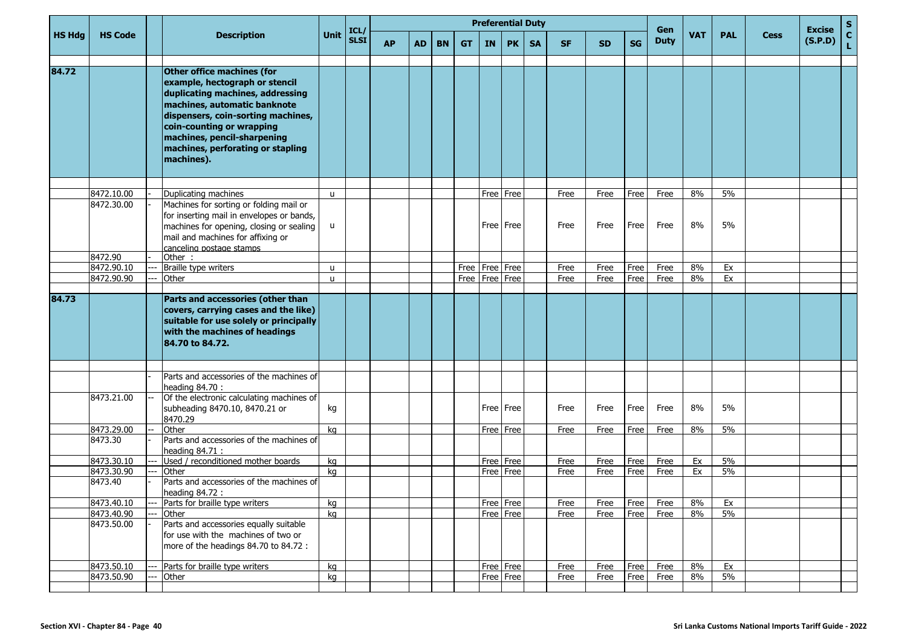|               |                |       |                                                                                                                                                                                                                                                                                       |              | ICL/        |           |           |           |                    |                    | <b>Preferential Duty</b> |           |           |           |           | Gen         |            |            |             | <b>Excise</b> | ${\bf S}$          |
|---------------|----------------|-------|---------------------------------------------------------------------------------------------------------------------------------------------------------------------------------------------------------------------------------------------------------------------------------------|--------------|-------------|-----------|-----------|-----------|--------------------|--------------------|--------------------------|-----------|-----------|-----------|-----------|-------------|------------|------------|-------------|---------------|--------------------|
| <b>HS Hdg</b> | <b>HS Code</b> |       | <b>Description</b>                                                                                                                                                                                                                                                                    | <b>Unit</b>  | <b>SLSI</b> | <b>AP</b> | <b>AD</b> | <b>BN</b> | <b>GT</b>          | <b>IN</b>          | <b>PK</b>                | <b>SA</b> | <b>SF</b> | <b>SD</b> | <b>SG</b> | <b>Duty</b> | <b>VAT</b> | <b>PAL</b> | <b>Cess</b> | (S.P.D)       | $\mathbf{C}$<br>L. |
| 84.72         |                |       | Other office machines (for<br>example, hectograph or stencil<br>duplicating machines, addressing<br>machines, automatic banknote<br>dispensers, coin-sorting machines,<br>coin-counting or wrapping<br>machines, pencil-sharpening<br>machines, perforating or stapling<br>machines). |              |             |           |           |           |                    |                    |                          |           |           |           |           |             |            |            |             |               |                    |
|               |                |       |                                                                                                                                                                                                                                                                                       |              |             |           |           |           |                    |                    |                          |           |           |           |           |             |            |            |             |               |                    |
|               | 8472.10.00     |       | Duplicating machines                                                                                                                                                                                                                                                                  | $\mathsf{u}$ |             |           |           |           |                    |                    | Free Free                |           | Free      | Free      | Free      | Free        | 8%         | 5%         |             |               |                    |
|               | 8472.30.00     |       | Machines for sorting or folding mail or<br>for inserting mail in envelopes or bands,<br>machines for opening, closing or sealing<br>mail and machines for affixing or<br>canceling postage stamps                                                                                     | u            |             |           |           |           |                    |                    | Free   Free              |           | Free      | Free      | Free      | Free        | 8%         | 5%         |             |               |                    |
|               | 8472.90        |       | Other:                                                                                                                                                                                                                                                                                |              |             |           |           |           |                    |                    |                          |           |           |           |           |             |            |            |             |               |                    |
|               | 8472.90.10     |       | Braille type writers                                                                                                                                                                                                                                                                  | u            |             |           |           |           | Free   Free   Free |                    |                          |           | Free      | Free      | Free      | Free        | 8%         | Ex         |             |               |                    |
|               | 8472.90.90     |       | Other                                                                                                                                                                                                                                                                                 | u            |             |           |           |           |                    | Free   Free   Free |                          |           | Free      | Free      | Free      | Free        | 8%         | Ex         |             |               |                    |
| 84.73         |                |       |                                                                                                                                                                                                                                                                                       |              |             |           |           |           |                    |                    |                          |           |           |           |           |             |            |            |             |               |                    |
|               |                |       | Parts and accessories (other than<br>covers, carrying cases and the like)<br>suitable for use solely or principally<br>with the machines of headings<br>84.70 to 84.72.                                                                                                               |              |             |           |           |           |                    |                    |                          |           |           |           |           |             |            |            |             |               |                    |
|               |                |       |                                                                                                                                                                                                                                                                                       |              |             |           |           |           |                    |                    |                          |           |           |           |           |             |            |            |             |               |                    |
|               |                |       | Parts and accessories of the machines of<br>heading 84.70 :                                                                                                                                                                                                                           |              |             |           |           |           |                    |                    |                          |           |           |           |           |             |            |            |             |               |                    |
|               | 8473.21.00     |       | Of the electronic calculating machines of<br>subheading 8470.10, 8470.21 or<br>8470.29                                                                                                                                                                                                | kg           |             |           |           |           |                    |                    | Free Free                |           | Free      | Free      | Free      | Free        | 8%         | 5%         |             |               |                    |
|               | 8473.29.00     |       | Other                                                                                                                                                                                                                                                                                 | kg           |             |           |           |           |                    |                    | Free Free                |           | Free      | Free      | Free      | Free        | 8%         | 5%         |             |               |                    |
|               | 8473.30        |       | Parts and accessories of the machines of<br>heading 84.71 :                                                                                                                                                                                                                           |              |             |           |           |           |                    |                    |                          |           |           |           |           |             |            |            |             |               |                    |
|               | 8473.30.10     |       | Used / reconditioned mother boards                                                                                                                                                                                                                                                    | kg           |             |           |           |           |                    |                    | Free Free                |           | Free      | Free      | Free      | Free        | Ex         | 5%         |             |               |                    |
|               | 8473.30.90     |       | Other                                                                                                                                                                                                                                                                                 | kg           |             |           |           |           |                    |                    | Free Free                |           | Free      | Free      | Free      | Free        | Ex         | 5%         |             |               |                    |
|               | 8473.40        |       | Parts and accessories of the machines of<br>heading 84.72 :                                                                                                                                                                                                                           |              |             |           |           |           |                    |                    |                          |           |           |           |           |             |            |            |             |               |                    |
|               | 8473.40.10     | $---$ | Parts for braille type writers                                                                                                                                                                                                                                                        | kg           |             |           |           |           |                    |                    | Free   Free              |           | Free      | Free      |           | Free Free   | 8%         | EX         |             |               |                    |
|               | 8473.40.90     |       | Other                                                                                                                                                                                                                                                                                 | kg           |             |           |           |           |                    |                    | Free Free                |           | Free      | Free      | Free      | Free        | 8%         | 5%         |             |               |                    |
|               | 8473.50.00     |       | Parts and accessories equally suitable<br>for use with the machines of two or<br>more of the headings 84.70 to 84.72 :                                                                                                                                                                |              |             |           |           |           |                    |                    |                          |           |           |           |           |             |            |            |             |               |                    |
|               | 8473.50.10     |       | Parts for braille type writers                                                                                                                                                                                                                                                        | kg           |             |           |           |           |                    |                    | Free Free                |           | Free      | Free      | Free      | Free        | 8%         | Ex         |             |               |                    |
|               | 8473.50.90     |       | Other                                                                                                                                                                                                                                                                                 | kg           |             |           |           |           |                    |                    | Free Free                |           | Free      | Free      | Free      | Free        | 8%         | 5%         |             |               |                    |
|               |                |       |                                                                                                                                                                                                                                                                                       |              |             |           |           |           |                    |                    |                          |           |           |           |           |             |            |            |             |               |                    |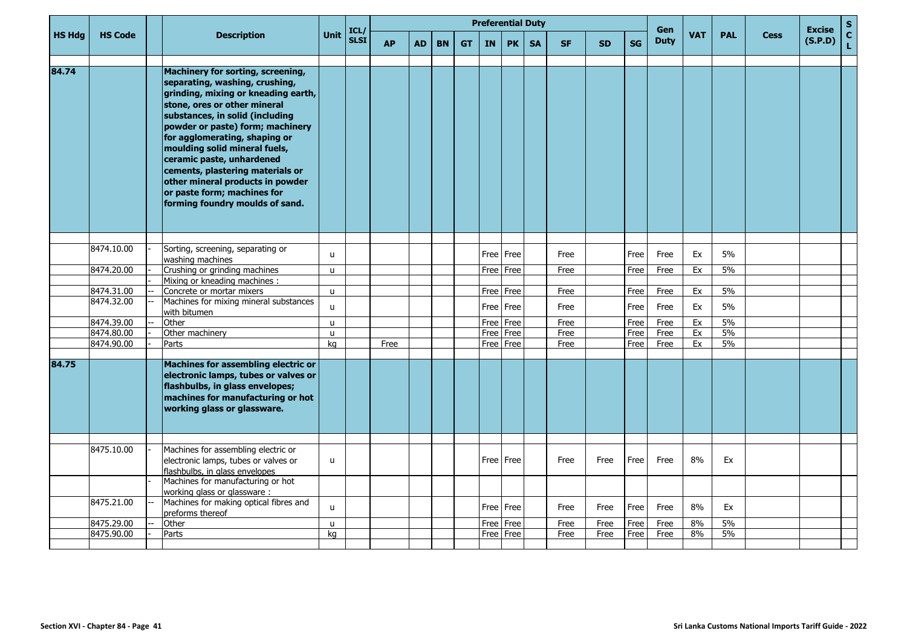| <b>Unit</b><br><b>HS Hdg</b><br><b>HS Code</b><br><b>VAT</b><br><b>PAL</b><br><b>Description</b><br><b>Cess</b><br><b>SLSI</b><br><b>Duty</b><br><b>AP</b><br><b>SG</b><br><b>AD</b><br><b>BN</b><br><b>GT</b><br><b>IN</b><br><b>PK</b><br><b>SA</b><br><b>SF</b><br><b>SD</b><br>84.74<br>Machinery for sorting, screening,<br>separating, washing, crushing,<br>grinding, mixing or kneading earth,<br>stone, ores or other mineral<br>substances, in solid (including<br>powder or paste) form; machinery<br>for agglomerating, shaping or<br>moulding solid mineral fuels,<br>ceramic paste, unhardened<br>cements, plastering materials or<br>other mineral products in powder<br>or paste form; machines for<br>forming foundry moulds of sand.<br>8474.10.00<br>Sorting, screening, separating or<br>Free Free<br>5%<br>Free<br>Ex<br>Free<br>Free<br>$\mathbf{u}$<br>washing machines<br>5%<br>8474.20.00<br>Crushing or grinding machines<br>Ex<br>Free<br>Free<br>Free<br>Free<br>Free<br>u<br>Mixing or kneading machines:<br>8474.31.00<br>5%<br>Concrete or mortar mixers<br>Free   Free<br>Ex<br>$\mathbf{u}$<br>Free<br>Free<br>Free<br>8474.32.00<br>Machines for mixing mineral substances<br>5%<br>Free   Free<br>Ex<br>Free<br>Free<br>Free<br>u<br>with bitumen<br>8474.39.00<br>Free<br>5%<br>Other<br>Free<br>Free<br>Ex<br>Free<br>Free<br>$\mathsf{u}$<br>5%<br>8474.80.00<br>Other machinery<br>Free<br>Free<br>Ex<br>Free<br>Free<br>Free<br>u<br>8474.90.00<br>Free Free<br>5%<br>Free<br>Ex<br>Parts<br>kg<br>Free<br>Free<br>Free<br>84.75<br>Machines for assembling electric or<br>electronic lamps, tubes or valves or<br>flashbulbs, in glass envelopes;<br>machines for manufacturing or hot<br>working glass or glassware.<br>Machines for assembling electric or<br>8475.10.00<br>8%<br>electronic lamps, tubes or valves or<br>Free   Free<br>Ex<br>Free<br>Free<br>Free<br>Free<br>u<br>flashbulbs, in glass envelopes<br>Machines for manufacturing or hot<br>working glass or glassware:<br>8475.21.00<br>Machines for making optical fibres and<br>8%<br>Ex<br>Free Free<br>Free<br>Free<br>Free<br>Free<br>u<br>preforms thereof<br>5%<br>8475.29.00<br>8%<br>Other<br>Free<br>Free<br>Free<br>Free<br>Free<br>Free<br>u<br>Free   Free |            |       |    |      |  |  | <b>Preferential Duty</b> |  |      |      |      |      |    |    | <b>Excise</b> | S                               |
|------------------------------------------------------------------------------------------------------------------------------------------------------------------------------------------------------------------------------------------------------------------------------------------------------------------------------------------------------------------------------------------------------------------------------------------------------------------------------------------------------------------------------------------------------------------------------------------------------------------------------------------------------------------------------------------------------------------------------------------------------------------------------------------------------------------------------------------------------------------------------------------------------------------------------------------------------------------------------------------------------------------------------------------------------------------------------------------------------------------------------------------------------------------------------------------------------------------------------------------------------------------------------------------------------------------------------------------------------------------------------------------------------------------------------------------------------------------------------------------------------------------------------------------------------------------------------------------------------------------------------------------------------------------------------------------------------------------------------------------------------------------------------------------------------------------------------------------------------------------------------------------------------------------------------------------------------------------------------------------------------------------------------------------------------------------------------------------------------------------------------------------------------------------------------------------------------------------------------------------------------------------------------------|------------|-------|----|------|--|--|--------------------------|--|------|------|------|------|----|----|---------------|---------------------------------|
|                                                                                                                                                                                                                                                                                                                                                                                                                                                                                                                                                                                                                                                                                                                                                                                                                                                                                                                                                                                                                                                                                                                                                                                                                                                                                                                                                                                                                                                                                                                                                                                                                                                                                                                                                                                                                                                                                                                                                                                                                                                                                                                                                                                                                                                                                    |            |       |    | ICL/ |  |  |                          |  |      |      |      | Gen  |    |    | (S.P.D)       | $\frac{\mathsf{c}}{\mathsf{L}}$ |
|                                                                                                                                                                                                                                                                                                                                                                                                                                                                                                                                                                                                                                                                                                                                                                                                                                                                                                                                                                                                                                                                                                                                                                                                                                                                                                                                                                                                                                                                                                                                                                                                                                                                                                                                                                                                                                                                                                                                                                                                                                                                                                                                                                                                                                                                                    |            |       |    |      |  |  |                          |  |      |      |      |      |    |    |               |                                 |
|                                                                                                                                                                                                                                                                                                                                                                                                                                                                                                                                                                                                                                                                                                                                                                                                                                                                                                                                                                                                                                                                                                                                                                                                                                                                                                                                                                                                                                                                                                                                                                                                                                                                                                                                                                                                                                                                                                                                                                                                                                                                                                                                                                                                                                                                                    |            |       |    |      |  |  |                          |  |      |      |      |      |    |    |               |                                 |
|                                                                                                                                                                                                                                                                                                                                                                                                                                                                                                                                                                                                                                                                                                                                                                                                                                                                                                                                                                                                                                                                                                                                                                                                                                                                                                                                                                                                                                                                                                                                                                                                                                                                                                                                                                                                                                                                                                                                                                                                                                                                                                                                                                                                                                                                                    |            |       |    |      |  |  |                          |  |      |      |      |      |    |    |               |                                 |
|                                                                                                                                                                                                                                                                                                                                                                                                                                                                                                                                                                                                                                                                                                                                                                                                                                                                                                                                                                                                                                                                                                                                                                                                                                                                                                                                                                                                                                                                                                                                                                                                                                                                                                                                                                                                                                                                                                                                                                                                                                                                                                                                                                                                                                                                                    |            |       |    |      |  |  |                          |  |      |      |      |      |    |    |               |                                 |
|                                                                                                                                                                                                                                                                                                                                                                                                                                                                                                                                                                                                                                                                                                                                                                                                                                                                                                                                                                                                                                                                                                                                                                                                                                                                                                                                                                                                                                                                                                                                                                                                                                                                                                                                                                                                                                                                                                                                                                                                                                                                                                                                                                                                                                                                                    |            |       |    |      |  |  |                          |  |      |      |      |      |    |    |               |                                 |
|                                                                                                                                                                                                                                                                                                                                                                                                                                                                                                                                                                                                                                                                                                                                                                                                                                                                                                                                                                                                                                                                                                                                                                                                                                                                                                                                                                                                                                                                                                                                                                                                                                                                                                                                                                                                                                                                                                                                                                                                                                                                                                                                                                                                                                                                                    |            |       |    |      |  |  |                          |  |      |      |      |      |    |    |               |                                 |
|                                                                                                                                                                                                                                                                                                                                                                                                                                                                                                                                                                                                                                                                                                                                                                                                                                                                                                                                                                                                                                                                                                                                                                                                                                                                                                                                                                                                                                                                                                                                                                                                                                                                                                                                                                                                                                                                                                                                                                                                                                                                                                                                                                                                                                                                                    |            |       |    |      |  |  |                          |  |      |      |      |      |    |    |               |                                 |
|                                                                                                                                                                                                                                                                                                                                                                                                                                                                                                                                                                                                                                                                                                                                                                                                                                                                                                                                                                                                                                                                                                                                                                                                                                                                                                                                                                                                                                                                                                                                                                                                                                                                                                                                                                                                                                                                                                                                                                                                                                                                                                                                                                                                                                                                                    |            |       |    |      |  |  |                          |  |      |      |      |      |    |    |               |                                 |
|                                                                                                                                                                                                                                                                                                                                                                                                                                                                                                                                                                                                                                                                                                                                                                                                                                                                                                                                                                                                                                                                                                                                                                                                                                                                                                                                                                                                                                                                                                                                                                                                                                                                                                                                                                                                                                                                                                                                                                                                                                                                                                                                                                                                                                                                                    |            |       |    |      |  |  |                          |  |      |      |      |      |    |    |               |                                 |
|                                                                                                                                                                                                                                                                                                                                                                                                                                                                                                                                                                                                                                                                                                                                                                                                                                                                                                                                                                                                                                                                                                                                                                                                                                                                                                                                                                                                                                                                                                                                                                                                                                                                                                                                                                                                                                                                                                                                                                                                                                                                                                                                                                                                                                                                                    |            |       |    |      |  |  |                          |  |      |      |      |      |    |    |               |                                 |
|                                                                                                                                                                                                                                                                                                                                                                                                                                                                                                                                                                                                                                                                                                                                                                                                                                                                                                                                                                                                                                                                                                                                                                                                                                                                                                                                                                                                                                                                                                                                                                                                                                                                                                                                                                                                                                                                                                                                                                                                                                                                                                                                                                                                                                                                                    |            |       |    |      |  |  |                          |  |      |      |      |      |    |    |               |                                 |
|                                                                                                                                                                                                                                                                                                                                                                                                                                                                                                                                                                                                                                                                                                                                                                                                                                                                                                                                                                                                                                                                                                                                                                                                                                                                                                                                                                                                                                                                                                                                                                                                                                                                                                                                                                                                                                                                                                                                                                                                                                                                                                                                                                                                                                                                                    |            |       |    |      |  |  |                          |  |      |      |      |      |    |    |               |                                 |
|                                                                                                                                                                                                                                                                                                                                                                                                                                                                                                                                                                                                                                                                                                                                                                                                                                                                                                                                                                                                                                                                                                                                                                                                                                                                                                                                                                                                                                                                                                                                                                                                                                                                                                                                                                                                                                                                                                                                                                                                                                                                                                                                                                                                                                                                                    |            |       |    |      |  |  |                          |  |      |      |      |      |    |    |               |                                 |
|                                                                                                                                                                                                                                                                                                                                                                                                                                                                                                                                                                                                                                                                                                                                                                                                                                                                                                                                                                                                                                                                                                                                                                                                                                                                                                                                                                                                                                                                                                                                                                                                                                                                                                                                                                                                                                                                                                                                                                                                                                                                                                                                                                                                                                                                                    |            |       |    |      |  |  |                          |  |      |      |      |      |    |    |               |                                 |
|                                                                                                                                                                                                                                                                                                                                                                                                                                                                                                                                                                                                                                                                                                                                                                                                                                                                                                                                                                                                                                                                                                                                                                                                                                                                                                                                                                                                                                                                                                                                                                                                                                                                                                                                                                                                                                                                                                                                                                                                                                                                                                                                                                                                                                                                                    |            |       |    |      |  |  |                          |  |      |      |      |      |    |    |               |                                 |
|                                                                                                                                                                                                                                                                                                                                                                                                                                                                                                                                                                                                                                                                                                                                                                                                                                                                                                                                                                                                                                                                                                                                                                                                                                                                                                                                                                                                                                                                                                                                                                                                                                                                                                                                                                                                                                                                                                                                                                                                                                                                                                                                                                                                                                                                                    | 8475.90.00 | Parts | kg |      |  |  |                          |  | Free | Free | Free | Free | 8% | 5% |               |                                 |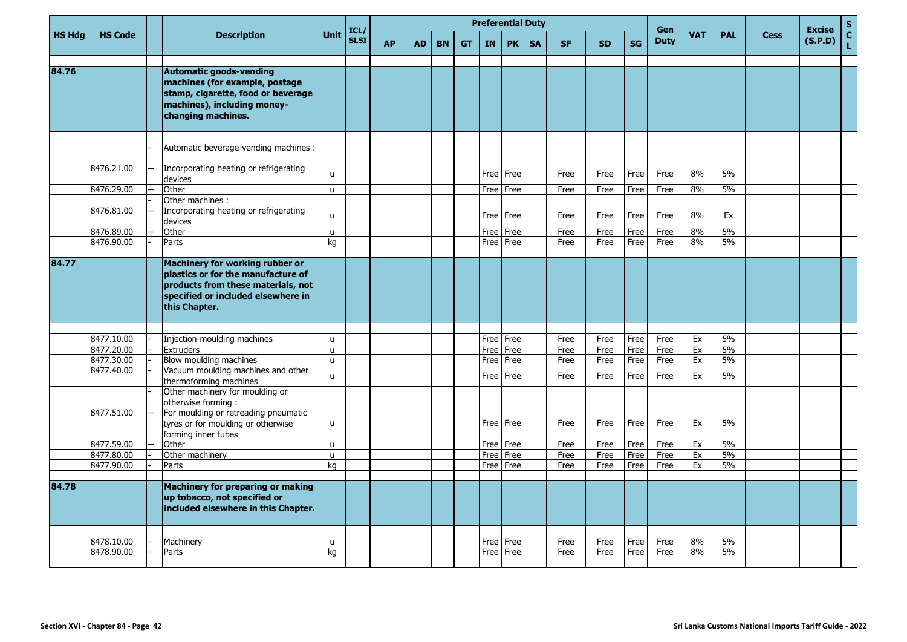|               |                          |                                                                                                                                                                    |                              |                     |           |           |           |           | <b>Preferential Duty</b> |              |           |              |              |              |                           |            |            |             |                          | S.                 |
|---------------|--------------------------|--------------------------------------------------------------------------------------------------------------------------------------------------------------------|------------------------------|---------------------|-----------|-----------|-----------|-----------|--------------------------|--------------|-----------|--------------|--------------|--------------|---------------------------|------------|------------|-------------|--------------------------|--------------------|
| <b>HS Hdg</b> | <b>HS Code</b>           | <b>Description</b>                                                                                                                                                 | <b>Unit</b>                  | ICL/<br><b>SLSI</b> | <b>AP</b> | <b>AD</b> | <b>BN</b> | <b>GT</b> | IN                       | <b>PK</b>    | <b>SA</b> | <b>SF</b>    | <b>SD</b>    | <b>SG</b>    | <b>Gen</b><br><b>Duty</b> | <b>VAT</b> | <b>PAL</b> | <b>Cess</b> | <b>Excise</b><br>(S.P.D) | $\mathbf{C}$<br>Ĺ. |
| 84.76         |                          | <b>Automatic goods-vending</b><br>machines (for example, postage<br>stamp, cigarette, food or beverage<br>machines), including money-<br>changing machines.        |                              |                     |           |           |           |           |                          |              |           |              |              |              |                           |            |            |             |                          |                    |
|               |                          | Automatic beverage-vending machines :                                                                                                                              |                              |                     |           |           |           |           |                          |              |           |              |              |              |                           |            |            |             |                          |                    |
|               | 8476.21.00               |                                                                                                                                                                    |                              |                     |           |           |           |           |                          |              |           |              |              |              |                           |            |            |             |                          |                    |
|               |                          | Incorporating heating or refrigerating<br>devices                                                                                                                  | u                            |                     |           |           |           |           |                          | Free Free    |           | Free         | Free         | Free         | Free                      | 8%         | 5%         |             |                          |                    |
|               | 8476.29.00               | Other<br>Other machines :                                                                                                                                          | $\mathsf{u}$                 |                     |           |           |           |           | Free                     | Free         |           | Free         | Free         | Free         | Free                      | 8%         | 5%         |             |                          |                    |
|               | 8476.81.00               | Incorporating heating or refrigerating<br>devices                                                                                                                  | u                            |                     |           |           |           |           | Free                     | Free         |           | Free         | Free         | Free         | Free                      | 8%         | Ex         |             |                          |                    |
|               | 8476.89.00               | Other                                                                                                                                                              | $\mathbf{u}$                 |                     |           |           |           |           | Free                     | Free         |           | Free         | Free         | Free         | Free                      | 8%         | 5%         |             |                          |                    |
|               | 8476.90.00               | Parts                                                                                                                                                              | kg                           |                     |           |           |           |           | Free                     | Free         |           | Free         | Free         | Free         | Free                      | 8%         | 5%         |             |                          |                    |
| 84.77         |                          | Machinery for working rubber or<br>plastics or for the manufacture of<br>products from these materials, not<br>specified or included elsewhere in<br>this Chapter. |                              |                     |           |           |           |           |                          |              |           |              |              |              |                           |            |            |             |                          |                    |
|               |                          |                                                                                                                                                                    |                              |                     |           |           |           |           |                          |              |           |              |              |              |                           |            |            |             |                          |                    |
|               | 8477.10.00<br>8477.20.00 | Injection-moulding machines<br><b>Extruders</b>                                                                                                                    | $\mathbf{u}$<br>$\mathsf{u}$ |                     |           |           |           |           | Free<br>Free             | Free<br>Free |           | Free<br>Free | Free<br>Free | Free<br>Free | Free<br>Free              | Ex<br>Ex   | 5%<br>5%   |             |                          |                    |
|               | 8477.30.00               | Blow moulding machines                                                                                                                                             | $\mathsf{u}$                 |                     |           |           |           |           | Free                     | Free         |           | Free         | Free         | Free         | Free                      | Ex         | 5%         |             |                          |                    |
|               | 8477.40.00               | Vacuum moulding machines and other<br>thermoforming machines                                                                                                       | <b>u</b>                     |                     |           |           |           |           | Free                     | Free         |           | Free         | Free         | Free         | Free                      | Ex         | 5%         |             |                          |                    |
|               |                          | Other machinery for moulding or<br>otherwise forming:                                                                                                              |                              |                     |           |           |           |           |                          |              |           |              |              |              |                           |            |            |             |                          |                    |
|               | 8477.51.00               | For moulding or retreading pneumatic<br>tyres or for moulding or otherwise<br>forming inner tubes                                                                  | u                            |                     |           |           |           |           | Free                     | Free         |           | Free         | Free         | Free         | Free                      | Ex         | 5%         |             |                          |                    |
|               | 8477.59.00               | Other                                                                                                                                                              | $\mathbf{u}$                 |                     |           |           |           |           | Free                     | Free         |           | Free         | Free         | Free         | Free                      | Ex         | 5%         |             |                          |                    |
|               | 8477.80.00               | Other machinery                                                                                                                                                    | $\mathsf{u}$                 |                     |           |           |           |           | Free                     | Free         |           | Free         | Free         | Free         | Free                      | Ex         | 5%         |             |                          |                    |
|               | 8477.90.00               | Parts                                                                                                                                                              | ka                           |                     |           |           |           |           | Free                     | Free         |           | Free         | Free         | Free         | Free                      | Ex         | 5%         |             |                          |                    |
| 84.78         |                          | <b>Machinery for preparing or making</b><br>up tobacco, not specified or<br>included elsewhere in this Chapter.                                                    |                              |                     |           |           |           |           |                          |              |           |              |              |              |                           |            |            |             |                          |                    |
|               |                          |                                                                                                                                                                    |                              |                     |           |           |           |           |                          |              |           |              |              |              |                           |            |            |             |                          |                    |
|               | 8478.10.00<br>8478.90.00 | Machinery<br>Parts                                                                                                                                                 | u<br>ka                      |                     |           |           |           |           | Free<br>Free             | Free<br>Free |           | Free<br>Free | Free<br>Free | Free<br>Free | Free<br>Free              | 8%<br>8%   | 5%<br>5%   |             |                          |                    |
|               |                          |                                                                                                                                                                    |                              |                     |           |           |           |           |                          |              |           |              |              |              |                           |            |            |             |                          |                    |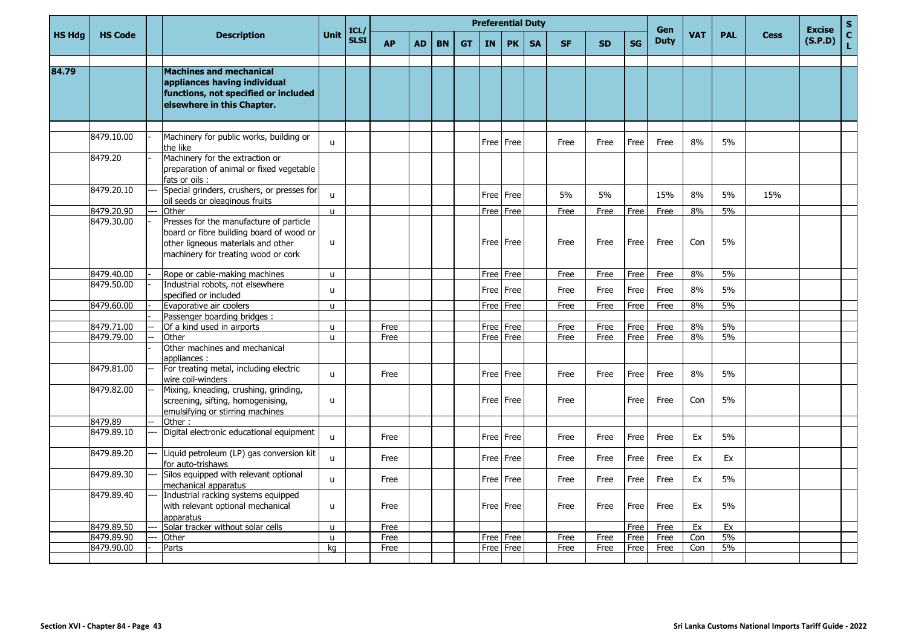|               |                |                                                                                                                                                                  |              |                     |           |           |           |           |           | <b>Preferential Duty</b> |           |           |           |           | Gen         |            |            |             | <b>Excise</b> | S                  |
|---------------|----------------|------------------------------------------------------------------------------------------------------------------------------------------------------------------|--------------|---------------------|-----------|-----------|-----------|-----------|-----------|--------------------------|-----------|-----------|-----------|-----------|-------------|------------|------------|-------------|---------------|--------------------|
| <b>HS Hdg</b> | <b>HS Code</b> | <b>Description</b>                                                                                                                                               | <b>Unit</b>  | ICL/<br><b>SLSI</b> | <b>AP</b> | <b>AD</b> | <b>BN</b> | <b>GT</b> | <b>IN</b> | <b>PK</b>                | <b>SA</b> | <b>SF</b> | <b>SD</b> | <b>SG</b> | <b>Duty</b> | <b>VAT</b> | <b>PAL</b> | <b>Cess</b> | (S.P.D)       | $\mathbf{C}$<br>L. |
|               |                |                                                                                                                                                                  |              |                     |           |           |           |           |           |                          |           |           |           |           |             |            |            |             |               |                    |
| 84.79         |                | Machines and mechanical<br>appliances having individual<br>functions, not specified or included<br>elsewhere in this Chapter.                                    |              |                     |           |           |           |           |           |                          |           |           |           |           |             |            |            |             |               |                    |
|               |                |                                                                                                                                                                  |              |                     |           |           |           |           |           |                          |           |           |           |           |             |            |            |             |               |                    |
|               | 8479.10.00     | Machinery for public works, building or<br>the like                                                                                                              | u            |                     |           |           |           |           |           | Free Free                |           | Free      | Free      | Free      | Free        | 8%         | 5%         |             |               |                    |
|               | 8479.20        | Machinery for the extraction or<br>preparation of animal or fixed vegetable<br>fats or oils:                                                                     |              |                     |           |           |           |           |           |                          |           |           |           |           |             |            |            |             |               |                    |
|               | 8479.20.10     | Special grinders, crushers, or presses for<br>oil seeds or oleaginous fruits                                                                                     | $\mathsf{u}$ |                     |           |           |           |           |           | Free Free                |           | 5%        | 5%        |           | 15%         | 8%         | 5%         | 15%         |               |                    |
|               | 8479.20.90     | Other                                                                                                                                                            | $\mathsf{u}$ |                     |           |           |           |           |           | Free   Free              |           | Free      | Free      | Free      | Free        | 8%         | 5%         |             |               |                    |
|               | 8479.30.00     | Presses for the manufacture of particle<br>board or fibre building board of wood or<br>other ligneous materials and other<br>machinery for treating wood or cork | $\mathsf{u}$ |                     |           |           |           |           |           | Free Free                |           | Free      | Free      | Free      | Free        | Con        | 5%         |             |               |                    |
|               | 8479.40.00     | Rope or cable-making machines                                                                                                                                    | u            |                     |           |           |           |           |           | Free Free                |           | Free      | Free      | Free      | Free        | 8%         | 5%         |             |               |                    |
|               | 8479.50.00     | Industrial robots, not elsewhere<br>specified or included                                                                                                        | u            |                     |           |           |           |           |           | Free Free                |           | Free      | Free      | Free      | Free        | 8%         | 5%         |             |               |                    |
|               | 8479.60.00     | Evaporative air coolers                                                                                                                                          | u            |                     |           |           |           |           |           | Free Free                |           | Free      | Free      | Free      | Free        | 8%         | 5%         |             |               |                    |
|               |                | Passenger boarding bridges:                                                                                                                                      |              |                     |           |           |           |           |           |                          |           |           |           |           |             |            |            |             |               |                    |
|               | 8479.71.00     | Of a kind used in airports                                                                                                                                       | u            |                     | Free      |           |           |           |           | Free   Free              |           | Free      | Free      | Free      | Free        | 8%         | 5%         |             |               |                    |
|               | 8479.79.00     | Other                                                                                                                                                            | u            |                     | Free      |           |           |           |           | Free   Free              |           | Free      | Free      | Free      | Free        | 8%         | 5%         |             |               |                    |
|               |                | Other machines and mechanical<br>appliances:                                                                                                                     |              |                     |           |           |           |           |           |                          |           |           |           |           |             |            |            |             |               |                    |
|               | 8479.81.00     | For treating metal, including electric<br>wire coil-winders                                                                                                      | $\mathbf{u}$ |                     | Free      |           |           |           |           | Free l Free              |           | Free      | Free      | Free      | Free        | 8%         | 5%         |             |               |                    |
|               | 8479.82.00     | Mixing, kneading, crushing, grinding,<br>screening, sifting, homogenising,<br>emulsifying or stirring machines                                                   | $\mathsf{u}$ |                     |           |           |           |           |           | Free Free                |           | Free      |           | Free      | Free        | Con        | 5%         |             |               |                    |
|               | 8479.89        | Other:                                                                                                                                                           |              |                     |           |           |           |           |           |                          |           |           |           |           |             |            |            |             |               |                    |
|               | 8479.89.10     | Digital electronic educational equipment                                                                                                                         | u            |                     | Free      |           |           |           |           | Free Free                |           | Free      | Free      | Free      | Free        | Ex         | 5%         |             |               |                    |
|               | 8479.89.20     | Liquid petroleum (LP) gas conversion kit<br>for auto-trishaws                                                                                                    | $\mathsf{u}$ |                     | Free      |           |           |           |           | Free l Free              |           | Free      | Free      | Free      | Free        | Ex         | Ex         |             |               |                    |
|               | 8479.89.30     | Silos equipped with relevant optional<br>mechanical apparatus                                                                                                    | $\mathbf{u}$ |                     | Free      |           |           |           |           | Free   Free              |           | Free      | Free      | Free      | Free        | Ex         | 5%         |             |               |                    |
|               | 8479.89.40     | Industrial racking systems equipped<br>with relevant optional mechanical<br>apparatus                                                                            | u            |                     | Free      |           |           |           |           | Free   Free              |           | Free      | Free      | Free      | Free        | Ex         | 5%         |             |               |                    |
|               | 8479.89.50     | Solar tracker without solar cells                                                                                                                                | u            |                     | Free      |           |           |           |           |                          |           |           |           | Free      | Free        | Ex         | Ex         |             |               |                    |
|               | 8479.89.90     | Other                                                                                                                                                            | u            |                     | Free      |           |           |           |           | Free Free                |           | Free      | Free      | Free      | Free        | Con        | 5%         |             |               |                    |
|               | 8479.90.00     | Parts                                                                                                                                                            | ka           |                     | Free      |           |           |           |           | Free l Free              |           | Free      | Free      | Free      | Free        | Con        | 5%         |             |               |                    |
|               |                |                                                                                                                                                                  |              |                     |           |           |           |           |           |                          |           |           |           |           |             |            |            |             |               |                    |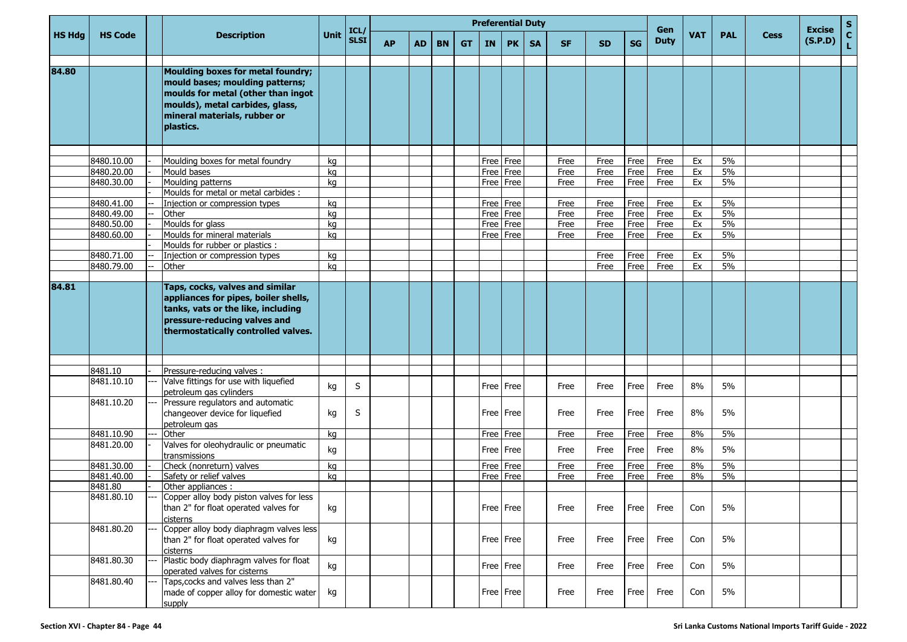|               |                          |                                                                                                                                                                                            |             |                     |           |           |           |           |           | <b>Preferential Duty</b> |           |           |           |           | Gen         |          |            |             | <b>Excise</b> | ${\sf s}$          |
|---------------|--------------------------|--------------------------------------------------------------------------------------------------------------------------------------------------------------------------------------------|-------------|---------------------|-----------|-----------|-----------|-----------|-----------|--------------------------|-----------|-----------|-----------|-----------|-------------|----------|------------|-------------|---------------|--------------------|
| <b>HS Hdg</b> | <b>HS Code</b>           | <b>Description</b>                                                                                                                                                                         | <b>Unit</b> | ICL/<br><b>SLSI</b> | <b>AP</b> | <b>AD</b> | <b>BN</b> | <b>GT</b> | <b>IN</b> | <b>PK</b>                | <b>SA</b> | <b>SF</b> | <b>SD</b> | <b>SG</b> | <b>Duty</b> | VAT      | <b>PAL</b> | <b>Cess</b> | (S.P.D)       | $\mathbf{C}$<br>Ĺ. |
| 84.80         |                          | Moulding boxes for metal foundry;<br>mould bases; moulding patterns;<br>moulds for metal (other than ingot<br>moulds), metal carbides, glass,<br>mineral materials, rubber or<br>plastics. |             |                     |           |           |           |           |           |                          |           |           |           |           |             |          |            |             |               |                    |
|               |                          |                                                                                                                                                                                            |             |                     |           |           |           |           |           |                          |           |           |           |           |             |          |            |             |               |                    |
|               | 8480.10.00               | Moulding boxes for metal foundry                                                                                                                                                           | kq          |                     |           |           |           |           |           | Free Free                |           | Free      | Free      | Free      | Free        | Ex       | 5%         |             |               |                    |
|               | 8480.20.00               | Mould bases                                                                                                                                                                                | kg          |                     |           |           |           |           |           | Free Free                |           | Free      | Free      | Free      | Free        | Ex       | 5%         |             |               |                    |
|               | 8480.30.00               | Moulding patterns                                                                                                                                                                          | kg          |                     |           |           |           |           |           | Free Free                |           | Free      | Free      | Free      | Free        | Ex       | 5%         |             |               |                    |
|               |                          | Moulds for metal or metal carbides :                                                                                                                                                       |             |                     |           |           |           |           |           |                          |           |           |           |           |             |          |            |             |               |                    |
|               | 8480.41.00               | Injection or compression types                                                                                                                                                             | kg          |                     |           |           |           |           |           | Free Free                |           | Free      | Free      | Free      | Free        | Ex       | 5%         |             |               |                    |
|               | 8480.49.00               | Other                                                                                                                                                                                      | kg          |                     |           |           |           |           |           | Free Free                |           | Free      | Free      | Free      | Free        | Ex       | 5%         |             |               |                    |
|               | 8480.50.00               | Moulds for glass                                                                                                                                                                           | kg          |                     |           |           |           |           |           | Free Free                |           | Free      | Free      | Free      | Free        | Ex       | 5%         |             |               |                    |
|               | 8480.60.00               | Moulds for mineral materials                                                                                                                                                               | kg          |                     |           |           |           |           |           | Free Free                |           | Free      | Free      | Free      | Free        | Ex       | 5%         |             |               |                    |
|               |                          | Moulds for rubber or plastics :                                                                                                                                                            |             |                     |           |           |           |           |           |                          |           |           |           |           |             |          |            |             |               |                    |
|               | 8480.71.00<br>8480.79.00 | Injection or compression types<br>Other                                                                                                                                                    | kg          |                     |           |           |           |           |           |                          |           |           | Free      | Free      | Free        | Ex<br>Ex | 5%<br>5%   |             |               |                    |
|               |                          |                                                                                                                                                                                            | kg          |                     |           |           |           |           |           |                          |           |           | Free      | Free      | Free        |          |            |             |               |                    |
| 84.81         |                          | Taps, cocks, valves and similar<br>appliances for pipes, boiler shells,<br>tanks, vats or the like, including<br>pressure-reducing valves and<br>thermostatically controlled valves.       |             |                     |           |           |           |           |           |                          |           |           |           |           |             |          |            |             |               |                    |
|               |                          |                                                                                                                                                                                            |             |                     |           |           |           |           |           |                          |           |           |           |           |             |          |            |             |               |                    |
|               | 8481.10                  | Pressure-reducing valves :                                                                                                                                                                 |             |                     |           |           |           |           |           |                          |           |           |           |           |             |          |            |             |               |                    |
|               | 8481.10.10               | Valve fittings for use with liquefied<br>petroleum gas cylinders                                                                                                                           | kg          | S                   |           |           |           |           |           | Free Free                |           | Free      | Free      | Free      | Free        | 8%       | 5%         |             |               |                    |
|               | 8481.10.20               | Pressure regulators and automatic<br>changeover device for liquefied<br>petroleum gas                                                                                                      | kg          | S                   |           |           |           |           |           | Free Free                |           | Free      | Free      | Free      | Free        | 8%       | 5%         |             |               |                    |
|               | 8481.10.90               | Other                                                                                                                                                                                      | kg          |                     |           |           |           |           |           | Free Free                |           | Free      | Free      | Free      | Free        | 8%       | 5%         |             |               |                    |
|               | 8481.20.00               | Valves for oleohydraulic or pneumatic<br>transmissions                                                                                                                                     | kg          |                     |           |           |           |           |           | Free Free                |           | Free      | Free      | Free      | Free        | 8%       | 5%         |             |               |                    |
|               | 8481.30.00               | Check (nonreturn) valves                                                                                                                                                                   | kg          |                     |           |           |           |           |           | Free Free                |           | Free      | Free      | Free      | Free        | 8%       | 5%         |             |               |                    |
|               | 8481.40.00               | Safety or relief valves                                                                                                                                                                    | kq          |                     |           |           |           |           |           | Free Free                |           | Free      | Free      | Free      | Free        | 8%       | 5%         |             |               |                    |
|               | 8481.80                  | Other appliances:                                                                                                                                                                          |             |                     |           |           |           |           |           |                          |           |           |           |           |             |          |            |             |               |                    |
|               | 8481.80.10               | Copper alloy body piston valves for less<br>than 2" for float operated valves for<br>cisterns                                                                                              | kg          |                     |           |           |           |           |           | Free Free                |           | Free      | Free      | Free      | Free        | Con      | 5%         |             |               |                    |
|               | 8481.80.20               | Copper alloy body diaphragm valves less<br>than 2" for float operated valves for<br>cisterns                                                                                               | kg          |                     |           |           |           |           |           | Free   Free              |           | Free      | Free      | Free      | Free        | Con      | 5%         |             |               |                    |
|               | 8481.80.30               | Plastic body diaphragm valves for float<br>operated valves for cisterns                                                                                                                    | kg          |                     |           |           |           |           |           | Free Free                |           | Free      | Free      | Free      | Free        | Con      | 5%         |             |               |                    |
|               | 8481.80.40               | Taps, cocks and valves less than 2"<br>made of copper alloy for domestic water<br>supply                                                                                                   | kg          |                     |           |           |           |           |           | Free Free                |           | Free      | Free      | Free      | Free        | Con      | 5%         |             |               |                    |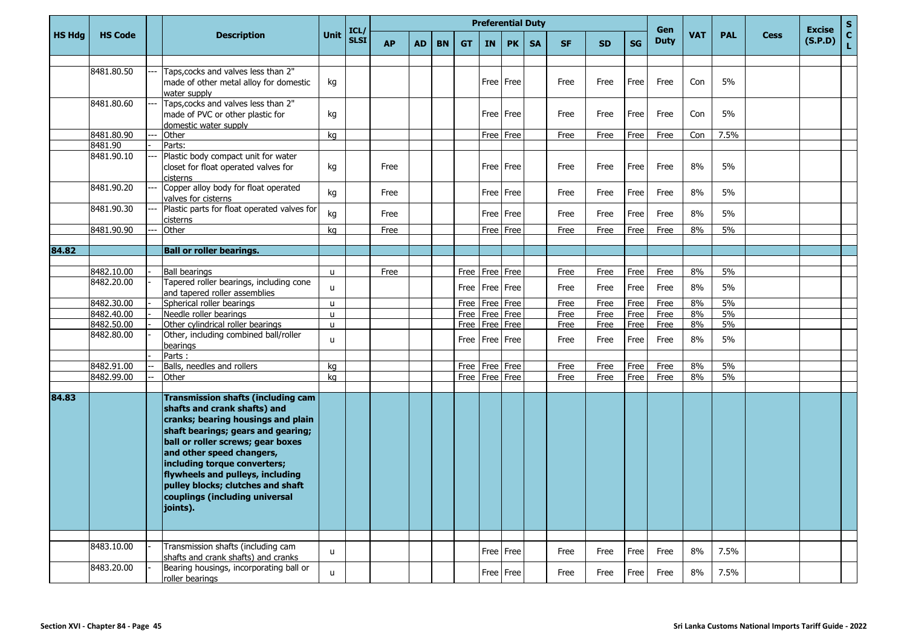|               |                |                      |                                                                                                                                                                                                                                                                                                                                                                    |              |                     |           |           |           |           | <b>Preferential Duty</b> |           |           |           |           |           |                    |            |            |             |                          | $\mathbf{s}$       |
|---------------|----------------|----------------------|--------------------------------------------------------------------------------------------------------------------------------------------------------------------------------------------------------------------------------------------------------------------------------------------------------------------------------------------------------------------|--------------|---------------------|-----------|-----------|-----------|-----------|--------------------------|-----------|-----------|-----------|-----------|-----------|--------------------|------------|------------|-------------|--------------------------|--------------------|
| <b>HS Hdg</b> | <b>HS Code</b> |                      | <b>Description</b>                                                                                                                                                                                                                                                                                                                                                 | <b>Unit</b>  | ICL/<br><b>SLSI</b> | <b>AP</b> | <b>AD</b> | <b>BN</b> | <b>GT</b> | IN                       | <b>PK</b> | <b>SA</b> | <b>SF</b> | <b>SD</b> | <b>SG</b> | Gen<br><b>Duty</b> | <b>VAT</b> | <b>PAL</b> | <b>Cess</b> | <b>Excise</b><br>(S.P.D) | $\mathbf{C}$<br>L. |
|               | 8481.80.50     | water supply         | Taps, cocks and valves less than 2"<br>made of other metal alloy for domestic                                                                                                                                                                                                                                                                                      | kg           |                     |           |           |           |           |                          | Free Free |           | Free      | Free      | Free      | Free               | Con        | 5%         |             |                          |                    |
|               | 8481.80.60     |                      | Taps, cocks and valves less than 2"<br>made of PVC or other plastic for<br>domestic water supply                                                                                                                                                                                                                                                                   | kg           |                     |           |           |           |           |                          | Free Free |           | Free      | Free      | Free      | Free               | Con        | 5%         |             |                          |                    |
|               | 8481.80.90     | Other<br>            |                                                                                                                                                                                                                                                                                                                                                                    | kg           |                     |           |           |           |           | Free                     | Free      |           | Free      | Free      | Free      | Free               | Con        | 7.5%       |             |                          |                    |
|               | 8481.90        | Parts:               |                                                                                                                                                                                                                                                                                                                                                                    |              |                     |           |           |           |           |                          |           |           |           |           |           |                    |            |            |             |                          |                    |
|               | 8481.90.10     | cisterns             | Plastic body compact unit for water<br>closet for float operated valves for                                                                                                                                                                                                                                                                                        | kg           |                     | Free      |           |           |           |                          | Free Free |           | Free      | Free      | Free      | Free               | 8%         | 5%         |             |                          |                    |
|               | 8481.90.20     |                      | Copper alloy body for float operated<br>valves for cisterns                                                                                                                                                                                                                                                                                                        | kg           |                     | Free      |           |           |           |                          | Free Free |           | Free      | Free      | Free      | Free               | 8%         | 5%         |             |                          |                    |
|               | 8481.90.30     | cisterns             | Plastic parts for float operated valves for                                                                                                                                                                                                                                                                                                                        | kg           |                     | Free      |           |           |           | Free                     | Free      |           | Free      | Free      | Free      | Free               | 8%         | 5%         |             |                          |                    |
|               | 8481.90.90     | Other                |                                                                                                                                                                                                                                                                                                                                                                    | kg           |                     | Free      |           |           |           | Free                     | Free      |           | Free      | Free      | Free      | Free               | 8%         | 5%         |             |                          |                    |
|               |                |                      |                                                                                                                                                                                                                                                                                                                                                                    |              |                     |           |           |           |           |                          |           |           |           |           |           |                    |            |            |             |                          |                    |
| 84.82         |                |                      | <b>Ball or roller bearings.</b>                                                                                                                                                                                                                                                                                                                                    |              |                     |           |           |           |           |                          |           |           |           |           |           |                    |            |            |             |                          |                    |
|               | 8482.10.00     | <b>Ball bearings</b> |                                                                                                                                                                                                                                                                                                                                                                    | u            |                     | Free      |           |           | Free      | Free                     | Free      |           | Free      | Free      | Free      | Free               | 8%         | 5%         |             |                          |                    |
|               | 8482.20.00     |                      | Tapered roller bearings, including cone<br>and tapered roller assemblies                                                                                                                                                                                                                                                                                           | $\mathbf{u}$ |                     |           |           |           | Free      |                          | Free Free |           | Free      | Free      | Free      | Free               | 8%         | 5%         |             |                          |                    |
|               | 8482.30.00     |                      | Spherical roller bearings                                                                                                                                                                                                                                                                                                                                          | u            |                     |           |           |           | Free      | Free                     | Free      |           | Free      | Free      | Free      | Free               | 8%         | 5%         |             |                          |                    |
|               | 8482.40.00     |                      | Needle roller bearings                                                                                                                                                                                                                                                                                                                                             | u            |                     |           |           |           | Free      | Free                     | Free      |           | Free      | Free      | Free      | Free               | 8%         | 5%         |             |                          |                    |
|               | 8482.50.00     |                      | Other cylindrical roller bearings                                                                                                                                                                                                                                                                                                                                  | u            |                     |           |           |           | Free      | Free                     | Free      |           | Free      | Free      | Free      | Free               | 8%         | 5%         |             |                          |                    |
|               | 8482.80.00     | bearings             | Other, including combined ball/roller                                                                                                                                                                                                                                                                                                                              | u.           |                     |           |           |           | Free      | Free Free                |           |           | Free      | Free      | Free      | Free               | 8%         | 5%         |             |                          |                    |
|               |                | Parts:               |                                                                                                                                                                                                                                                                                                                                                                    |              |                     |           |           |           |           |                          |           |           |           |           |           |                    |            |            |             |                          |                    |
|               | 8482.91.00     |                      | Balls, needles and rollers                                                                                                                                                                                                                                                                                                                                         | kg           |                     |           |           |           | Free      | Free                     | Free      |           | Free      | Free      | Free      | Free               | 8%         | 5%         |             |                          |                    |
|               | 8482.99.00     | Other                |                                                                                                                                                                                                                                                                                                                                                                    | kg           |                     |           |           |           |           | Free   Free   Free       |           |           | Free      | Free      | Free      | Free               | 8%         | 5%         |             |                          |                    |
| 84.83         |                | joints).             | <b>Transmission shafts (including cam</b><br>shafts and crank shafts) and<br>cranks; bearing housings and plain<br>shaft bearings; gears and gearing;<br>ball or roller screws; gear boxes<br>and other speed changers,<br>including torque converters;<br>flywheels and pulleys, including<br>pulley blocks; clutches and shaft<br>couplings (including universal |              |                     |           |           |           |           |                          |           |           |           |           |           |                    |            |            |             |                          |                    |
|               |                |                      |                                                                                                                                                                                                                                                                                                                                                                    |              |                     |           |           |           |           |                          |           |           |           |           |           |                    |            |            |             |                          |                    |
|               | 8483.10.00     |                      | Transmission shafts (including cam<br>shafts and crank shafts) and cranks                                                                                                                                                                                                                                                                                          | u            |                     |           |           |           |           |                          | Free Free |           | Free      | Free      | Free      | Free               | 8%         | 7.5%       |             |                          |                    |
|               | 8483.20.00     |                      | Bearing housings, incorporating ball or<br>roller bearings                                                                                                                                                                                                                                                                                                         | u            |                     |           |           |           |           |                          | Free Free |           | Free      | Free      | Free      | Free               | 8%         | 7.5%       |             |                          |                    |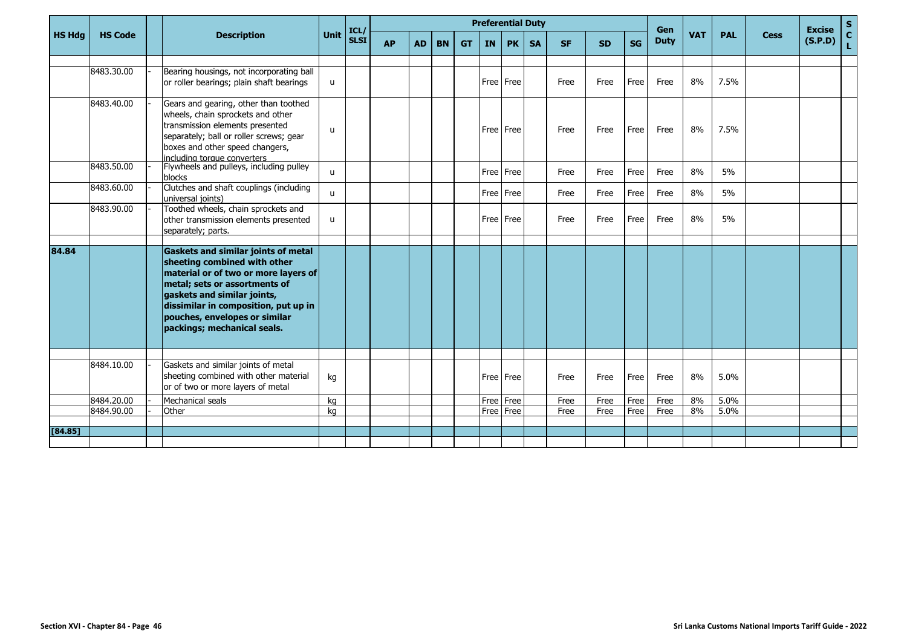|               |                |                                                                                                                                                                                                                                                                                            |               |                     |           |           |           |           |           | <b>Preferential Duty</b> |           |           |           |           | <b>Gen</b>  |            |            |             | <b>Excise</b> | $\frac{s}{c}$ |
|---------------|----------------|--------------------------------------------------------------------------------------------------------------------------------------------------------------------------------------------------------------------------------------------------------------------------------------------|---------------|---------------------|-----------|-----------|-----------|-----------|-----------|--------------------------|-----------|-----------|-----------|-----------|-------------|------------|------------|-------------|---------------|---------------|
| <b>HS Hdg</b> | <b>HS Code</b> | <b>Description</b>                                                                                                                                                                                                                                                                         | <b>Unit</b>   | ICL/<br><b>SLSI</b> | <b>AP</b> | <b>AD</b> | <b>BN</b> | <b>GT</b> | <b>IN</b> | <b>PK</b>                | <b>SA</b> | <b>SF</b> | <b>SD</b> | <b>SG</b> | <b>Duty</b> | <b>VAT</b> | <b>PAL</b> | <b>Cess</b> | (S.P.D)       | Ĺ.            |
|               |                |                                                                                                                                                                                                                                                                                            |               |                     |           |           |           |           |           |                          |           |           |           |           |             |            |            |             |               |               |
|               | 8483.30.00     | Bearing housings, not incorporating ball<br>or roller bearings; plain shaft bearings                                                                                                                                                                                                       | u             |                     |           |           |           |           |           | Free Free                |           | Free      | Free      | Free      | Free        | 8%         | 7.5%       |             |               |               |
|               | 8483.40.00     | Gears and gearing, other than toothed<br>wheels, chain sprockets and other<br>transmission elements presented<br>separately; ball or roller screws; gear<br>boxes and other speed changers,<br>including torque converters                                                                 | $\mathsf{u}%$ |                     |           |           |           |           |           | Free Free                |           | Free      | Free      | Free      | Free        | 8%         | 7.5%       |             |               |               |
|               | 8483.50.00     | Flywheels and pulleys, including pulley<br>blocks                                                                                                                                                                                                                                          | $\mathsf{u}$  |                     |           |           |           |           |           | Free Free                |           | Free      | Free      | Free      | Free        | 8%         | 5%         |             |               |               |
|               | 8483.60.00     | Clutches and shaft couplings (including<br>universal ioints)                                                                                                                                                                                                                               | $\mathbf{u}$  |                     |           |           |           |           |           | Free Free                |           | Free      | Free      | Free      | Free        | 8%         | 5%         |             |               |               |
|               | 8483.90.00     | Toothed wheels, chain sprockets and<br>other transmission elements presented<br>separately; parts.                                                                                                                                                                                         | $\mathsf{u}$  |                     |           |           |           |           |           | Free Free                |           | Free      | Free      | Free      | Free        | 8%         | 5%         |             |               |               |
| 84.84         |                | <b>Gaskets and similar joints of metal</b><br>sheeting combined with other<br>material or of two or more layers of<br>metal; sets or assortments of<br>gaskets and similar joints,<br>dissimilar in composition, put up in<br>pouches, envelopes or similar<br>packings; mechanical seals. |               |                     |           |           |           |           |           |                          |           |           |           |           |             |            |            |             |               |               |
|               |                |                                                                                                                                                                                                                                                                                            |               |                     |           |           |           |           |           |                          |           |           |           |           |             |            |            |             |               |               |
|               | 8484.10.00     | Gaskets and similar joints of metal<br>sheeting combined with other material<br>or of two or more layers of metal                                                                                                                                                                          | kg            |                     |           |           |           |           |           | Free Free                |           | Free      | Free      | Free      | Free        | 8%         | 5.0%       |             |               |               |
|               | 8484.20.00     | Mechanical seals                                                                                                                                                                                                                                                                           | kg            |                     |           |           |           |           |           | Free Free                |           | Free      | Free      | Free      | Free        | 8%         | 5.0%       |             |               |               |
|               | 8484.90.00     | Other                                                                                                                                                                                                                                                                                      | ka            |                     |           |           |           |           | Free Free |                          |           | Free      | Free      | Free      | Free        | 8%         | 5.0%       |             |               |               |
|               |                |                                                                                                                                                                                                                                                                                            |               |                     |           |           |           |           |           |                          |           |           |           |           |             |            |            |             |               |               |
| [84.85]       |                |                                                                                                                                                                                                                                                                                            |               |                     |           |           |           |           |           |                          |           |           |           |           |             |            |            |             |               |               |